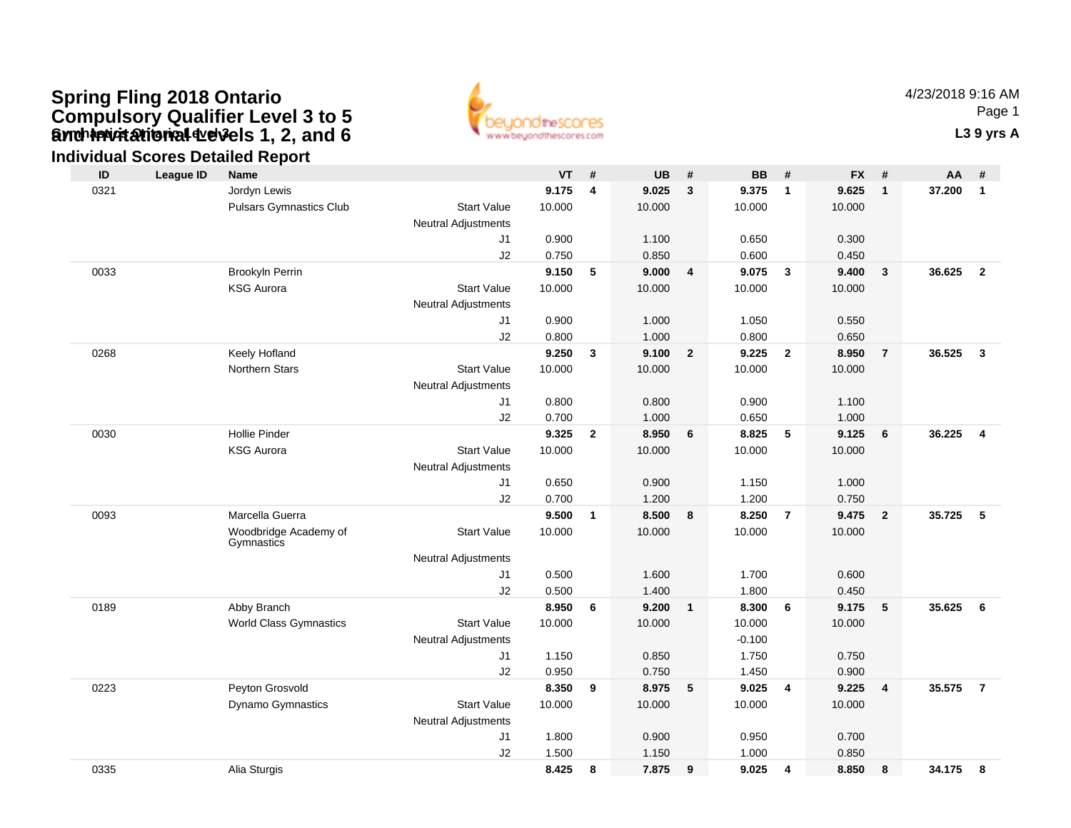### **Gynch invitational devels 1, 2, and 6** The Contact of Contact Contact Contact Contact Contact Contact Contact Contact Contact Contact Contact Contact Contact Contact Contact Contact Contact Contact Contact Contact Contact **Spring Fling 2018 Ontario Compulsory Qualifier Level 3 to 5 and Invitational Levels 1, 2, and 6**



4/23/2018 9:16 AMPage 1

### **Individual Scores Detailed Report**

| ID   | <b>League ID</b> | <b>Name</b>                         |                            | <b>VT</b> | #            | <b>UB</b> | #              | <b>BB</b> | #                       | <b>FX</b> | #              | AA.    | #                       |
|------|------------------|-------------------------------------|----------------------------|-----------|--------------|-----------|----------------|-----------|-------------------------|-----------|----------------|--------|-------------------------|
| 0321 |                  | Jordyn Lewis                        |                            | 9.175     | 4            | 9.025     | $\mathbf{3}$   | 9.375     | $\overline{1}$          | 9.625     | $\mathbf{1}$   | 37.200 | $\mathbf{1}$            |
|      |                  | <b>Pulsars Gymnastics Club</b>      | <b>Start Value</b>         | 10.000    |              | 10.000    |                | 10.000    |                         | 10.000    |                |        |                         |
|      |                  |                                     | <b>Neutral Adjustments</b> |           |              |           |                |           |                         |           |                |        |                         |
|      |                  |                                     | J1                         | 0.900     |              | 1.100     |                | 0.650     |                         | 0.300     |                |        |                         |
|      |                  |                                     | J2                         | 0.750     |              | 0.850     |                | 0.600     |                         | 0.450     |                |        |                         |
| 0033 |                  | Brookyln Perrin                     |                            | 9.150     | 5            | 9.000     | 4              | 9.075     | $\overline{\mathbf{3}}$ | 9.400     | $\mathbf{3}$   | 36.625 | $\overline{2}$          |
|      |                  | <b>KSG Aurora</b>                   | <b>Start Value</b>         | 10.000    |              | 10.000    |                | 10.000    |                         | 10.000    |                |        |                         |
|      |                  |                                     | <b>Neutral Adjustments</b> |           |              |           |                |           |                         |           |                |        |                         |
|      |                  |                                     | J1                         | 0.900     |              | 1.000     |                | 1.050     |                         | 0.550     |                |        |                         |
|      |                  |                                     | J2                         | 0.800     |              | 1.000     |                | 0.800     |                         | 0.650     |                |        |                         |
| 0268 |                  | Keely Hofland                       |                            | 9.250     | 3            | 9.100     | $\overline{2}$ | 9.225     | $\overline{2}$          | 8.950     | $\overline{7}$ | 36.525 | $\overline{\mathbf{3}}$ |
|      |                  | <b>Northern Stars</b>               | <b>Start Value</b>         | 10.000    |              | 10.000    |                | 10.000    |                         | 10.000    |                |        |                         |
|      |                  |                                     | <b>Neutral Adjustments</b> |           |              |           |                |           |                         |           |                |        |                         |
|      |                  |                                     | J1                         | 0.800     |              | 0.800     |                | 0.900     |                         | 1.100     |                |        |                         |
|      |                  |                                     | J2                         | 0.700     |              | 1.000     |                | 0.650     |                         | 1.000     |                |        |                         |
| 0030 |                  | <b>Hollie Pinder</b>                |                            | 9.325     | $\mathbf{2}$ | 8.950     | 6              | 8.825     | 5                       | 9.125     | 6              | 36.225 | $\overline{4}$          |
|      |                  | <b>KSG Aurora</b>                   | <b>Start Value</b>         | 10.000    |              | 10.000    |                | 10.000    |                         | 10.000    |                |        |                         |
|      |                  |                                     | <b>Neutral Adjustments</b> |           |              |           |                |           |                         |           |                |        |                         |
|      |                  |                                     | J1                         | 0.650     |              | 0.900     |                | 1.150     |                         | 1.000     |                |        |                         |
|      |                  |                                     | J2                         | 0.700     |              | 1.200     |                | 1.200     |                         | 0.750     |                |        |                         |
| 0093 |                  | Marcella Guerra                     |                            | 9.500     | $\mathbf{1}$ | 8.500     | 8              | 8.250     | $\overline{7}$          | 9.475     | $\overline{2}$ | 35.725 | 5                       |
|      |                  | Woodbridge Academy of<br>Gymnastics | <b>Start Value</b>         | 10.000    |              | 10.000    |                | 10.000    |                         | 10.000    |                |        |                         |
|      |                  |                                     | <b>Neutral Adjustments</b> |           |              |           |                |           |                         |           |                |        |                         |
|      |                  |                                     | J1                         | 0.500     |              | 1.600     |                | 1.700     |                         | 0.600     |                |        |                         |
|      |                  |                                     | J2                         | 0.500     |              | 1.400     |                | 1.800     |                         | 0.450     |                |        |                         |
| 0189 |                  | Abby Branch                         |                            | 8.950     | 6            | 9.200     | $\mathbf{1}$   | 8.300     | - 6                     | 9.175     | 5              | 35.625 | 6                       |
|      |                  | <b>World Class Gymnastics</b>       | <b>Start Value</b>         | 10.000    |              | 10.000    |                | 10.000    |                         | 10.000    |                |        |                         |
|      |                  |                                     | <b>Neutral Adjustments</b> |           |              |           |                | $-0.100$  |                         |           |                |        |                         |
|      |                  |                                     | J <sub>1</sub>             | 1.150     |              | 0.850     |                | 1.750     |                         | 0.750     |                |        |                         |
|      |                  |                                     | J2                         | 0.950     |              | 0.750     |                | 1.450     |                         | 0.900     |                |        |                         |
| 0223 |                  | Peyton Grosvold                     |                            | 8.350     | 9            | 8.975     | 5              | 9.025     | $\overline{4}$          | 9.225     | $\overline{4}$ | 35.575 | $\overline{7}$          |
|      |                  | Dynamo Gymnastics                   | <b>Start Value</b>         | 10.000    |              | 10.000    |                | 10.000    |                         | 10.000    |                |        |                         |
|      |                  |                                     | <b>Neutral Adjustments</b> |           |              |           |                |           |                         |           |                |        |                         |
|      |                  |                                     | J <sub>1</sub>             | 1.800     |              | 0.900     |                | 0.950     |                         | 0.700     |                |        |                         |
|      |                  |                                     | J2                         | 1.500     |              | 1.150     |                | 1.000     |                         | 0.850     |                |        |                         |
| 0335 |                  | Alia Sturgis                        |                            | 8.425     | 8            | 7.875     | 9              | 9.025     | 4                       | 8.850     | 8              | 34.175 | 8                       |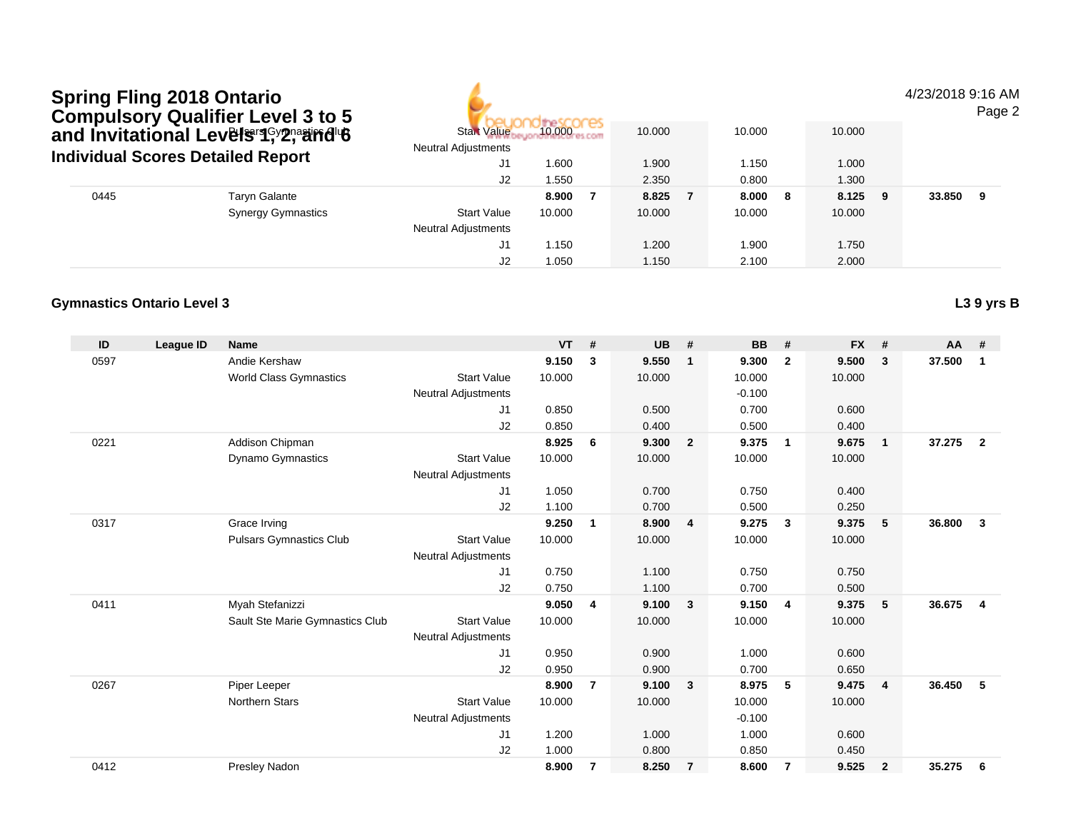|      | <b>Spring Fling 2018 Ontario</b><br><b>Compulsory Qualifier Level 3 to 5</b> |                            |        |        |        |   |         | 4/23/2018 9:16 AM | Page 2 |
|------|------------------------------------------------------------------------------|----------------------------|--------|--------|--------|---|---------|-------------------|--------|
|      | and Invitational Levels <sup>reqcy</sup> 29aard 6                            | <b>Start Value</b>         | 10.000 | 10.000 | 10.000 |   | 10.000  |                   |        |
|      | <b>Individual Scores Detailed Report</b>                                     | <b>Neutral Adjustments</b> |        |        |        |   |         |                   |        |
|      |                                                                              | J1                         | 1.600  | 1.900  | 1.150  |   | 1.000   |                   |        |
|      |                                                                              | J2                         | 1.550  | 2.350  | 0.800  |   | 1.300   |                   |        |
| 0445 | <b>Taryn Galante</b>                                                         |                            | 8.900  | 8.825  | 8.000  | 8 | 8.125 9 | 33.850            | - 9    |
|      | <b>Synergy Gymnastics</b>                                                    | <b>Start Value</b>         | 10.000 | 10.000 | 10.000 |   | 10.000  |                   |        |
|      |                                                                              | <b>Neutral Adjustments</b> |        |        |        |   |         |                   |        |
|      |                                                                              | J1                         | 1.150  | 1.200  | 1.900  |   | 1.750   |                   |        |
|      |                                                                              | J2                         | 1.050  | 1.150  | 2.100  |   | 2.000   |                   |        |

| ID   | League ID | <b>Name</b>                     |                            | <b>VT</b> | #              | <b>UB</b> | #                       | <b>BB</b> | #                       | <b>FX</b> | #              | <b>AA</b> | #                       |
|------|-----------|---------------------------------|----------------------------|-----------|----------------|-----------|-------------------------|-----------|-------------------------|-----------|----------------|-----------|-------------------------|
| 0597 |           | Andie Kershaw                   |                            | 9.150     | 3              | 9.550     | $\mathbf{1}$            | 9.300     | $\overline{2}$          | 9.500     | 3              | 37.500    | 1                       |
|      |           | <b>World Class Gymnastics</b>   | <b>Start Value</b>         | 10.000    |                | 10.000    |                         | 10.000    |                         | 10.000    |                |           |                         |
|      |           |                                 | <b>Neutral Adjustments</b> |           |                |           |                         | $-0.100$  |                         |           |                |           |                         |
|      |           |                                 | J1                         | 0.850     |                | 0.500     |                         | 0.700     |                         | 0.600     |                |           |                         |
|      |           |                                 | J2                         | 0.850     |                | 0.400     |                         | 0.500     |                         | 0.400     |                |           |                         |
| 0221 |           | Addison Chipman                 |                            | 8.925     | 6              | 9.300     | $\overline{\mathbf{2}}$ | 9.375     | $\overline{1}$          | 9.675     | $\overline{1}$ | 37.275    | $\overline{2}$          |
|      |           | Dynamo Gymnastics               | <b>Start Value</b>         | 10.000    |                | 10.000    |                         | 10.000    |                         | 10.000    |                |           |                         |
|      |           |                                 | <b>Neutral Adjustments</b> |           |                |           |                         |           |                         |           |                |           |                         |
|      |           |                                 | J1                         | 1.050     |                | 0.700     |                         | 0.750     |                         | 0.400     |                |           |                         |
|      |           |                                 | J2                         | 1.100     |                | 0.700     |                         | 0.500     |                         | 0.250     |                |           |                         |
| 0317 |           | Grace Irving                    |                            | 9.250     | $\mathbf 1$    | 8.900     | $\overline{4}$          | 9.275     | 3                       | 9.375     | 5              | 36.800    | 3                       |
|      |           | <b>Pulsars Gymnastics Club</b>  | <b>Start Value</b>         | 10.000    |                | 10.000    |                         | 10.000    |                         | 10.000    |                |           |                         |
|      |           |                                 | <b>Neutral Adjustments</b> |           |                |           |                         |           |                         |           |                |           |                         |
|      |           |                                 | J <sub>1</sub>             | 0.750     |                | 1.100     |                         | 0.750     |                         | 0.750     |                |           |                         |
|      |           |                                 | J <sub>2</sub>             | 0.750     |                | 1.100     |                         | 0.700     |                         | 0.500     |                |           |                         |
| 0411 |           | Myah Stefanizzi                 |                            | 9.050     | 4              | 9.100     | $\overline{\mathbf{3}}$ | 9.150     | $\overline{\mathbf{4}}$ | 9.375     | 5              | 36.675    | $\overline{\mathbf{4}}$ |
|      |           | Sault Ste Marie Gymnastics Club | <b>Start Value</b>         | 10.000    |                | 10.000    |                         | 10.000    |                         | 10.000    |                |           |                         |
|      |           |                                 | <b>Neutral Adjustments</b> |           |                |           |                         |           |                         |           |                |           |                         |
|      |           |                                 | J1                         | 0.950     |                | 0.900     |                         | 1.000     |                         | 0.600     |                |           |                         |
|      |           |                                 | J <sub>2</sub>             | 0.950     |                | 0.900     |                         | 0.700     |                         | 0.650     |                |           |                         |
| 0267 |           | Piper Leeper                    |                            | 8.900     | $\overline{7}$ | 9.100     | $\overline{\mathbf{3}}$ | 8.975     | 5                       | 9.475     | $\overline{4}$ | 36.450    | 5                       |
|      |           | <b>Northern Stars</b>           | <b>Start Value</b>         | 10.000    |                | 10.000    |                         | 10.000    |                         | 10.000    |                |           |                         |
|      |           |                                 | Neutral Adjustments        |           |                |           |                         | $-0.100$  |                         |           |                |           |                         |
|      |           |                                 | J <sub>1</sub>             | 1.200     |                | 1.000     |                         | 1.000     |                         | 0.600     |                |           |                         |
|      |           |                                 | J <sub>2</sub>             | 1.000     |                | 0.800     |                         | 0.850     |                         | 0.450     |                |           |                         |
| 0412 |           | Presley Nadon                   |                            | 8.900     | 7              | 8.250     | $\overline{7}$          | 8.600     | $\overline{7}$          | 9.525     | $\overline{2}$ | 35.275    | 6                       |
|      |           |                                 |                            |           |                |           |                         |           |                         |           |                |           |                         |

**L3 9 yrs B**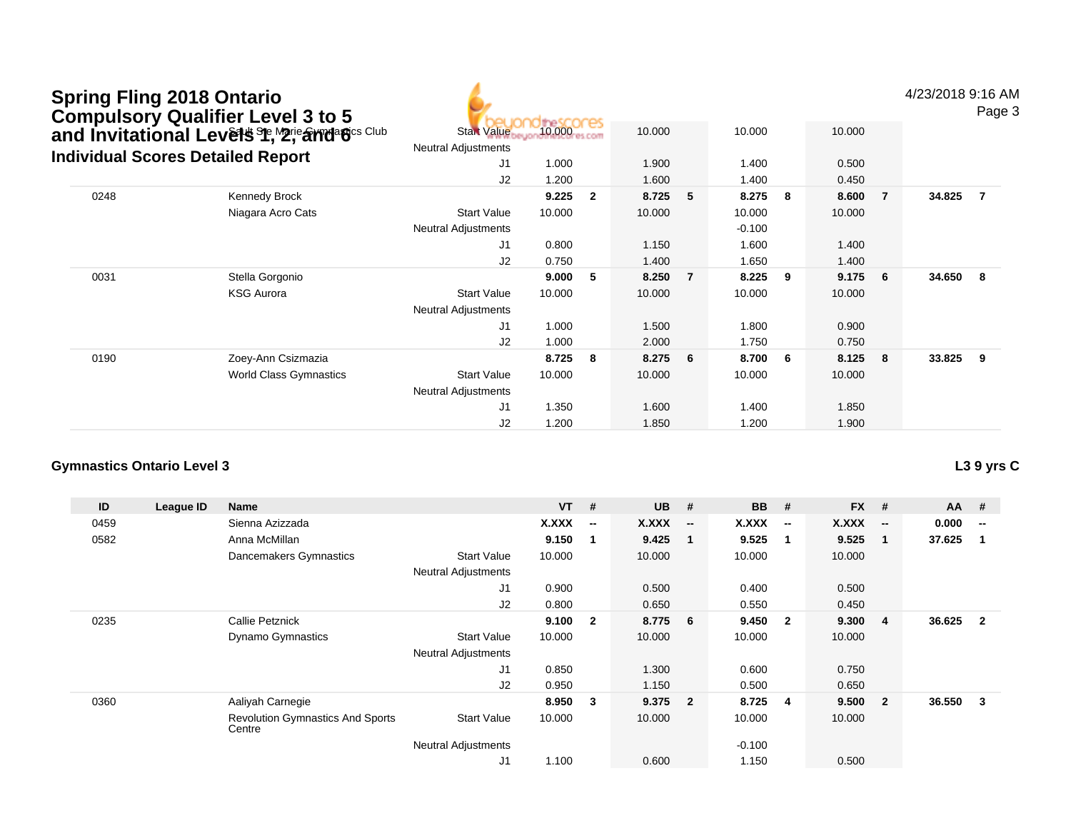| <b>Spring Fling 2018 Ontario</b><br><b>Compulsory Qualifier Level 3 to 5</b> |                                                  |            |                |        |                |          |     |        |                | 4/23/2018 9:16 / | Page |
|------------------------------------------------------------------------------|--------------------------------------------------|------------|----------------|--------|----------------|----------|-----|--------|----------------|------------------|------|
| and Invitational Levels St, M2rie and BCS Club                               | <b>Start Value</b><br><b>Neutral Adjustments</b> | 10.000 com |                | 10.000 |                | 10.000   |     | 10.000 |                |                  |      |
| <b>Individual Scores Detailed Report</b>                                     | J1                                               | 1.000      |                | 1.900  |                | 1.400    |     | 0.500  |                |                  |      |
|                                                                              | J2                                               | 1.200      |                | 1.600  |                | 1.400    |     | 0.450  |                |                  |      |
| 0248<br>Kennedy Brock                                                        |                                                  | 9.225      | $\overline{2}$ | 8.725  | 5              | 8.275    | - 8 | 8.600  | $\overline{7}$ | 34.825           | 7    |
| Niagara Acro Cats                                                            | <b>Start Value</b>                               | 10.000     |                | 10.000 |                | 10.000   |     | 10.000 |                |                  |      |
|                                                                              | <b>Neutral Adjustments</b>                       |            |                |        |                | $-0.100$ |     |        |                |                  |      |
|                                                                              | J1                                               | 0.800      |                | 1.150  |                | 1.600    |     | 1.400  |                |                  |      |
|                                                                              | J2                                               | 0.750      |                | 1.400  |                | 1.650    |     | 1.400  |                |                  |      |
| 0031<br>Stella Gorgonio                                                      |                                                  | 9.000      | -5             | 8.250  | $\overline{7}$ | 8.225    | - 9 | 9.175  | 6              | 34.650           | -8   |
| <b>KSG Aurora</b>                                                            | <b>Start Value</b>                               | 10.000     |                | 10.000 |                | 10.000   |     | 10.000 |                |                  |      |
|                                                                              | <b>Neutral Adjustments</b>                       |            |                |        |                |          |     |        |                |                  |      |
|                                                                              | J <sub>1</sub>                                   | 1.000      |                | 1.500  |                | 1.800    |     | 0.900  |                |                  |      |
|                                                                              | J2                                               | 1.000      |                | 2.000  |                | 1.750    |     | 0.750  |                |                  |      |
| 0190<br>Zoey-Ann Csizmazia                                                   |                                                  | 8.725      | 8              | 8.275  | 6              | 8.700    | - 6 | 8.125  | 8              | 33.825           | 9    |
| <b>World Class Gymnastics</b>                                                | <b>Start Value</b>                               | 10.000     |                | 10.000 |                | 10.000   |     | 10.000 |                |                  |      |
|                                                                              | <b>Neutral Adjustments</b>                       |            |                |        |                |          |     |        |                |                  |      |
|                                                                              | J1                                               | 1.350      |                | 1.600  |                | 1.400    |     | 1.850  |                |                  |      |
|                                                                              | J2                                               | 1.200      |                | 1.850  |                | 1.200    |     | 1.900  |                |                  |      |

| ID   | League ID | Name                                              |                            | <b>VT</b>    | #                        | <b>UB</b> | #                        | <b>BB</b> | #                        | <b>FX</b> | #                        | $AA$ # |                          |
|------|-----------|---------------------------------------------------|----------------------------|--------------|--------------------------|-----------|--------------------------|-----------|--------------------------|-----------|--------------------------|--------|--------------------------|
| 0459 |           | Sienna Azizzada                                   |                            | <b>X.XXX</b> | $\overline{\phantom{a}}$ | X.XXX     | $\overline{\phantom{a}}$ | X.XXX     | $\overline{\phantom{a}}$ | X.XXX     | $\overline{\phantom{a}}$ | 0.000  | $\overline{\phantom{a}}$ |
| 0582 |           | Anna McMillan                                     |                            | 9.150        |                          | 9.425     | - 1                      | 9.525     | $\mathbf 1$              | 9.525     |                          | 37.625 |                          |
|      |           | Dancemakers Gymnastics                            | <b>Start Value</b>         | 10.000       |                          | 10.000    |                          | 10.000    |                          | 10.000    |                          |        |                          |
|      |           |                                                   | <b>Neutral Adjustments</b> |              |                          |           |                          |           |                          |           |                          |        |                          |
|      |           |                                                   | J1                         | 0.900        |                          | 0.500     |                          | 0.400     |                          | 0.500     |                          |        |                          |
|      |           |                                                   | J2                         | 0.800        |                          | 0.650     |                          | 0.550     |                          | 0.450     |                          |        |                          |
| 0235 |           | <b>Callie Petznick</b>                            |                            | 9.100        | $\overline{\mathbf{2}}$  | 8.775     | - 6                      | 9.450     | $\overline{\mathbf{2}}$  | 9.300     | 4                        | 36.625 | $\overline{2}$           |
|      |           | <b>Dynamo Gymnastics</b>                          | <b>Start Value</b>         | 10.000       |                          | 10.000    |                          | 10.000    |                          | 10.000    |                          |        |                          |
|      |           |                                                   | <b>Neutral Adjustments</b> |              |                          |           |                          |           |                          |           |                          |        |                          |
|      |           |                                                   | J1                         | 0.850        |                          | 1.300     |                          | 0.600     |                          | 0.750     |                          |        |                          |
|      |           |                                                   | J2                         | 0.950        |                          | 1.150     |                          | 0.500     |                          | 0.650     |                          |        |                          |
| 0360 |           | Aaliyah Carnegie                                  |                            | 8.950        | $\mathbf{3}$             | 9.375     | $\overline{\mathbf{2}}$  | 8.725     | -4                       | 9.500     | $\overline{2}$           | 36.550 | 3                        |
|      |           | <b>Revolution Gymnastics And Sports</b><br>Centre | <b>Start Value</b>         | 10.000       |                          | 10.000    |                          | 10.000    |                          | 10.000    |                          |        |                          |
|      |           |                                                   | <b>Neutral Adjustments</b> |              |                          |           |                          | $-0.100$  |                          |           |                          |        |                          |
|      |           |                                                   | J1                         | 1.100        |                          | 0.600     |                          | 1.150     |                          | 0.500     |                          |        |                          |

AM

Page 3

### **L3 9 yrs C**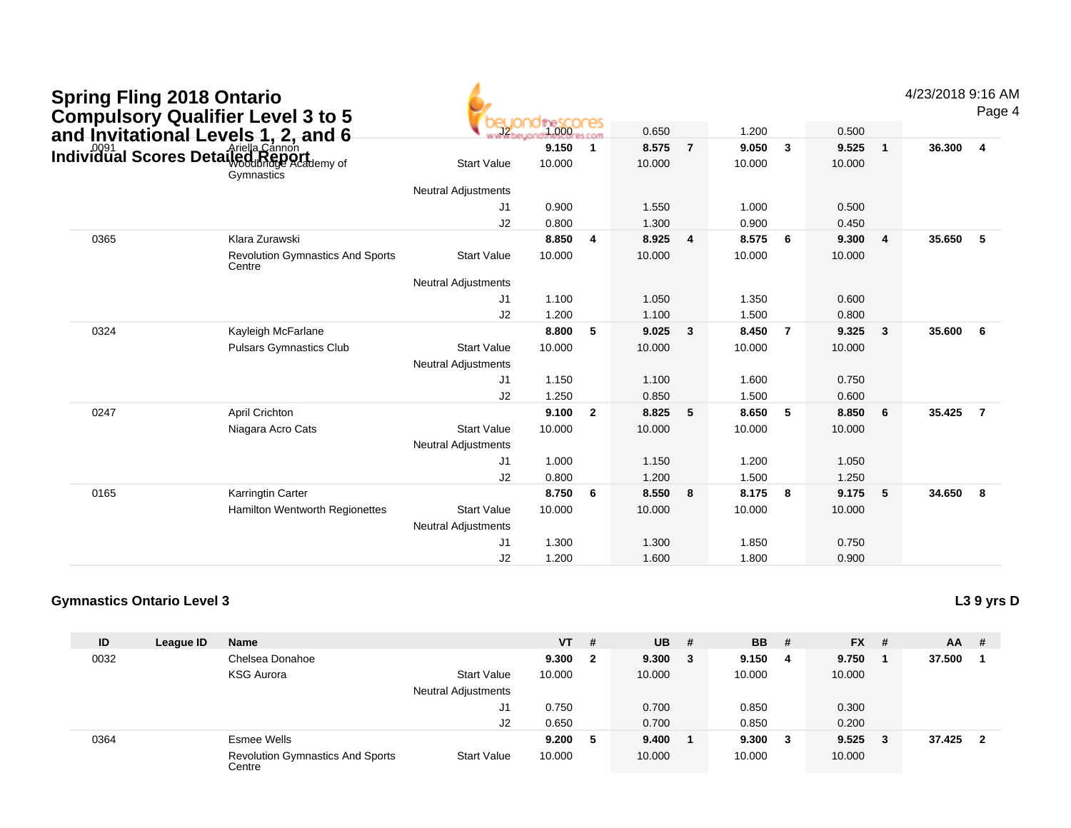| <b>Spring Fling 2018 Ontario</b><br><b>Compulsory Qualifier Level 3 to 5</b><br>and Invitational Levels 1, 2, and 6 |                                                   |                                                  |                 |                         |                 |                |                 |                         |                 |              | 4/23/2018 9:16 AM | Page 4         |
|---------------------------------------------------------------------------------------------------------------------|---------------------------------------------------|--------------------------------------------------|-----------------|-------------------------|-----------------|----------------|-----------------|-------------------------|-----------------|--------------|-------------------|----------------|
|                                                                                                                     |                                                   |                                                  | 1.000           | <b>K.COM</b>            | 0.650           |                | 1.200           |                         | 0.500           |              |                   |                |
| and myneutreman Ly Arielia Cannon<br>Individual Scores Detail@dReport                                               | Gymnastics                                        | <b>Start Value</b>                               | 9.150<br>10.000 | $\overline{1}$          | 8.575<br>10.000 | $\overline{7}$ | 9.050<br>10.000 | $\overline{\mathbf{3}}$ | 9.525<br>10.000 | $\mathbf{1}$ | 36.300            | $\overline{4}$ |
|                                                                                                                     |                                                   | <b>Neutral Adjustments</b>                       |                 |                         |                 |                |                 |                         |                 |              |                   |                |
|                                                                                                                     |                                                   | J1                                               | 0.900           |                         | 1.550           |                | 1.000           |                         | 0.500           |              |                   |                |
|                                                                                                                     |                                                   | J2                                               | 0.800           |                         | 1.300           |                | 0.900           |                         | 0.450           |              |                   |                |
| 0365                                                                                                                | Klara Zurawski                                    |                                                  | 8.850           | $\overline{4}$          | 8.925           | 4              | 8.575           | - 6                     | 9.300           | 4            | 35.650            | $-5$           |
|                                                                                                                     | <b>Revolution Gymnastics And Sports</b><br>Centre | <b>Start Value</b>                               | 10.000          |                         | 10.000          |                | 10.000          |                         | 10.000          |              |                   |                |
|                                                                                                                     |                                                   | <b>Neutral Adjustments</b>                       |                 |                         |                 |                |                 |                         |                 |              |                   |                |
|                                                                                                                     |                                                   | J1                                               | 1.100           |                         | 1.050           |                | 1.350           |                         | 0.600           |              |                   |                |
|                                                                                                                     |                                                   | J2                                               | 1.200           |                         | 1.100           |                | 1.500           |                         | 0.800           |              |                   |                |
| 0324                                                                                                                | Kayleigh McFarlane                                |                                                  | 8.800           | -5                      | 9.025           | $\mathbf{3}$   | 8.450           | $\overline{7}$          | 9.325           | $\mathbf{3}$ | 35.600            | 6              |
|                                                                                                                     | <b>Pulsars Gymnastics Club</b>                    | <b>Start Value</b>                               | 10.000          |                         | 10.000          |                | 10.000          |                         | 10.000          |              |                   |                |
|                                                                                                                     |                                                   | <b>Neutral Adjustments</b>                       |                 |                         |                 |                |                 |                         |                 |              |                   |                |
|                                                                                                                     |                                                   | J1                                               | 1.150           |                         | 1.100           |                | 1.600           |                         | 0.750           |              |                   |                |
|                                                                                                                     |                                                   | J2                                               | 1.250           |                         | 0.850           |                | 1.500           |                         | 0.600           |              |                   |                |
| 0247                                                                                                                | <b>April Crichton</b>                             |                                                  | 9.100           | $\overline{\mathbf{2}}$ | 8.825           | 5              | 8.650           | 5                       | 8.850           | 6            | 35.425            | $\overline{7}$ |
|                                                                                                                     | Niagara Acro Cats                                 | <b>Start Value</b><br><b>Neutral Adjustments</b> | 10.000          |                         | 10.000          |                | 10.000          |                         | 10.000          |              |                   |                |
|                                                                                                                     |                                                   | J <sub>1</sub>                                   | 1.000           |                         | 1.150           |                | 1.200           |                         | 1.050           |              |                   |                |
|                                                                                                                     |                                                   | J2                                               | 0.800           |                         | 1.200           |                | 1.500           |                         | 1.250           |              |                   |                |
| 0165                                                                                                                | Karringtin Carter                                 |                                                  | 8.750           | 6                       | 8.550           | 8              | 8.175           | 8                       | 9.175           | 5            | 34.650            | $_{\rm 8}$     |
|                                                                                                                     | Hamilton Wentworth Regionettes                    | <b>Start Value</b><br><b>Neutral Adjustments</b> | 10.000          |                         | 10.000          |                | 10.000          |                         | 10.000          |              |                   |                |
|                                                                                                                     |                                                   | J1                                               | 1.300           |                         | 1.300           |                | 1.850           |                         | 0.750           |              |                   |                |
|                                                                                                                     |                                                   | J2                                               | 1.200           |                         | 1.600           |                | 1.800           |                         | 0.900           |              |                   |                |
|                                                                                                                     |                                                   |                                                  |                 |                         |                 |                |                 |                         |                 |              |                   |                |

#### **Gymnastics Ontario Level 3L3 9 yrs D**

**ID League ID Name VT # UB # BB # FX # AA #** 0032 Chelsea Donahoe **9.300 <sup>2</sup> 9.300 <sup>3</sup> 9.150 <sup>4</sup> 9.750 <sup>1</sup> 37.500 <sup>1</sup>** KSG Aurora Start Value 10.000 10.000 10.000 10.000 Neutral Adjustments J1 0.750 0.700 0.850 0.300 J2 0.650 0.700 0.850 0.200 0364 Esmee Wells **9.200 <sup>5</sup> 9.400 <sup>1</sup> 9.300 <sup>3</sup> 9.525 <sup>3</sup> 37.425 <sup>2</sup>** Revolution Gymnastics And Sports CentreStart Valuee 10.000 10.000 10.000 10.000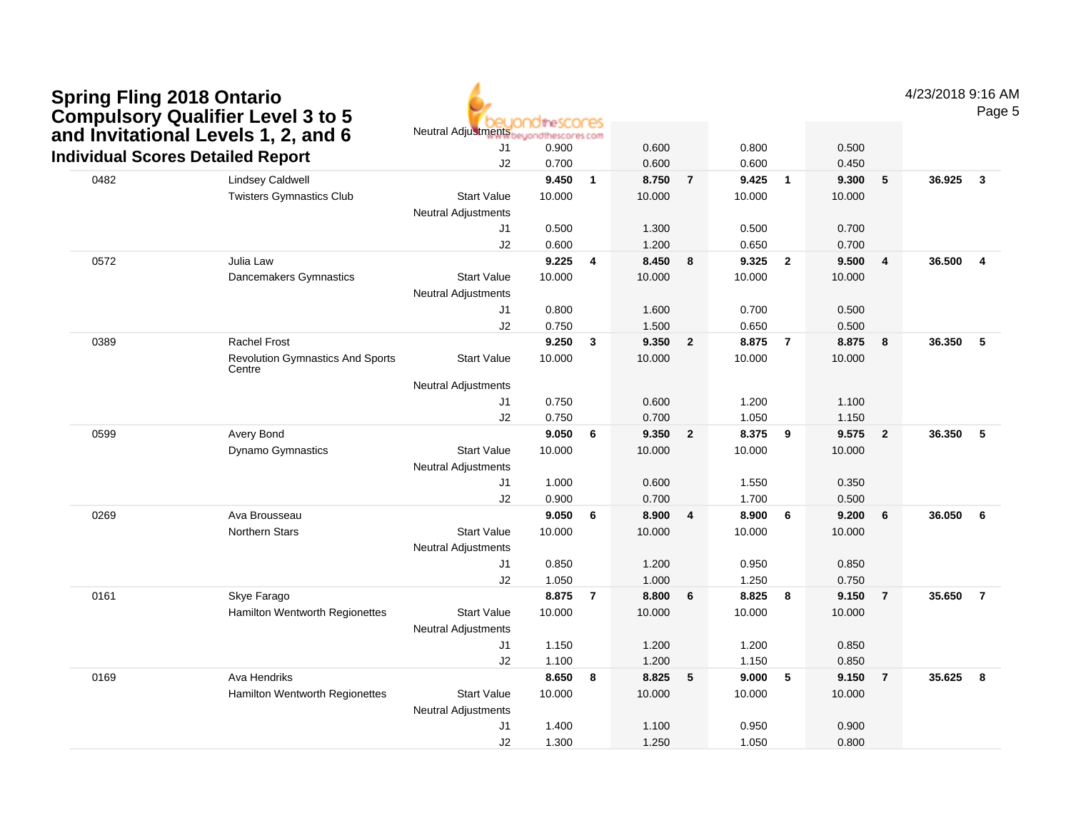| <b>Spring Fling 2018 Ontario</b>         |
|------------------------------------------|
| <b>Compulsory Qualifier Level 3 to 5</b> |
| and Invitational Levels 1, 2, and 6      |
| Individual Scores Detailed Report        |



4/23/2018 9:16 AM

Page 5

|      | anu invilational Levels 1, 2, anu o<br><b>Individual Scores Detailed Report</b> | J1                                               | rww.oeyonathescores.com<br>0.900 |                | 0.600  |                | 0.800  |                | 0.500  |                         |        |                         |
|------|---------------------------------------------------------------------------------|--------------------------------------------------|----------------------------------|----------------|--------|----------------|--------|----------------|--------|-------------------------|--------|-------------------------|
|      |                                                                                 | J2                                               | 0.700                            |                | 0.600  |                | 0.600  |                | 0.450  |                         |        |                         |
| 0482 | <b>Lindsey Caldwell</b>                                                         |                                                  | 9.450                            | $\mathbf{1}$   | 8.750  | $\overline{7}$ | 9.425  | $\overline{1}$ | 9.300  | 5                       | 36.925 | $\overline{\mathbf{3}}$ |
|      | <b>Twisters Gymnastics Club</b>                                                 | <b>Start Value</b>                               | 10.000                           |                | 10.000 |                | 10.000 |                | 10.000 |                         |        |                         |
|      |                                                                                 | <b>Neutral Adjustments</b>                       |                                  |                |        |                |        |                |        |                         |        |                         |
|      |                                                                                 | J <sub>1</sub>                                   | 0.500                            |                | 1.300  |                | 0.500  |                | 0.700  |                         |        |                         |
|      |                                                                                 | J2                                               | 0.600                            |                | 1.200  |                | 0.650  |                | 0.700  |                         |        |                         |
| 0572 | Julia Law                                                                       |                                                  | 9.225                            | 4              | 8.450  | 8              | 9.325  | $\overline{2}$ | 9.500  | $\overline{\mathbf{4}}$ | 36.500 | $\overline{4}$          |
|      | Dancemakers Gymnastics                                                          | <b>Start Value</b><br><b>Neutral Adjustments</b> | 10.000                           |                | 10.000 |                | 10.000 |                | 10.000 |                         |        |                         |
|      |                                                                                 | J <sub>1</sub>                                   | 0.800                            |                | 1.600  |                | 0.700  |                | 0.500  |                         |        |                         |
|      |                                                                                 | J2                                               | 0.750                            |                | 1.500  |                | 0.650  |                | 0.500  |                         |        |                         |
| 0389 | <b>Rachel Frost</b>                                                             |                                                  | 9.250                            | $\mathbf{3}$   | 9.350  | $\overline{2}$ | 8.875  | $\overline{7}$ | 8.875  | 8                       | 36.350 | 5                       |
|      | <b>Revolution Gymnastics And Sports</b><br>Centre                               | <b>Start Value</b>                               | 10.000                           |                | 10.000 |                | 10.000 |                | 10.000 |                         |        |                         |
|      |                                                                                 | Neutral Adjustments                              |                                  |                |        |                |        |                |        |                         |        |                         |
|      |                                                                                 | J <sub>1</sub>                                   | 0.750                            |                | 0.600  |                | 1.200  |                | 1.100  |                         |        |                         |
|      |                                                                                 | J2                                               | 0.750                            |                | 0.700  |                | 1.050  |                | 1.150  |                         |        |                         |
| 0599 | Avery Bond                                                                      |                                                  | 9.050                            | 6              | 9.350  | $\overline{2}$ | 8.375  | 9              | 9.575  | $\overline{2}$          | 36.350 | 5                       |
|      | <b>Dynamo Gymnastics</b>                                                        | <b>Start Value</b>                               | 10.000                           |                | 10.000 |                | 10.000 |                | 10.000 |                         |        |                         |
|      |                                                                                 | <b>Neutral Adjustments</b>                       |                                  |                |        |                |        |                |        |                         |        |                         |
|      |                                                                                 | J <sub>1</sub>                                   | 1.000                            |                | 0.600  |                | 1.550  |                | 0.350  |                         |        |                         |
|      |                                                                                 | J2                                               | 0.900                            |                | 0.700  |                | 1.700  |                | 0.500  |                         |        |                         |
| 0269 | Ava Brousseau                                                                   |                                                  | 9.050                            | 6              | 8.900  | 4              | 8.900  | 6              | 9.200  | 6                       | 36.050 | 6                       |
|      | <b>Northern Stars</b>                                                           | <b>Start Value</b><br><b>Neutral Adjustments</b> | 10.000                           |                | 10.000 |                | 10.000 |                | 10.000 |                         |        |                         |
|      |                                                                                 | J <sub>1</sub>                                   | 0.850                            |                | 1.200  |                | 0.950  |                | 0.850  |                         |        |                         |
|      |                                                                                 | J2                                               | 1.050                            |                | 1.000  |                | 1.250  |                | 0.750  |                         |        |                         |
| 0161 | Skye Farago                                                                     |                                                  | 8.875                            | $\overline{7}$ | 8.800  | 6              | 8.825  | 8              | 9.150  | $\overline{7}$          | 35.650 | $\overline{7}$          |
|      | Hamilton Wentworth Regionettes                                                  | <b>Start Value</b>                               | 10.000                           |                | 10.000 |                | 10.000 |                | 10.000 |                         |        |                         |
|      |                                                                                 | <b>Neutral Adjustments</b>                       |                                  |                |        |                |        |                |        |                         |        |                         |
|      |                                                                                 | J <sub>1</sub>                                   | 1.150                            |                | 1.200  |                | 1.200  |                | 0.850  |                         |        |                         |
|      |                                                                                 | J2                                               | 1.100                            |                | 1.200  |                | 1.150  |                | 0.850  |                         |        |                         |
| 0169 | Ava Hendriks                                                                    |                                                  | 8.650                            | 8              | 8.825  | 5              | 9.000  | 5              | 9.150  | $\overline{7}$          | 35.625 | $\overline{\mathbf{8}}$ |
|      | Hamilton Wentworth Regionettes                                                  | <b>Start Value</b>                               | 10.000                           |                | 10.000 |                | 10.000 |                | 10.000 |                         |        |                         |
|      |                                                                                 | <b>Neutral Adjustments</b>                       |                                  |                |        |                |        |                |        |                         |        |                         |
|      |                                                                                 | J1                                               | 1.400                            |                | 1.100  |                | 0.950  |                | 0.900  |                         |        |                         |
|      |                                                                                 | J2                                               | 1.300                            |                | 1.250  |                | 1.050  |                | 0.800  |                         |        |                         |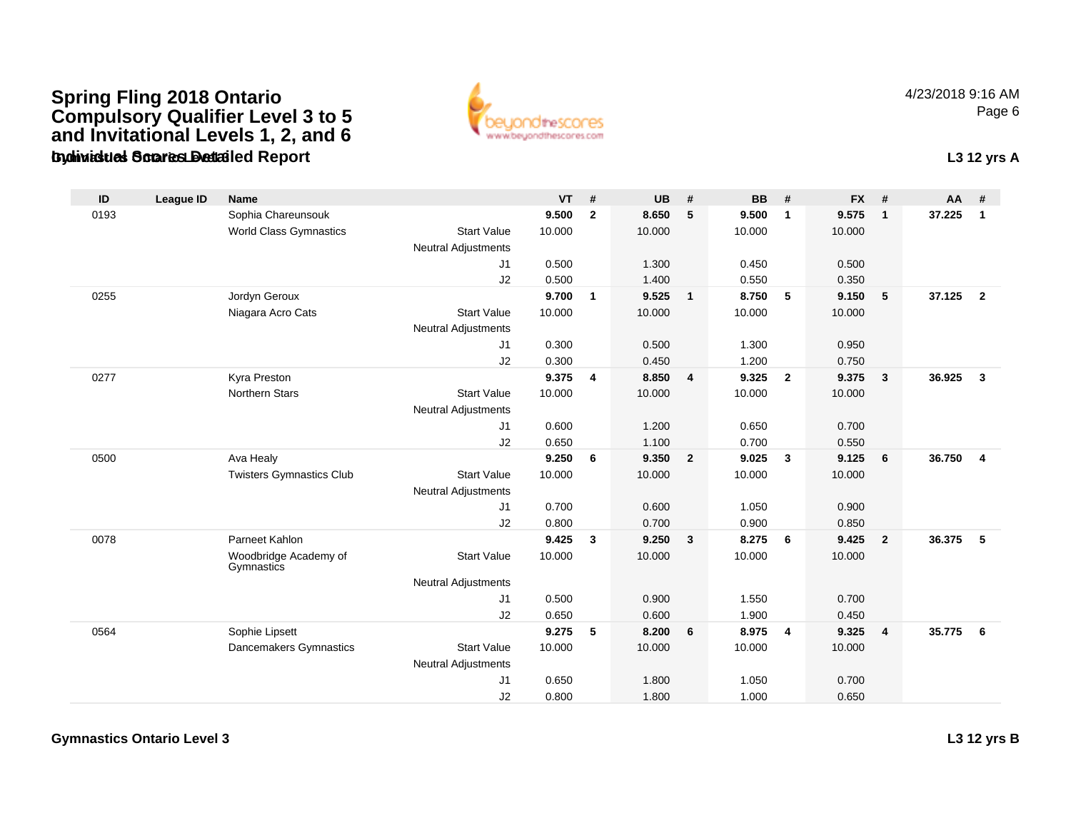### **Gymnastics Ontario Level 3Individual Scores Detailed Report L3 12 yrs ASpring Fling 2018 Ontario Compulsory Qualifier Level 3 to 5 and Invitational Levels 1, 2, and 6**



4/23/2018 9:16 AMPage 6

| ID   | <b>League ID</b> | <b>Name</b>                         |                            | $VT$ # |                         | <b>UB</b> | #                       | <b>BB</b> | #              | <b>FX</b> | #                       | AA     | #              |
|------|------------------|-------------------------------------|----------------------------|--------|-------------------------|-----------|-------------------------|-----------|----------------|-----------|-------------------------|--------|----------------|
| 0193 |                  | Sophia Chareunsouk                  |                            | 9.500  | $\overline{2}$          | 8.650     | 5                       | 9.500     | $\overline{1}$ | 9.575     | $\mathbf{1}$            | 37.225 | $\mathbf{1}$   |
|      |                  | <b>World Class Gymnastics</b>       | <b>Start Value</b>         | 10.000 |                         | 10.000    |                         | 10.000    |                | 10.000    |                         |        |                |
|      |                  |                                     | <b>Neutral Adjustments</b> |        |                         |           |                         |           |                |           |                         |        |                |
|      |                  |                                     | J1                         | 0.500  |                         | 1.300     |                         | 0.450     |                | 0.500     |                         |        |                |
|      |                  |                                     | J2                         | 0.500  |                         | 1.400     |                         | 0.550     |                | 0.350     |                         |        |                |
| 0255 |                  | Jordyn Geroux                       |                            | 9.700  | $\mathbf{1}$            | 9.525     | $\overline{1}$          | 8.750     | 5              | 9.150     | 5                       | 37.125 | $\overline{2}$ |
|      |                  | Niagara Acro Cats                   | <b>Start Value</b>         | 10.000 |                         | 10.000    |                         | 10.000    |                | 10.000    |                         |        |                |
|      |                  |                                     | <b>Neutral Adjustments</b> |        |                         |           |                         |           |                |           |                         |        |                |
|      |                  |                                     | J1                         | 0.300  |                         | 0.500     |                         | 1.300     |                | 0.950     |                         |        |                |
|      |                  |                                     | J2                         | 0.300  |                         | 0.450     |                         | 1.200     |                | 0.750     |                         |        |                |
| 0277 |                  | Kyra Preston                        |                            | 9.375  | $\overline{\mathbf{4}}$ | 8.850     | $\overline{4}$          | 9.325     | $\overline{2}$ | 9.375     | $\mathbf{3}$            | 36.925 | $\mathbf{3}$   |
|      |                  | <b>Northern Stars</b>               | <b>Start Value</b>         | 10.000 |                         | 10.000    |                         | 10.000    |                | 10.000    |                         |        |                |
|      |                  |                                     | <b>Neutral Adjustments</b> |        |                         |           |                         |           |                |           |                         |        |                |
|      |                  |                                     | J1                         | 0.600  |                         | 1.200     |                         | 0.650     |                | 0.700     |                         |        |                |
|      |                  |                                     | J2                         | 0.650  |                         | 1.100     |                         | 0.700     |                | 0.550     |                         |        |                |
| 0500 |                  | Ava Healy                           |                            | 9.250  | 6                       | 9.350     | $\overline{2}$          | 9.025     | $\mathbf{3}$   | 9.125     | 6                       | 36.750 | 4              |
|      |                  | <b>Twisters Gymnastics Club</b>     | <b>Start Value</b>         | 10.000 |                         | 10.000    |                         | 10.000    |                | 10.000    |                         |        |                |
|      |                  |                                     | <b>Neutral Adjustments</b> |        |                         |           |                         |           |                |           |                         |        |                |
|      |                  |                                     | J1                         | 0.700  |                         | 0.600     |                         | 1.050     |                | 0.900     |                         |        |                |
|      |                  |                                     | J2                         | 0.800  |                         | 0.700     |                         | 0.900     |                | 0.850     |                         |        |                |
| 0078 |                  | Parneet Kahlon                      |                            | 9.425  | $\mathbf{3}$            | 9.250     | $\overline{\mathbf{3}}$ | 8.275     | - 6            | 9.425     | $\overline{2}$          | 36.375 | 5              |
|      |                  | Woodbridge Academy of<br>Gymnastics | <b>Start Value</b>         | 10.000 |                         | 10.000    |                         | 10.000    |                | 10.000    |                         |        |                |
|      |                  |                                     | <b>Neutral Adjustments</b> |        |                         |           |                         |           |                |           |                         |        |                |
|      |                  |                                     | J1                         | 0.500  |                         | 0.900     |                         | 1.550     |                | 0.700     |                         |        |                |
|      |                  |                                     | J2                         | 0.650  |                         | 0.600     |                         | 1.900     |                | 0.450     |                         |        |                |
| 0564 |                  | Sophie Lipsett                      |                            | 9.275  | 5                       | 8.200     | 6                       | 8.975     | $\overline{4}$ | 9.325     | $\overline{\mathbf{4}}$ | 35.775 | 6              |
|      |                  | Dancemakers Gymnastics              | <b>Start Value</b>         | 10.000 |                         | 10.000    |                         | 10.000    |                | 10.000    |                         |        |                |
|      |                  |                                     | <b>Neutral Adjustments</b> |        |                         |           |                         |           |                |           |                         |        |                |
|      |                  |                                     | J1                         | 0.650  |                         | 1.800     |                         | 1.050     |                | 0.700     |                         |        |                |
|      |                  |                                     | J2                         | 0.800  |                         | 1.800     |                         | 1.000     |                | 0.650     |                         |        |                |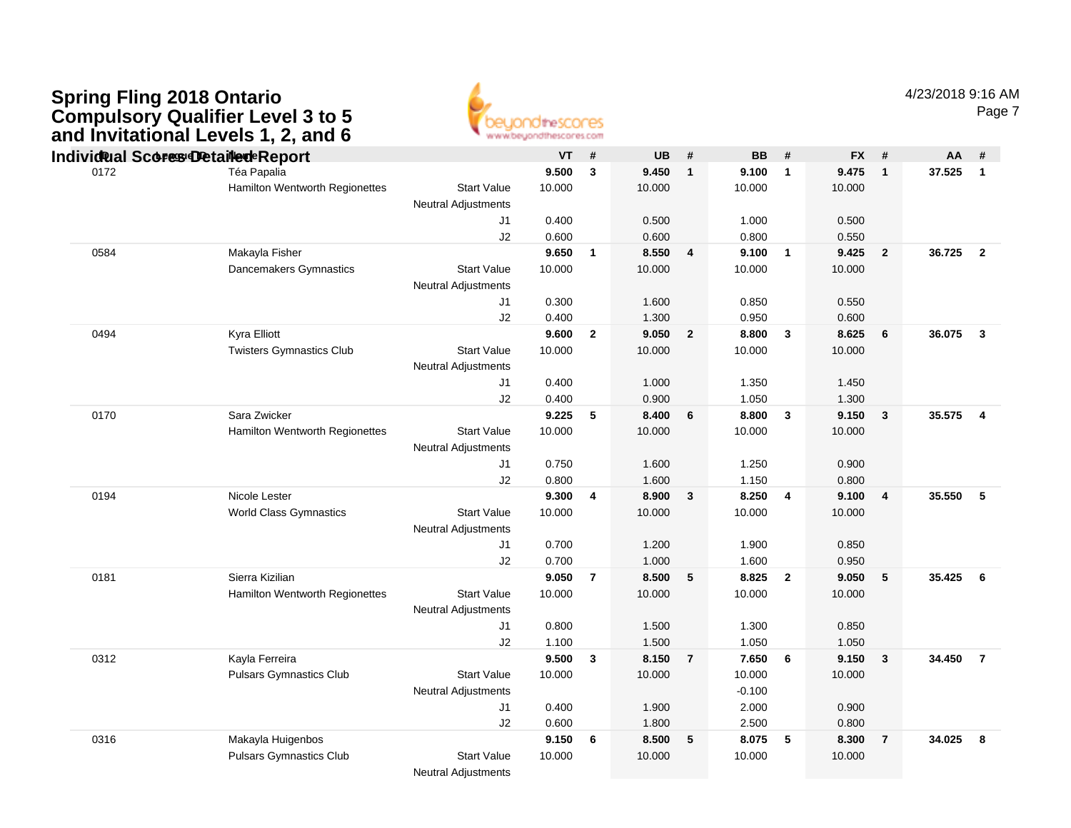

Page 7

|      | Individ al Scores Detaile de Report |                            | VT     | #                       | <b>UB</b> | #              | <b>BB</b> | #              | <b>FX</b> | - #                     | AA       | #                       |
|------|-------------------------------------|----------------------------|--------|-------------------------|-----------|----------------|-----------|----------------|-----------|-------------------------|----------|-------------------------|
| 0172 | Téa Papalia                         |                            | 9.500  | $\mathbf{3}$            | 9.450     | $\mathbf{1}$   | 9.100     | $\mathbf{1}$   | 9.475     | $\overline{\mathbf{1}}$ | 37.525   | $\mathbf{1}$            |
|      | Hamilton Wentworth Regionettes      | <b>Start Value</b>         | 10.000 |                         | 10.000    |                | 10.000    |                | 10.000    |                         |          |                         |
|      |                                     | <b>Neutral Adjustments</b> |        |                         |           |                |           |                |           |                         |          |                         |
|      |                                     | J1                         | 0.400  |                         | 0.500     |                | 1.000     |                | 0.500     |                         |          |                         |
|      |                                     | J2                         | 0.600  |                         | 0.600     |                | 0.800     |                | 0.550     |                         |          |                         |
| 0584 | Makayla Fisher                      |                            | 9.650  | $\overline{\mathbf{1}}$ | 8.550     | 4              | 9.100     | $\mathbf{1}$   | 9.425     | $\overline{\mathbf{2}}$ | 36.725   | $\overline{\mathbf{2}}$ |
|      | Dancemakers Gymnastics              | <b>Start Value</b>         | 10.000 |                         | 10.000    |                | 10.000    |                | 10.000    |                         |          |                         |
|      |                                     | <b>Neutral Adjustments</b> |        |                         |           |                |           |                |           |                         |          |                         |
|      |                                     | J1                         | 0.300  |                         | 1.600     |                | 0.850     |                | 0.550     |                         |          |                         |
|      |                                     | J2                         | 0.400  |                         | 1.300     |                | 0.950     |                | 0.600     |                         |          |                         |
| 0494 | Kyra Elliott                        |                            | 9.600  | $\overline{2}$          | 9.050     | $\overline{2}$ | 8.800     | 3              | 8.625     | 6                       | 36.075   | $\overline{\mathbf{3}}$ |
|      | <b>Twisters Gymnastics Club</b>     | <b>Start Value</b>         | 10.000 |                         | 10.000    |                | 10.000    |                | 10.000    |                         |          |                         |
|      |                                     | <b>Neutral Adjustments</b> |        |                         |           |                |           |                |           |                         |          |                         |
|      |                                     | J1                         | 0.400  |                         | 1.000     |                | 1.350     |                | 1.450     |                         |          |                         |
|      |                                     | J2                         | 0.400  |                         | 0.900     |                | 1.050     |                | 1.300     |                         |          |                         |
| 0170 | Sara Zwicker                        |                            | 9.225  | 5                       | 8.400     | 6              | 8.800     | $\mathbf{3}$   | 9.150     | $\mathbf{3}$            | 35.575   | $\overline{4}$          |
|      | Hamilton Wentworth Regionettes      | <b>Start Value</b>         | 10.000 |                         | 10.000    |                | 10.000    |                | 10.000    |                         |          |                         |
|      |                                     | Neutral Adjustments        |        |                         |           |                |           |                |           |                         |          |                         |
|      |                                     | J1                         | 0.750  |                         | 1.600     |                | 1.250     |                | 0.900     |                         |          |                         |
|      |                                     | J2                         | 0.800  |                         | 1.600     |                | 1.150     |                | 0.800     |                         |          |                         |
| 0194 | Nicole Lester                       |                            | 9.300  | $\overline{\mathbf{4}}$ | 8.900     | 3              | 8.250     | 4              | 9.100     | $\overline{4}$          | 35.550   | 5                       |
|      | <b>World Class Gymnastics</b>       | <b>Start Value</b>         | 10.000 |                         | 10.000    |                | 10.000    |                | 10.000    |                         |          |                         |
|      |                                     | Neutral Adjustments        |        |                         |           |                |           |                |           |                         |          |                         |
|      |                                     | J <sub>1</sub>             | 0.700  |                         | 1.200     |                | 1.900     |                | 0.850     |                         |          |                         |
|      |                                     | J2                         | 0.700  |                         | 1.000     |                | 1.600     |                | 0.950     |                         |          |                         |
| 0181 | Sierra Kizilian                     |                            | 9.050  | $\overline{7}$          | 8.500     | 5              | 8.825     | $\overline{2}$ | 9.050     | $\sqrt{5}$              | 35.425 6 |                         |
|      | Hamilton Wentworth Regionettes      | <b>Start Value</b>         | 10.000 |                         | 10.000    |                | 10.000    |                | 10.000    |                         |          |                         |
|      |                                     | Neutral Adjustments        |        |                         |           |                |           |                |           |                         |          |                         |
|      |                                     | J1                         | 0.800  |                         | 1.500     |                | 1.300     |                | 0.850     |                         |          |                         |
|      |                                     | J2                         | 1.100  |                         | 1.500     |                | 1.050     |                | 1.050     |                         |          |                         |
| 0312 | Kayla Ferreira                      |                            | 9.500  | $\overline{\mathbf{3}}$ | 8.150     | $\overline{7}$ | 7.650     | 6              | 9.150     | $\overline{\mathbf{3}}$ | 34.450   | $\overline{7}$          |
|      | <b>Pulsars Gymnastics Club</b>      | <b>Start Value</b>         | 10.000 |                         | 10.000    |                | 10.000    |                | 10.000    |                         |          |                         |
|      |                                     | Neutral Adjustments        |        |                         |           |                | $-0.100$  |                |           |                         |          |                         |
|      |                                     | J <sub>1</sub>             | 0.400  |                         | 1.900     |                | 2.000     |                | 0.900     |                         |          |                         |
|      |                                     | J2                         | 0.600  |                         | 1.800     |                | 2.500     |                | 0.800     |                         |          |                         |
| 0316 | Makayla Huigenbos                   |                            | 9.150  | - 6                     | 8.500     | 5              | 8.075     | 5              | 8.300     | $\overline{7}$          | 34.025   | 8                       |
|      | <b>Pulsars Gymnastics Club</b>      | <b>Start Value</b>         | 10.000 |                         | 10.000    |                | 10.000    |                | 10.000    |                         |          |                         |
|      |                                     | <b>Neutral Adjustments</b> |        |                         |           |                |           |                |           |                         |          |                         |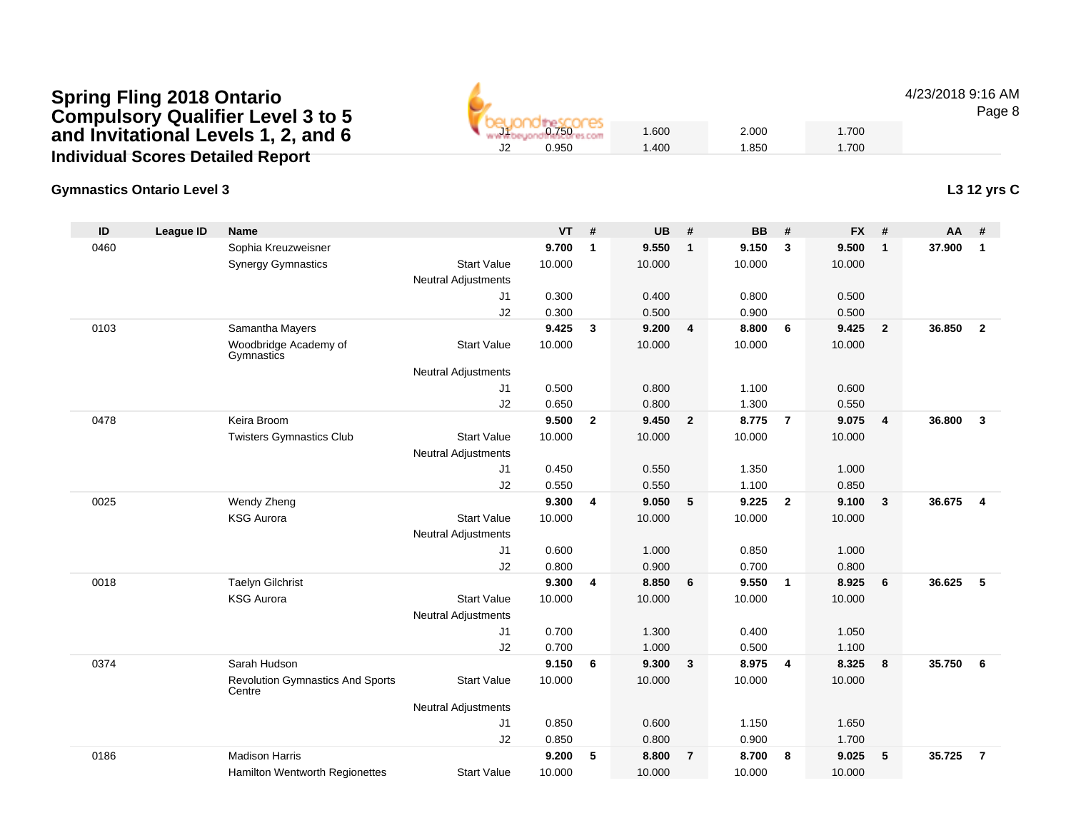# **Spring Fling 2018 Ontario Compulsory Qualifier Level 3 to 5 and Invitational Levels 1, 2, and 6Individual Scores Detailed Report**

### **Gymnastics Ontario Level 3**

| ID   | <b>League ID</b> | <b>Name</b>                                       |                            | <b>VT</b> | #                       | <b>UB</b> | #                       | <b>BB</b> | #              | <b>FX</b> | #            | AA     | #              |
|------|------------------|---------------------------------------------------|----------------------------|-----------|-------------------------|-----------|-------------------------|-----------|----------------|-----------|--------------|--------|----------------|
| 0460 |                  | Sophia Kreuzweisner                               |                            | 9.700     | $\mathbf{1}$            | 9.550     | $\overline{1}$          | 9.150     | 3              | 9.500     | $\mathbf{1}$ | 37.900 | $\mathbf{1}$   |
|      |                  | <b>Synergy Gymnastics</b>                         | <b>Start Value</b>         | 10.000    |                         | 10.000    |                         | 10.000    |                | 10.000    |              |        |                |
|      |                  |                                                   | <b>Neutral Adjustments</b> |           |                         |           |                         |           |                |           |              |        |                |
|      |                  |                                                   | J <sub>1</sub>             | 0.300     |                         | 0.400     |                         | 0.800     |                | 0.500     |              |        |                |
|      |                  |                                                   | J2                         | 0.300     |                         | 0.500     |                         | 0.900     |                | 0.500     |              |        |                |
| 0103 |                  | Samantha Mayers                                   |                            | 9.425     | $\mathbf{3}$            | 9.200     | $\overline{4}$          | 8.800     | 6              | 9.425     | $\mathbf{2}$ | 36.850 | $\overline{2}$ |
|      |                  | Woodbridge Academy of<br>Gymnastics               | <b>Start Value</b>         | 10.000    |                         | 10.000    |                         | 10.000    |                | 10.000    |              |        |                |
|      |                  |                                                   | <b>Neutral Adjustments</b> |           |                         |           |                         |           |                |           |              |        |                |
|      |                  |                                                   | J1                         | 0.500     |                         | 0.800     |                         | 1.100     |                | 0.600     |              |        |                |
|      |                  |                                                   | J2                         | 0.650     |                         | 0.800     |                         | 1.300     |                | 0.550     |              |        |                |
| 0478 |                  | Keira Broom                                       |                            | 9.500     | $\mathbf{2}$            | 9.450     | $\overline{\mathbf{2}}$ | 8.775     | $\overline{7}$ | 9.075     | 4            | 36.800 | $\mathbf{3}$   |
|      |                  | <b>Twisters Gymnastics Club</b>                   | <b>Start Value</b>         | 10.000    |                         | 10.000    |                         | 10.000    |                | 10.000    |              |        |                |
|      |                  |                                                   | <b>Neutral Adjustments</b> |           |                         |           |                         |           |                |           |              |        |                |
|      |                  |                                                   | J1                         | 0.450     |                         | 0.550     |                         | 1.350     |                | 1.000     |              |        |                |
|      |                  |                                                   | J2                         | 0.550     |                         | 0.550     |                         | 1.100     |                | 0.850     |              |        |                |
| 0025 |                  | Wendy Zheng                                       |                            | 9.300     | $\overline{\mathbf{4}}$ | 9.050     | 5                       | 9.225     | $\overline{2}$ | 9.100     | 3            | 36.675 | $\overline{4}$ |
|      |                  | <b>KSG Aurora</b>                                 | <b>Start Value</b>         | 10.000    |                         | 10.000    |                         | 10.000    |                | 10.000    |              |        |                |
|      |                  |                                                   | Neutral Adjustments        |           |                         |           |                         |           |                |           |              |        |                |
|      |                  |                                                   | J1                         | 0.600     |                         | 1.000     |                         | 0.850     |                | 1.000     |              |        |                |
|      |                  |                                                   | J2                         | 0.800     |                         | 0.900     |                         | 0.700     |                | 0.800     |              |        |                |
| 0018 |                  | <b>Taelyn Gilchrist</b>                           |                            | 9.300     | $\overline{\mathbf{4}}$ | 8.850     | 6                       | 9.550     | $\overline{1}$ | 8.925     | 6            | 36.625 | 5              |
|      |                  | <b>KSG Aurora</b>                                 | <b>Start Value</b>         | 10.000    |                         | 10.000    |                         | 10.000    |                | 10.000    |              |        |                |
|      |                  |                                                   | <b>Neutral Adjustments</b> |           |                         |           |                         |           |                |           |              |        |                |
|      |                  |                                                   | J <sub>1</sub>             | 0.700     |                         | 1.300     |                         | 0.400     |                | 1.050     |              |        |                |
|      |                  |                                                   | J2                         | 0.700     |                         | 1.000     |                         | 0.500     |                | 1.100     |              |        |                |
| 0374 |                  | Sarah Hudson                                      |                            | 9.150     | 6                       | 9.300     | $\mathbf{3}$            | 8.975     | $\overline{4}$ | 8.325     | 8            | 35.750 | 6              |
|      |                  | <b>Revolution Gymnastics And Sports</b><br>Centre | <b>Start Value</b>         | 10.000    |                         | 10.000    |                         | 10.000    |                | 10.000    |              |        |                |
|      |                  |                                                   | <b>Neutral Adjustments</b> |           |                         |           |                         |           |                |           |              |        |                |
|      |                  |                                                   | J <sub>1</sub>             | 0.850     |                         | 0.600     |                         | 1.150     |                | 1.650     |              |        |                |
|      |                  |                                                   | J2                         | 0.850     |                         | 0.800     |                         | 0.900     |                | 1.700     |              |        |                |
| 0186 |                  | <b>Madison Harris</b>                             |                            | 9.200     | 5                       | 8.800     | $\overline{7}$          | 8.700     | 8              | 9.025     | 5            | 35.725 | $\overline{7}$ |
|      |                  | Hamilton Wentworth Regionettes                    | <b>Start Value</b>         | 10.000    |                         | 10.000    |                         | 10.000    |                | 10.000    |              |        |                |

4/23/2018 9:16 AM

Page 8

**L3 12 yrs C**

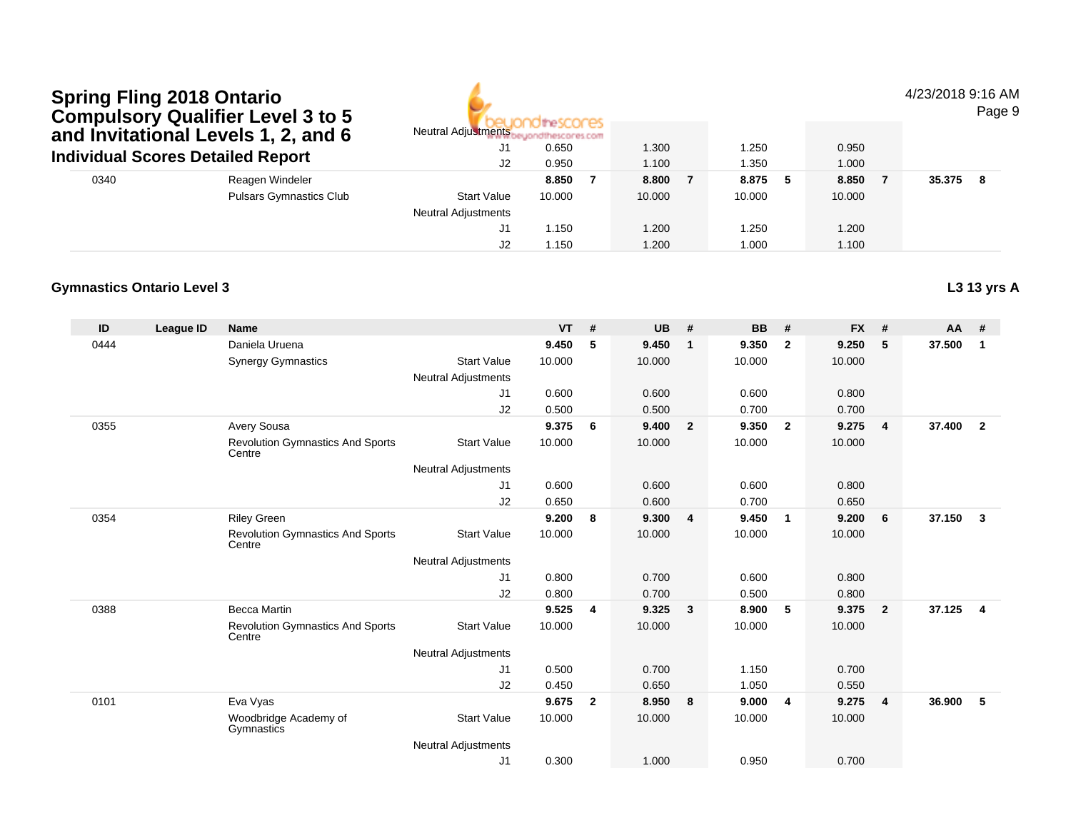# **Spring Fling 2018 Ontario Compulsory Qualifier Level 3 to 5 and Invitational Levels 1, 2, and 6Individual Scores Detailed Report**

Pulsars Gymnastics Club

0340

**Gymnastics Ontario Level 3**

the! ores: Neutral Adjustmentsbeyondthescores.com J1 0.650 1.300 1.250 0.950 J22 0.950 1.100 1.350 1.000

J1

J2

Neutral Adjustments

Reagen Windeler **8.850 <sup>7</sup> 8.800 <sup>7</sup> 8.875 <sup>5</sup> 8.850 <sup>7</sup> 35.375 <sup>8</sup>**

Start Value 10.000 10.000 10.000 10.000

1.150 1.200 1.250 1.200

1.150 1.200 1.000 1.100

#### 4/23/2018 9:16 AM

Page 9

### **L3 13 yrs A**

| ID   | League ID | <b>Name</b>                                       |                            | <b>VT</b> | #            | <b>UB</b> | #            | <b>BB</b> | #              | <b>FX</b> | #              | AA     |                         |
|------|-----------|---------------------------------------------------|----------------------------|-----------|--------------|-----------|--------------|-----------|----------------|-----------|----------------|--------|-------------------------|
| 0444 |           | Daniela Uruena                                    |                            | 9.450     | 5            | 9.450     | 1            | 9.350     | $\mathbf{2}$   | 9.250     | 5              | 37.500 |                         |
|      |           | <b>Synergy Gymnastics</b>                         | <b>Start Value</b>         | 10.000    |              | 10.000    |              | 10.000    |                | 10.000    |                |        |                         |
|      |           |                                                   | Neutral Adjustments        |           |              |           |              |           |                |           |                |        |                         |
|      |           |                                                   | J <sub>1</sub>             | 0.600     |              | 0.600     |              | 0.600     |                | 0.800     |                |        |                         |
|      |           |                                                   | J2                         | 0.500     |              | 0.500     |              | 0.700     |                | 0.700     |                |        |                         |
| 0355 |           | Avery Sousa                                       |                            | 9.375     | 6            | 9.400     | $\mathbf{2}$ | 9.350     | $\overline{2}$ | 9.275     | $\overline{4}$ | 37.400 | $\overline{\mathbf{2}}$ |
|      |           | <b>Revolution Gymnastics And Sports</b><br>Centre | <b>Start Value</b>         | 10.000    |              | 10.000    |              | 10.000    |                | 10.000    |                |        |                         |
|      |           |                                                   | <b>Neutral Adjustments</b> |           |              |           |              |           |                |           |                |        |                         |
|      |           |                                                   | J <sub>1</sub>             | 0.600     |              | 0.600     |              | 0.600     |                | 0.800     |                |        |                         |
|      |           |                                                   | J <sub>2</sub>             | 0.650     |              | 0.600     |              | 0.700     |                | 0.650     |                |        |                         |
| 0354 |           | <b>Riley Green</b>                                |                            | 9.200     | 8            | 9.300     | 4            | 9.450     | 1              | 9.200     | 6              | 37.150 | 3                       |
|      |           | <b>Revolution Gymnastics And Sports</b><br>Centre | <b>Start Value</b>         | 10.000    |              | 10.000    |              | 10.000    |                | 10.000    |                |        |                         |
|      |           |                                                   | <b>Neutral Adjustments</b> |           |              |           |              |           |                |           |                |        |                         |
|      |           |                                                   | J <sub>1</sub>             | 0.800     |              | 0.700     |              | 0.600     |                | 0.800     |                |        |                         |
|      |           |                                                   | J <sub>2</sub>             | 0.800     |              | 0.700     |              | 0.500     |                | 0.800     |                |        |                         |
| 0388 |           | <b>Becca Martin</b>                               |                            | 9.525     | 4            | 9.325     | 3            | 8.900     | 5              | 9.375     | $\mathbf{2}$   | 37.125 | 4                       |
|      |           | <b>Revolution Gymnastics And Sports</b><br>Centre | <b>Start Value</b>         | 10.000    |              | 10.000    |              | 10.000    |                | 10.000    |                |        |                         |
|      |           |                                                   | Neutral Adjustments        |           |              |           |              |           |                |           |                |        |                         |
|      |           |                                                   | J <sub>1</sub>             | 0.500     |              | 0.700     |              | 1.150     |                | 0.700     |                |        |                         |
|      |           |                                                   | J2                         | 0.450     |              | 0.650     |              | 1.050     |                | 0.550     |                |        |                         |
| 0101 |           | Eva Vyas                                          |                            | 9.675     | $\mathbf{2}$ | 8.950     | 8            | 9.000     | 4              | 9.275     | 4              | 36.900 | 5                       |
|      |           | Woodbridge Academy of<br>Gymnastics               | <b>Start Value</b>         | 10.000    |              | 10.000    |              | 10.000    |                | 10.000    |                |        |                         |

Neutral Adjustments

 J10.300 1.000 0.950 0.700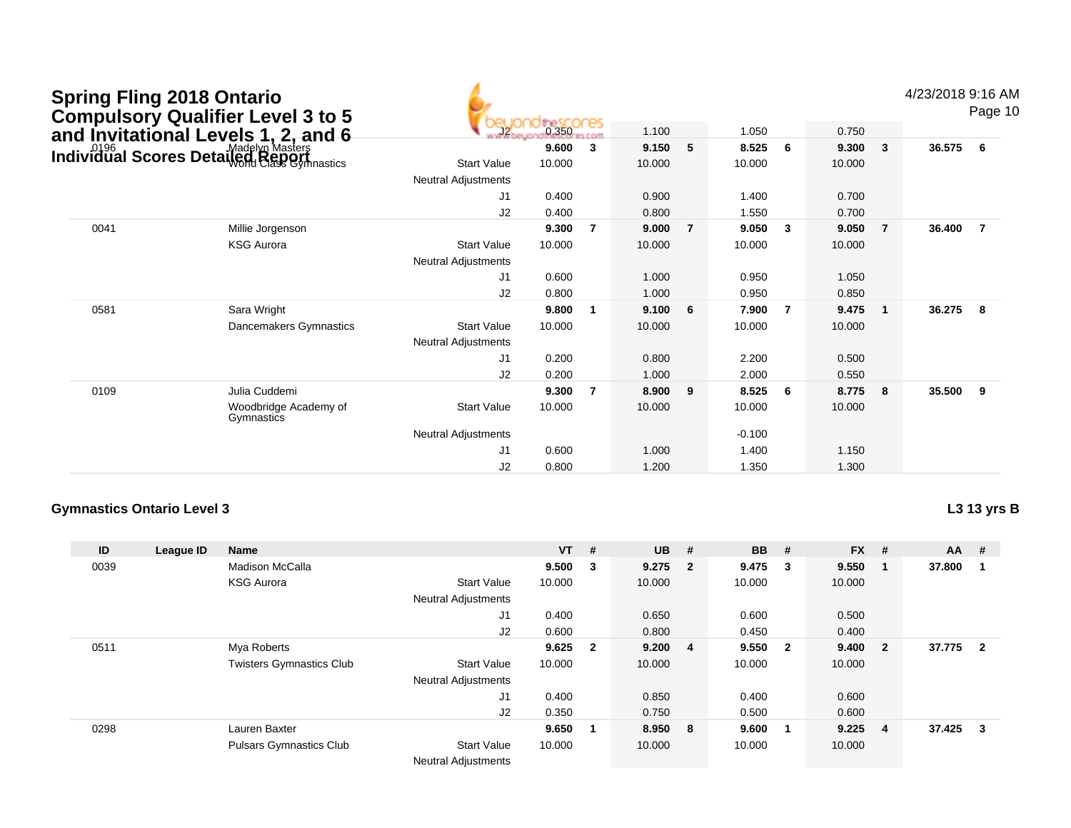|      | <b>Spring Fling 2018 Ontario</b><br><b>Compulsory Qualifier Level 3 to 5</b> |                            |        |                |        |                |          |                |        |                | 4/23/2018 9:16 AM | Page 10        |
|------|------------------------------------------------------------------------------|----------------------------|--------|----------------|--------|----------------|----------|----------------|--------|----------------|-------------------|----------------|
|      | and Invitational Levels 1, 2, and 6<br>Individual Scores Detailed Massers    |                            | 0.350  | com            | 1.100  |                | 1.050    |                | 0.750  |                |                   |                |
|      |                                                                              |                            | 9.600  | $\mathbf{3}$   | 9.150  | 5              | 8.525    | 6              | 9.300  | $\mathbf{3}$   | 36.575            | 6              |
|      |                                                                              | <b>Start Value</b>         | 10.000 |                | 10.000 |                | 10.000   |                | 10.000 |                |                   |                |
|      |                                                                              | <b>Neutral Adjustments</b> |        |                |        |                |          |                |        |                |                   |                |
|      |                                                                              | J1                         | 0.400  |                | 0.900  |                | 1.400    |                | 0.700  |                |                   |                |
|      |                                                                              | J2                         | 0.400  |                | 0.800  |                | 1.550    |                | 0.700  |                |                   |                |
| 0041 | Millie Jorgenson                                                             |                            | 9.300  | $\overline{7}$ | 9.000  | $\overline{7}$ | 9.050    | 3              | 9.050  | $\overline{7}$ | 36.400            | $\overline{7}$ |
|      | <b>KSG Aurora</b>                                                            | <b>Start Value</b>         | 10.000 |                | 10.000 |                | 10.000   |                | 10.000 |                |                   |                |
|      |                                                                              | <b>Neutral Adjustments</b> |        |                |        |                |          |                |        |                |                   |                |
|      |                                                                              | J <sub>1</sub>             | 0.600  |                | 1.000  |                | 0.950    |                | 1.050  |                |                   |                |
|      |                                                                              | J2                         | 0.800  |                | 1.000  |                | 0.950    |                | 0.850  |                |                   |                |
| 0581 | Sara Wright                                                                  |                            | 9.800  | 1              | 9.100  | 6              | 7.900    | $\overline{7}$ | 9.475  | $\mathbf{1}$   | 36.275            | 8              |
|      | Dancemakers Gymnastics                                                       | <b>Start Value</b>         | 10.000 |                | 10.000 |                | 10.000   |                | 10.000 |                |                   |                |
|      |                                                                              | <b>Neutral Adjustments</b> |        |                |        |                |          |                |        |                |                   |                |
|      |                                                                              | J1                         | 0.200  |                | 0.800  |                | 2.200    |                | 0.500  |                |                   |                |
|      |                                                                              | J2                         | 0.200  |                | 1.000  |                | 2.000    |                | 0.550  |                |                   |                |
| 0109 | Julia Cuddemi                                                                |                            | 9.300  | $\overline{7}$ | 8.900  | 9              | 8.525    | 6              | 8.775  | 8              | 35.500            | 9              |
|      | Woodbridge Academy of<br>Gymnastics                                          | <b>Start Value</b>         | 10.000 |                | 10.000 |                | 10.000   |                | 10.000 |                |                   |                |
|      |                                                                              | <b>Neutral Adjustments</b> |        |                |        |                | $-0.100$ |                |        |                |                   |                |
|      |                                                                              | J <sub>1</sub>             | 0.600  |                | 1.000  |                | 1.400    |                | 1.150  |                |                   |                |
|      |                                                                              | J2                         | 0.800  |                | 1.200  |                | 1.350    |                | 1.300  |                |                   |                |

| <b>Gymnastics Ontario Level 3</b> |  |  |
|-----------------------------------|--|--|
|-----------------------------------|--|--|

| ID   | League ID | Name                            |                            | <b>VT</b> | #                       | <b>UB</b> | -#                       | <b>BB</b> | #  | <b>FX</b> | #              | $AA$ #   |   |
|------|-----------|---------------------------------|----------------------------|-----------|-------------------------|-----------|--------------------------|-----------|----|-----------|----------------|----------|---|
| 0039 |           | Madison McCalla                 |                            | 9.500     | $_{3}$                  | 9.275     | $\overline{\phantom{a}}$ | 9.475     | -3 | 9.550     |                | 37.800   |   |
|      |           | <b>KSG Aurora</b>               | <b>Start Value</b>         | 10.000    |                         | 10.000    |                          | 10.000    |    | 10.000    |                |          |   |
|      |           |                                 | <b>Neutral Adjustments</b> |           |                         |           |                          |           |    |           |                |          |   |
|      |           |                                 | J1                         | 0.400     |                         | 0.650     |                          | 0.600     |    | 0.500     |                |          |   |
|      |           |                                 | J2                         | 0.600     |                         | 0.800     |                          | 0.450     |    | 0.400     |                |          |   |
| 0511 |           | Mya Roberts                     |                            | 9.625     | $\overline{\mathbf{2}}$ | 9.200     | $\overline{4}$           | 9.550     | -2 | 9.400     | $\overline{2}$ | 37.775 2 |   |
|      |           | <b>Twisters Gymnastics Club</b> | <b>Start Value</b>         | 10.000    |                         | 10.000    |                          | 10.000    |    | 10.000    |                |          |   |
|      |           |                                 | <b>Neutral Adjustments</b> |           |                         |           |                          |           |    |           |                |          |   |
|      |           |                                 | J1                         | 0.400     |                         | 0.850     |                          | 0.400     |    | 0.600     |                |          |   |
|      |           |                                 | J2                         | 0.350     |                         | 0.750     |                          | 0.500     |    | 0.600     |                |          |   |
| 0298 |           | Lauren Baxter                   |                            | 9.650     |                         | 8.950 8   |                          | 9.600     | -1 | 9.225     | $\overline{4}$ | 37.425   | 3 |
|      |           | <b>Pulsars Gymnastics Club</b>  | <b>Start Value</b>         | 10.000    |                         | 10.000    |                          | 10.000    |    | 10.000    |                |          |   |
|      |           |                                 | <b>Neutral Adjustments</b> |           |                         |           |                          |           |    |           |                |          |   |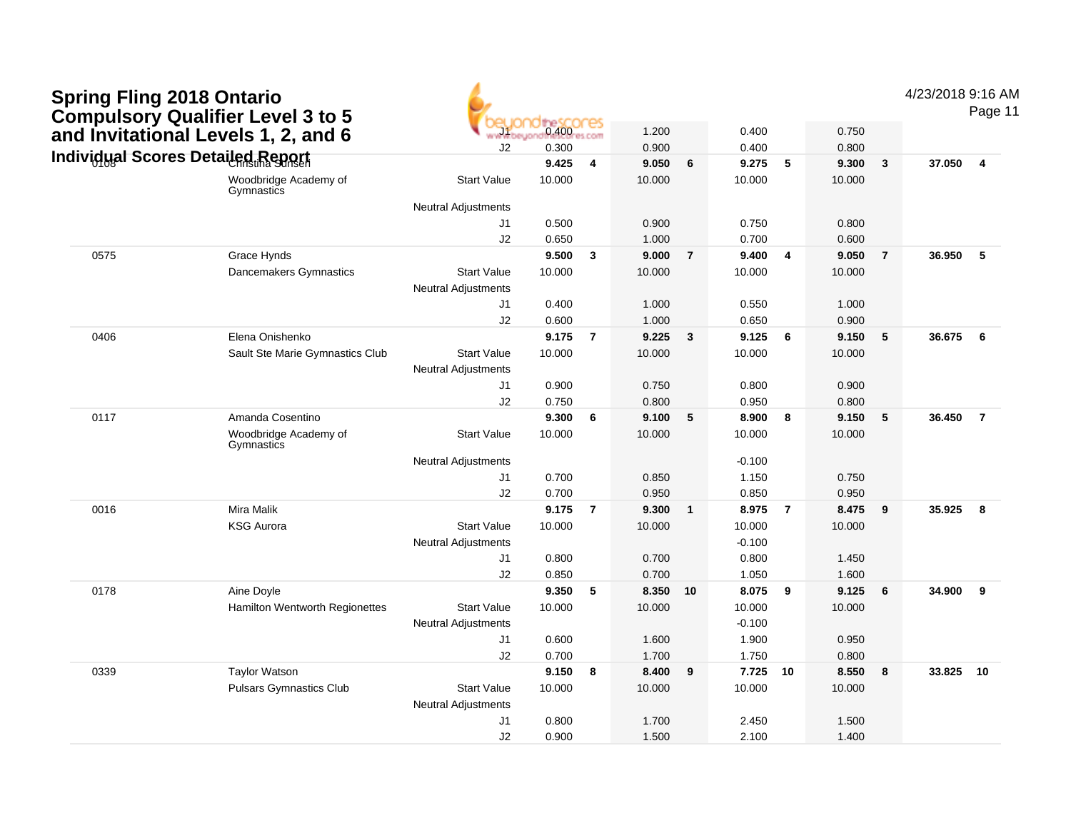|      | <b>Spring Fling 2018 Ontario<br/>Compulsory Qualifier Level 3 to 5</b> |                            |        |                |        |                 |          |                |        |                | 4/23/2018 9:16 AM | Page 11        |
|------|------------------------------------------------------------------------|----------------------------|--------|----------------|--------|-----------------|----------|----------------|--------|----------------|-------------------|----------------|
|      | and Invitational Levels 1, 2, and 6                                    | $-11$                      | 0.400  |                | 1.200  |                 | 0.400    |                | 0.750  |                |                   |                |
|      |                                                                        | J2                         | 0.300  |                | 0.900  |                 | 0.400    |                | 0.800  |                |                   |                |
|      | Individual Scores Detailed Report                                      |                            | 9.425  | $\overline{4}$ | 9.050  | $6\phantom{1}6$ | 9.275    | 5              | 9.300  | $\mathbf{3}$   | 37.050            | $\overline{4}$ |
|      | Woodbridge Academy of<br>Gymnastics                                    | <b>Start Value</b>         | 10.000 |                | 10.000 |                 | 10.000   |                | 10.000 |                |                   |                |
|      |                                                                        | <b>Neutral Adjustments</b> |        |                |        |                 |          |                |        |                |                   |                |
|      |                                                                        | J1                         | 0.500  |                | 0.900  |                 | 0.750    |                | 0.800  |                |                   |                |
|      |                                                                        | J2                         | 0.650  |                | 1.000  |                 | 0.700    |                | 0.600  |                |                   |                |
| 0575 | Grace Hynds                                                            |                            | 9.500  | $\mathbf{3}$   | 9.000  | $\overline{7}$  | 9.400    | 4              | 9.050  | $\overline{7}$ | 36.950            | 5              |
|      | Dancemakers Gymnastics                                                 | <b>Start Value</b>         | 10.000 |                | 10.000 |                 | 10.000   |                | 10.000 |                |                   |                |
|      |                                                                        | <b>Neutral Adjustments</b> |        |                |        |                 |          |                |        |                |                   |                |
|      |                                                                        | J1                         | 0.400  |                | 1.000  |                 | 0.550    |                | 1.000  |                |                   |                |
|      |                                                                        | J2                         | 0.600  |                | 1.000  |                 | 0.650    |                | 0.900  |                |                   |                |
| 0406 | Elena Onishenko                                                        |                            | 9.175  | $\overline{7}$ | 9.225  | $\mathbf{3}$    | 9.125    | 6              | 9.150  | 5              | 36.675            | 6              |
|      | Sault Ste Marie Gymnastics Club                                        | <b>Start Value</b>         | 10.000 |                | 10.000 |                 | 10.000   |                | 10.000 |                |                   |                |
|      |                                                                        | <b>Neutral Adjustments</b> |        |                |        |                 |          |                |        |                |                   |                |
|      |                                                                        | J1                         | 0.900  |                | 0.750  |                 | 0.800    |                | 0.900  |                |                   |                |
|      |                                                                        | J2                         | 0.750  |                | 0.800  |                 | 0.950    |                | 0.800  |                |                   |                |
| 0117 | Amanda Cosentino                                                       |                            | 9.300  | 6              | 9.100  | 5               | 8.900    | 8              | 9.150  | 5              | 36.450            | $\overline{7}$ |
|      | Woodbridge Academy of<br>Gymnastics                                    | <b>Start Value</b>         | 10.000 |                | 10.000 |                 | 10.000   |                | 10.000 |                |                   |                |
|      |                                                                        | <b>Neutral Adjustments</b> |        |                |        |                 | $-0.100$ |                |        |                |                   |                |
|      |                                                                        | J1                         | 0.700  |                | 0.850  |                 | 1.150    |                | 0.750  |                |                   |                |
|      |                                                                        | J2                         | 0.700  |                | 0.950  |                 | 0.850    |                | 0.950  |                |                   |                |
| 0016 | <b>Mira Malik</b>                                                      |                            | 9.175  | $\overline{7}$ | 9.300  | $\mathbf{1}$    | 8.975    | $\overline{7}$ | 8.475  | 9              | 35.925            | 8              |
|      | <b>KSG Aurora</b>                                                      | <b>Start Value</b>         | 10.000 |                | 10.000 |                 | 10.000   |                | 10.000 |                |                   |                |
|      |                                                                        | <b>Neutral Adjustments</b> |        |                |        |                 | $-0.100$ |                |        |                |                   |                |
|      |                                                                        | J1                         | 0.800  |                | 0.700  |                 | 0.800    |                | 1.450  |                |                   |                |
|      |                                                                        | J <sub>2</sub>             | 0.850  |                | 0.700  |                 | 1.050    |                | 1.600  |                |                   |                |
| 0178 | Aine Doyle                                                             |                            | 9.350  | -5             | 8.350  | 10              | 8.075    | 9              | 9.125  | 6              | 34.900            | 9              |
|      | Hamilton Wentworth Regionettes                                         | <b>Start Value</b>         | 10.000 |                | 10.000 |                 | 10.000   |                | 10.000 |                |                   |                |
|      |                                                                        | <b>Neutral Adjustments</b> |        |                |        |                 | $-0.100$ |                |        |                |                   |                |
|      |                                                                        | J1                         | 0.600  |                | 1.600  |                 | 1.900    |                | 0.950  |                |                   |                |
|      |                                                                        | J2                         | 0.700  |                | 1.700  |                 | 1.750    |                | 0.800  |                |                   |                |
| 0339 | <b>Taylor Watson</b>                                                   |                            | 9.150  | 8              | 8.400  | 9               | 7.725    | 10             | 8.550  | 8              | 33.825            | 10             |
|      | <b>Pulsars Gymnastics Club</b>                                         | <b>Start Value</b>         | 10.000 |                | 10.000 |                 | 10.000   |                | 10.000 |                |                   |                |
|      |                                                                        | <b>Neutral Adjustments</b> |        |                |        |                 |          |                |        |                |                   |                |
|      |                                                                        | J1                         | 0.800  |                | 1.700  |                 | 2.450    |                | 1.500  |                |                   |                |
|      |                                                                        | J2                         | 0.900  |                | 1.500  |                 | 2.100    |                | 1.400  |                |                   |                |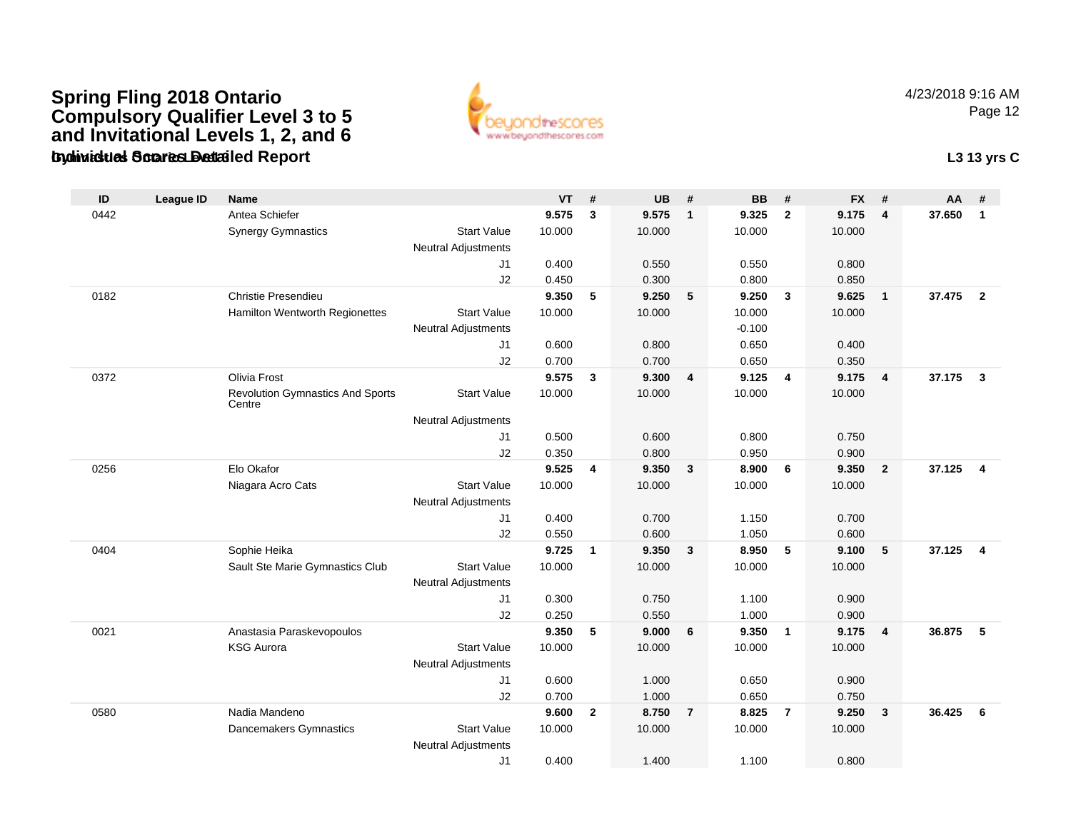### **Gymnastics Ontario Level 3Individual Scores Detailed Report L3 13 yrs CSpring Fling 2018 Ontario Compulsory Qualifier Level 3 to 5 and Invitational Levels 1, 2, and 6**



4/23/2018 9:16 AMPage 12

| ID   | <b>League ID</b> | <b>Name</b>                                       |                            | <b>VT</b> | #            | <b>UB</b> | #              | <b>BB</b> | #              | <b>FX</b> | #                       | AA     | #                       |
|------|------------------|---------------------------------------------------|----------------------------|-----------|--------------|-----------|----------------|-----------|----------------|-----------|-------------------------|--------|-------------------------|
| 0442 |                  | Antea Schiefer                                    |                            | 9.575     | 3            | 9.575     | $\overline{1}$ | 9.325     | $\overline{2}$ | 9.175     | $\overline{4}$          | 37.650 | $\mathbf{1}$            |
|      |                  | <b>Synergy Gymnastics</b>                         | <b>Start Value</b>         | 10.000    |              | 10.000    |                | 10.000    |                | 10.000    |                         |        |                         |
|      |                  |                                                   | <b>Neutral Adjustments</b> |           |              |           |                |           |                |           |                         |        |                         |
|      |                  |                                                   | J1                         | 0.400     |              | 0.550     |                | 0.550     |                | 0.800     |                         |        |                         |
|      |                  |                                                   | J2                         | 0.450     |              | 0.300     |                | 0.800     |                | 0.850     |                         |        |                         |
| 0182 |                  | Christie Presendieu                               |                            | 9.350     | 5            | 9.250     | 5              | 9.250     | $\mathbf{3}$   | 9.625     | $\overline{1}$          | 37.475 | $\overline{2}$          |
|      |                  | Hamilton Wentworth Regionettes                    | <b>Start Value</b>         | 10.000    |              | 10.000    |                | 10.000    |                | 10.000    |                         |        |                         |
|      |                  |                                                   | <b>Neutral Adjustments</b> |           |              |           |                | $-0.100$  |                |           |                         |        |                         |
|      |                  |                                                   | J1                         | 0.600     |              | 0.800     |                | 0.650     |                | 0.400     |                         |        |                         |
|      |                  |                                                   | J2                         | 0.700     |              | 0.700     |                | 0.650     |                | 0.350     |                         |        |                         |
| 0372 |                  | <b>Olivia Frost</b>                               |                            | 9.575     | 3            | 9.300     | $\overline{4}$ | 9.125     | $\overline{4}$ | 9.175     | $\overline{\mathbf{4}}$ | 37.175 | $\overline{3}$          |
|      |                  | <b>Revolution Gymnastics And Sports</b><br>Centre | <b>Start Value</b>         | 10.000    |              | 10.000    |                | 10.000    |                | 10.000    |                         |        |                         |
|      |                  |                                                   | <b>Neutral Adjustments</b> |           |              |           |                |           |                |           |                         |        |                         |
|      |                  |                                                   | J1                         | 0.500     |              | 0.600     |                | 0.800     |                | 0.750     |                         |        |                         |
|      |                  |                                                   | J2                         | 0.350     |              | 0.800     |                | 0.950     |                | 0.900     |                         |        |                         |
| 0256 |                  | Elo Okafor                                        |                            | 9.525     | 4            | 9.350     | 3              | 8.900     | 6              | 9.350     | $\overline{2}$          | 37.125 | $\overline{\mathbf{4}}$ |
|      |                  | Niagara Acro Cats                                 | <b>Start Value</b>         | 10.000    |              | 10.000    |                | 10.000    |                | 10.000    |                         |        |                         |
|      |                  |                                                   | <b>Neutral Adjustments</b> |           |              |           |                |           |                |           |                         |        |                         |
|      |                  |                                                   | J1                         | 0.400     |              | 0.700     |                | 1.150     |                | 0.700     |                         |        |                         |
|      |                  |                                                   | J2                         | 0.550     |              | 0.600     |                | 1.050     |                | 0.600     |                         |        |                         |
| 0404 |                  | Sophie Heika                                      |                            | 9.725     | $\mathbf{1}$ | 9.350     | $\mathbf{3}$   | 8.950     | 5              | 9.100     | 5                       | 37.125 | $\overline{4}$          |
|      |                  | Sault Ste Marie Gymnastics Club                   | <b>Start Value</b>         | 10.000    |              | 10.000    |                | 10.000    |                | 10.000    |                         |        |                         |
|      |                  |                                                   | <b>Neutral Adjustments</b> |           |              |           |                |           |                |           |                         |        |                         |
|      |                  |                                                   | J1                         | 0.300     |              | 0.750     |                | 1.100     |                | 0.900     |                         |        |                         |
|      |                  |                                                   | J2                         | 0.250     |              | 0.550     |                | 1.000     |                | 0.900     |                         |        |                         |
| 0021 |                  | Anastasia Paraskevopoulos                         |                            | 9.350     | 5            | 9.000     | 6              | 9.350     | $\overline{1}$ | 9.175     | $\overline{4}$          | 36.875 | 5                       |
|      |                  | <b>KSG Aurora</b>                                 | <b>Start Value</b>         | 10.000    |              | 10.000    |                | 10.000    |                | 10.000    |                         |        |                         |
|      |                  |                                                   | <b>Neutral Adjustments</b> |           |              |           |                |           |                |           |                         |        |                         |
|      |                  |                                                   | J1                         | 0.600     |              | 1.000     |                | 0.650     |                | 0.900     |                         |        |                         |
|      |                  |                                                   | J2                         | 0.700     |              | 1.000     |                | 0.650     |                | 0.750     |                         |        |                         |
| 0580 |                  | Nadia Mandeno                                     |                            | 9.600     | $\mathbf{2}$ | 8.750     | $\overline{7}$ | 8.825     | $\overline{7}$ | 9.250     | $\mathbf{3}$            | 36.425 | 6                       |
|      |                  | Dancemakers Gymnastics                            | <b>Start Value</b>         | 10.000    |              | 10.000    |                | 10.000    |                | 10.000    |                         |        |                         |
|      |                  |                                                   | <b>Neutral Adjustments</b> |           |              |           |                |           |                |           |                         |        |                         |
|      |                  |                                                   | J <sub>1</sub>             | 0.400     |              | 1.400     |                | 1.100     |                | 0.800     |                         |        |                         |
|      |                  |                                                   |                            |           |              |           |                |           |                |           |                         |        |                         |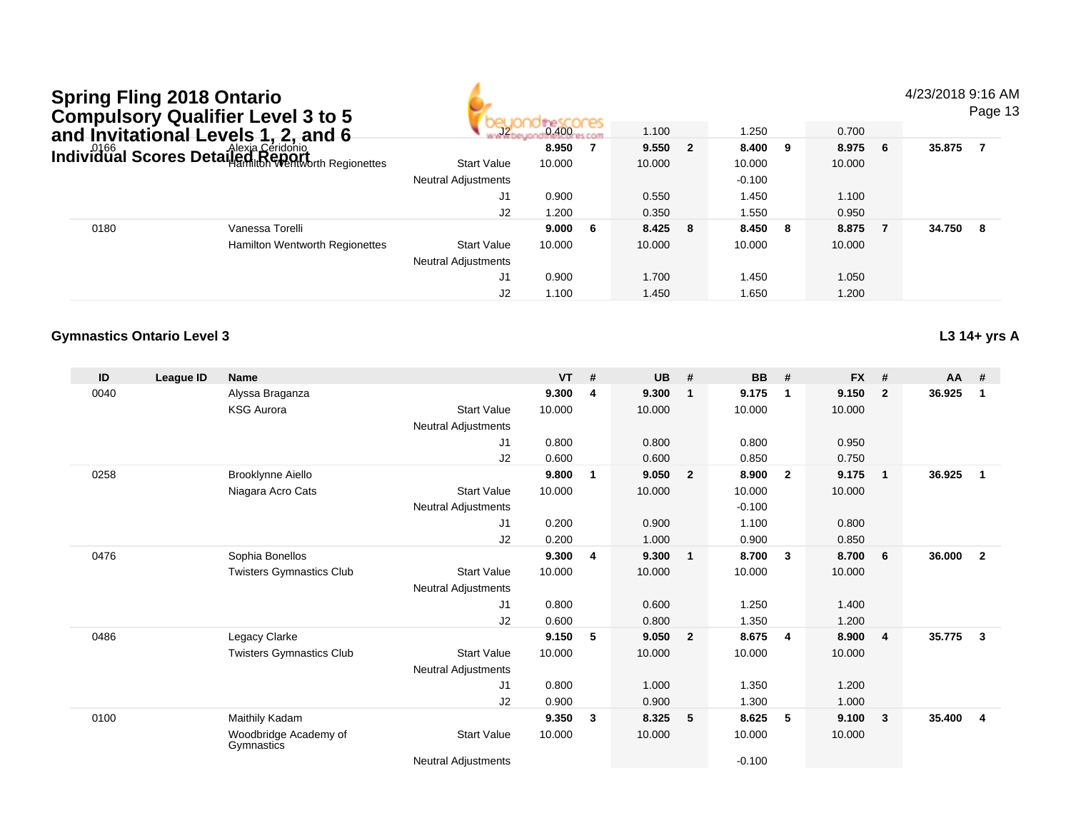#### 4/23/2018 9:16 AM

Page 13

|      | and Invitational Levels 1, 2, and 6                                                      |                            | 0.400  |     | 1.100     | 1.250    |     | 0.700  |   |        |    |
|------|------------------------------------------------------------------------------------------|----------------------------|--------|-----|-----------|----------|-----|--------|---|--------|----|
|      |                                                                                          |                            | 8.950  |     | $9.550$ 2 | 8.400    | - 9 | 8.975  | 6 | 35.875 |    |
|      | <b>Individual Scores Detailed Céridonio</b><br>I <b>ndividual Scores Detailed Report</b> | <b>Start Value</b>         | 10.000 |     | 10.000    | 10.000   |     | 10.000 |   |        |    |
|      |                                                                                          | Neutral Adjustments        |        |     |           | $-0.100$ |     |        |   |        |    |
|      |                                                                                          | J1                         | 0.900  |     | 0.550     | 1.450    |     | 1.100  |   |        |    |
|      |                                                                                          | J2                         | 1.200  |     | 0.350     | 1.550    |     | 0.950  |   |        |    |
| 0180 | Vanessa Torelli                                                                          |                            | 9.000  | - 6 | 8.425 8   | 8.450 8  |     | 8.875  |   | 34.750 | -8 |
|      | Hamilton Wentworth Regionettes                                                           | <b>Start Value</b>         | 10.000 |     | 10.000    | 10.000   |     | 10.000 |   |        |    |
|      |                                                                                          | <b>Neutral Adjustments</b> |        |     |           |          |     |        |   |        |    |
|      |                                                                                          | J1                         | 0.900  |     | 1.700     | 1.450    |     | 1.050  |   |        |    |
|      |                                                                                          | J2                         | 1.100  |     | 1.450     | 1.650    |     | 1.200  |   |        |    |

aadu saaaas

#### **Gymnastics Ontario Level 3**

**L3 14+ yrs A**

| ID   | League ID | <b>Name</b>                         |                            | <b>VT</b> | #            | <b>UB</b> | #                       | <b>BB</b> | #                       | <b>FX</b> | #            | $AA$ # |                |
|------|-----------|-------------------------------------|----------------------------|-----------|--------------|-----------|-------------------------|-----------|-------------------------|-----------|--------------|--------|----------------|
| 0040 |           | Alyssa Braganza                     |                            | 9.300     | 4            | 9.300     | -1                      | 9.175     | $\mathbf 1$             | 9.150     | $\mathbf{2}$ | 36.925 | 1              |
|      |           | <b>KSG Aurora</b>                   | <b>Start Value</b>         | 10.000    |              | 10.000    |                         | 10.000    |                         | 10.000    |              |        |                |
|      |           |                                     | Neutral Adjustments        |           |              |           |                         |           |                         |           |              |        |                |
|      |           |                                     | J <sub>1</sub>             | 0.800     |              | 0.800     |                         | 0.800     |                         | 0.950     |              |        |                |
|      |           |                                     | J2                         | 0.600     |              | 0.600     |                         | 0.850     |                         | 0.750     |              |        |                |
| 0258 |           | Brooklynne Aiello                   |                            | 9.800     | $\mathbf{1}$ | 9.050     | $\overline{\mathbf{2}}$ | 8.900     | $\overline{2}$          | 9.175     | $\mathbf{1}$ | 36.925 | $\mathbf 1$    |
|      |           | Niagara Acro Cats                   | <b>Start Value</b>         | 10.000    |              | 10.000    |                         | 10.000    |                         | 10.000    |              |        |                |
|      |           |                                     | Neutral Adjustments        |           |              |           |                         | $-0.100$  |                         |           |              |        |                |
|      |           |                                     | J <sub>1</sub>             | 0.200     |              | 0.900     |                         | 1.100     |                         | 0.800     |              |        |                |
|      |           |                                     | J2                         | 0.200     |              | 1.000     |                         | 0.900     |                         | 0.850     |              |        |                |
| 0476 |           | Sophia Bonellos                     |                            | 9.300     | 4            | 9.300     | $\overline{1}$          | 8.700     | $\overline{\mathbf{3}}$ | 8.700     | 6            | 36.000 | $\overline{2}$ |
|      |           | <b>Twisters Gymnastics Club</b>     | Start Value                | 10.000    |              | 10.000    |                         | 10.000    |                         | 10.000    |              |        |                |
|      |           |                                     | Neutral Adjustments        |           |              |           |                         |           |                         |           |              |        |                |
|      |           |                                     | J <sub>1</sub>             | 0.800     |              | 0.600     |                         | 1.250     |                         | 1.400     |              |        |                |
|      |           |                                     | J2                         | 0.600     |              | 0.800     |                         | 1.350     |                         | 1.200     |              |        |                |
| 0486 |           | Legacy Clarke                       |                            | 9.150     | 5            | 9.050     | $\overline{\mathbf{2}}$ | 8.675     | $\overline{4}$          | 8.900     | 4            | 35.775 | $\mathbf{3}$   |
|      |           | <b>Twisters Gymnastics Club</b>     | <b>Start Value</b>         | 10.000    |              | 10.000    |                         | 10.000    |                         | 10.000    |              |        |                |
|      |           |                                     | <b>Neutral Adjustments</b> |           |              |           |                         |           |                         |           |              |        |                |
|      |           |                                     | J <sub>1</sub>             | 0.800     |              | 1.000     |                         | 1.350     |                         | 1.200     |              |        |                |
|      |           |                                     | J2                         | 0.900     |              | 0.900     |                         | 1.300     |                         | 1.000     |              |        |                |
| 0100 |           | Maithily Kadam                      |                            | 9.350     | 3            | 8.325     | - 5                     | 8.625     | -5                      | 9.100     | 3            | 35.400 | $\overline{4}$ |
|      |           | Woodbridge Academy of<br>Gymnastics | <b>Start Value</b>         | 10.000    |              | 10.000    |                         | 10.000    |                         | 10.000    |              |        |                |
|      |           |                                     | Neutral Adjustments        |           |              |           |                         | $-0.100$  |                         |           |              |        |                |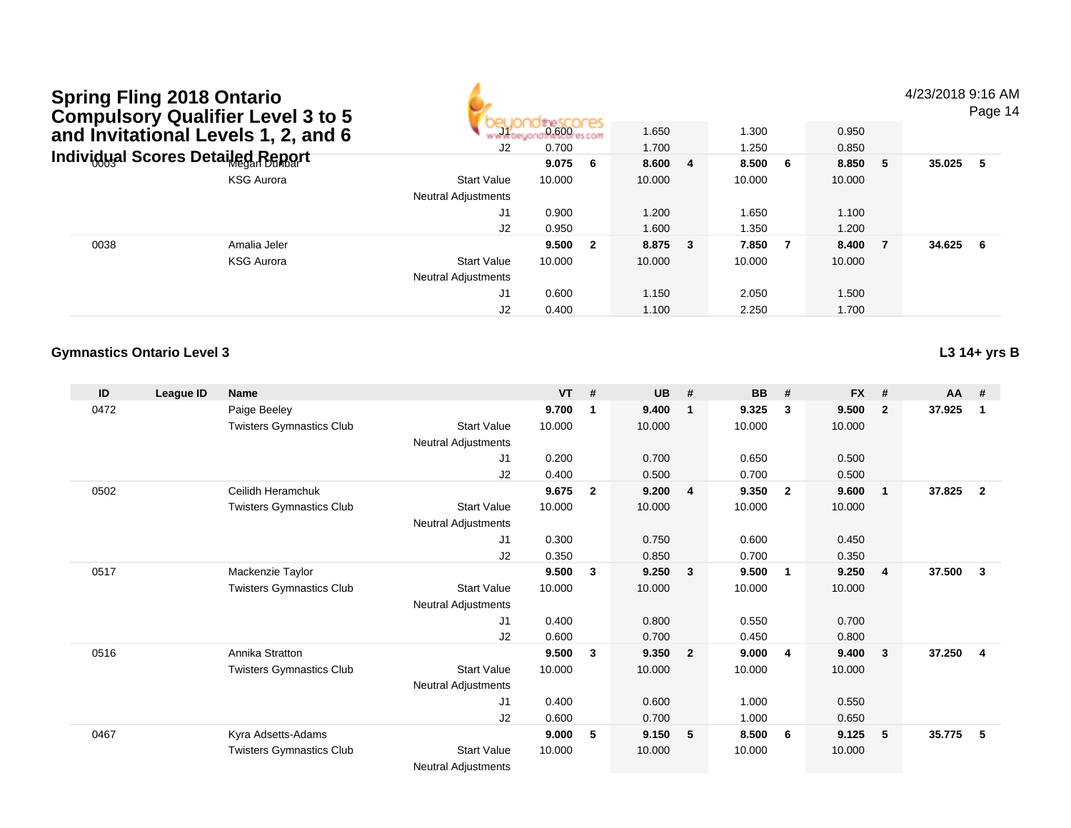4/23/2018 9:16 AM

Page 14

| and Invitational Levels 1, 2, and 6 |                                    | 0.600<br>и ез<br>المتحدد<br><b>PS.COMT</b><br>J2<br>0.700 |        | 1.650<br>1.700 |         | 1.300<br>1.250 |        | 0.950<br>0.850 |        |   |          |  |
|-------------------------------------|------------------------------------|-----------------------------------------------------------|--------|----------------|---------|----------------|--------|----------------|--------|---|----------|--|
|                                     | Individ്ഡal Scores Detailed Report |                                                           | 9.075  | - 6            | 8.600 4 |                | 8.500  | - 6            | 8.850  | 5 | 35.025 5 |  |
|                                     | <b>KSG Aurora</b>                  | <b>Start Value</b>                                        | 10.000 |                | 10.000  |                | 10.000 |                | 10.000 |   |          |  |
|                                     |                                    | <b>Neutral Adjustments</b>                                |        |                |         |                |        |                |        |   |          |  |
|                                     |                                    | J1                                                        | 0.900  |                | 1.200   |                | 1.650  |                | 1.100  |   |          |  |
|                                     |                                    | J2                                                        | 0.950  |                | 1.600   |                | 1.350  |                | 1.200  |   |          |  |
| 0038                                | Amalia Jeler                       |                                                           | 9.500  | $\mathbf{2}$   | 8.875 3 |                | 7.850  | - 7            | 8.400  |   | 34.625 6 |  |
|                                     | <b>KSG Aurora</b>                  | <b>Start Value</b>                                        | 10.000 |                | 10.000  |                | 10.000 |                | 10.000 |   |          |  |
|                                     |                                    | <b>Neutral Adjustments</b>                                |        |                |         |                |        |                |        |   |          |  |
|                                     |                                    | J1                                                        | 0.600  |                | 1.150   |                | 2.050  |                | 1.500  |   |          |  |
|                                     |                                    | J2                                                        | 0.400  |                | 1.100   |                | 2.250  |                | 1.700  |   |          |  |

ali saabaa

٤,

#### **Gymnastics Ontario Level 3**

**L3 14+ yrs B**

| ID   | League ID | <b>Name</b>                     |                            | <b>VT</b> | #              | <b>UB</b> | #              | <b>BB</b> | #              | <b>FX</b> | #            | $AA$ # |                |
|------|-----------|---------------------------------|----------------------------|-----------|----------------|-----------|----------------|-----------|----------------|-----------|--------------|--------|----------------|
| 0472 |           | Paige Beeley                    |                            | 9.700     | -1             | 9.400     | $\mathbf 1$    | 9.325     | 3              | 9.500     | $\mathbf{2}$ | 37.925 | -1             |
|      |           | <b>Twisters Gymnastics Club</b> | <b>Start Value</b>         | 10.000    |                | 10.000    |                | 10.000    |                | 10.000    |              |        |                |
|      |           |                                 | <b>Neutral Adjustments</b> |           |                |           |                |           |                |           |              |        |                |
|      |           |                                 | J1                         | 0.200     |                | 0.700     |                | 0.650     |                | 0.500     |              |        |                |
|      |           |                                 | J2                         | 0.400     |                | 0.500     |                | 0.700     |                | 0.500     |              |        |                |
| 0502 |           | Ceilidh Heramchuk               |                            | 9.675     | $\overline{2}$ | 9.200     | -4             | 9.350     | $\overline{2}$ | 9.600     | 1            | 37.825 | $\overline{2}$ |
|      |           | <b>Twisters Gymnastics Club</b> | <b>Start Value</b>         | 10.000    |                | 10.000    |                | 10.000    |                | 10.000    |              |        |                |
|      |           |                                 | Neutral Adjustments        |           |                |           |                |           |                |           |              |        |                |
|      |           |                                 | J <sub>1</sub>             | 0.300     |                | 0.750     |                | 0.600     |                | 0.450     |              |        |                |
|      |           |                                 | J2                         | 0.350     |                | 0.850     |                | 0.700     |                | 0.350     |              |        |                |
| 0517 |           | Mackenzie Taylor                |                            | 9.500     | $\mathbf{3}$   | 9.250     | - 3            | 9.500     | $\mathbf 1$    | 9.250     | 4            | 37.500 | 3              |
|      |           | <b>Twisters Gymnastics Club</b> | <b>Start Value</b>         | 10.000    |                | 10.000    |                | 10.000    |                | 10.000    |              |        |                |
|      |           |                                 | <b>Neutral Adjustments</b> |           |                |           |                |           |                |           |              |        |                |
|      |           |                                 | J1                         | 0.400     |                | 0.800     |                | 0.550     |                | 0.700     |              |        |                |
|      |           |                                 | J2                         | 0.600     |                | 0.700     |                | 0.450     |                | 0.800     |              |        |                |
| 0516 |           | Annika Stratton                 |                            | 9.500     | $\mathbf{3}$   | 9.350     | $\overline{2}$ | 9.000     | 4              | 9.400     | 3            | 37.250 | $\overline{4}$ |
|      |           | <b>Twisters Gymnastics Club</b> | <b>Start Value</b>         | 10.000    |                | 10.000    |                | 10.000    |                | 10.000    |              |        |                |
|      |           |                                 | <b>Neutral Adjustments</b> |           |                |           |                |           |                |           |              |        |                |
|      |           |                                 | J1                         | 0.400     |                | 0.600     |                | 1.000     |                | 0.550     |              |        |                |
|      |           |                                 | J2                         | 0.600     |                | 0.700     |                | 1.000     |                | 0.650     |              |        |                |
| 0467 |           | Kyra Adsetts-Adams              |                            | 9.000     | 5              | 9.150     | - 5            | 8.500     | 6              | 9.125     | 5            | 35.775 | 5              |
|      |           | <b>Twisters Gymnastics Club</b> | <b>Start Value</b>         | 10.000    |                | 10.000    |                | 10.000    |                | 10.000    |              |        |                |
|      |           |                                 | <b>Neutral Adjustments</b> |           |                |           |                |           |                |           |              |        |                |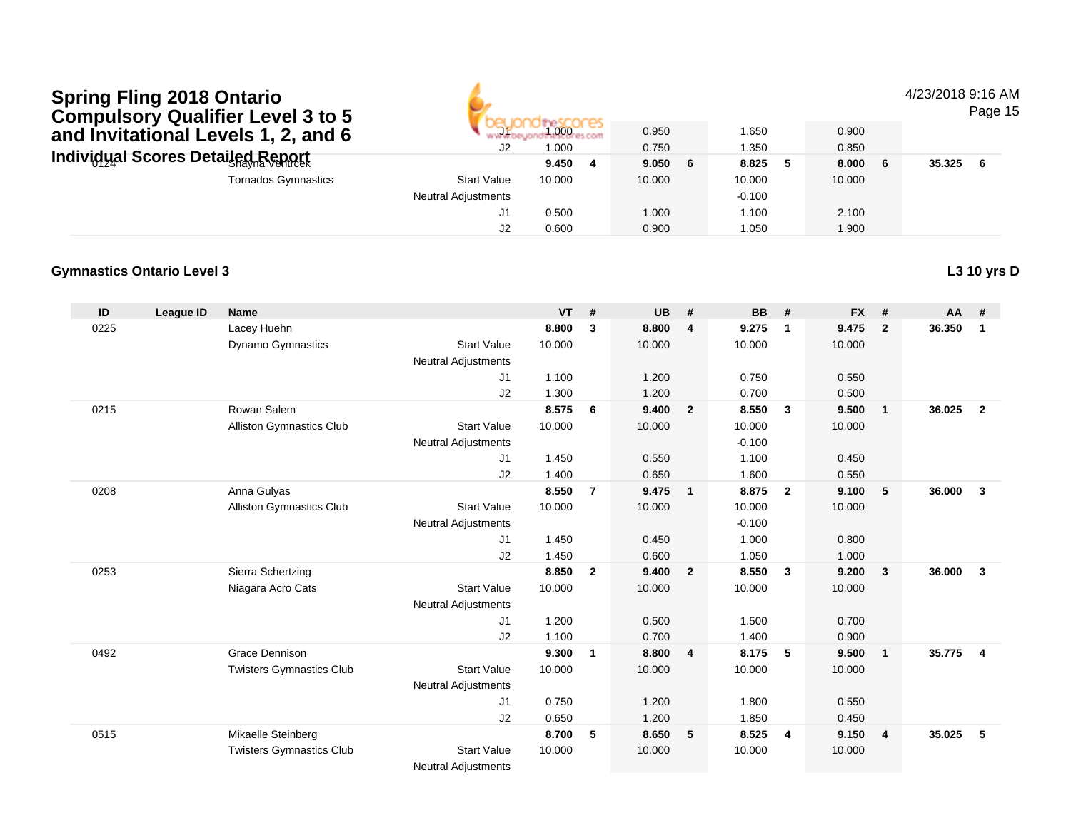| 4/23/2018 9:16 AM |  |  |
|-------------------|--|--|
|-------------------|--|--|

Page 15

| <b>OUTIDAISOLY QUATTICLE CYCLU IOU</b><br>and Invitational Levels 1, 2, and 6 | <b>THE REAL</b><br>J2      | 1.000<br>1.000 | 0.950<br>0.750 | 1.650<br>1.350 | 0.900<br>0.850 |        |     |
|-------------------------------------------------------------------------------|----------------------------|----------------|----------------|----------------|----------------|--------|-----|
| Individual Scores Detailed Report⊤                                            |                            | 9.450          | 9.050 6        | 8.825          | 8.000          | 35.325 | - 6 |
| <b>Tornados Gymnastics</b>                                                    | <b>Start Value</b>         | 10.000         | 10.000         | 10.000         | 10.000         |        |     |
|                                                                               | <b>Neutral Adjustments</b> |                |                | $-0.100$       |                |        |     |
|                                                                               |                            | 0.500          | 1.000          | 1.100          | 2.100          |        |     |
|                                                                               |                            | 0.600          | 0.900          | 1.050          | 1.900          |        |     |

#### **Gymnastics Ontario Level 3L3 10 yrs D**

| ID   | League ID | <b>Name</b>                     |                            | <b>VT</b> | #              | <b>UB</b> | #                       | <b>BB</b> | #                       | <b>FX</b> | #              | AA     | #              |
|------|-----------|---------------------------------|----------------------------|-----------|----------------|-----------|-------------------------|-----------|-------------------------|-----------|----------------|--------|----------------|
| 0225 |           | Lacey Huehn                     |                            | 8.800     | 3              | 8.800     | $\overline{4}$          | 9.275     | $\mathbf 1$             | 9.475     | $\overline{2}$ | 36.350 | $\mathbf{1}$   |
|      |           | <b>Dynamo Gymnastics</b>        | <b>Start Value</b>         | 10.000    |                | 10.000    |                         | 10.000    |                         | 10.000    |                |        |                |
|      |           |                                 | <b>Neutral Adjustments</b> |           |                |           |                         |           |                         |           |                |        |                |
|      |           |                                 | J1                         | 1.100     |                | 1.200     |                         | 0.750     |                         | 0.550     |                |        |                |
|      |           |                                 | J2                         | 1.300     |                | 1.200     |                         | 0.700     |                         | 0.500     |                |        |                |
| 0215 |           | Rowan Salem                     |                            | 8.575     | 6              | 9.400     | $\overline{\mathbf{2}}$ | 8.550     | $\mathbf{3}$            | 9.500     | $\overline{1}$ | 36.025 | $\overline{2}$ |
|      |           | Alliston Gymnastics Club        | <b>Start Value</b>         | 10.000    |                | 10.000    |                         | 10.000    |                         | 10.000    |                |        |                |
|      |           |                                 | <b>Neutral Adjustments</b> |           |                |           |                         | $-0.100$  |                         |           |                |        |                |
|      |           |                                 | J1                         | 1.450     |                | 0.550     |                         | 1.100     |                         | 0.450     |                |        |                |
|      |           |                                 | J2                         | 1.400     |                | 0.650     |                         | 1.600     |                         | 0.550     |                |        |                |
| 0208 |           | Anna Gulyas                     |                            | 8.550     | $\overline{7}$ | 9.475     | $\overline{1}$          | 8.875     | $\overline{2}$          | 9.100     | 5              | 36.000 | $\mathbf{3}$   |
|      |           | Alliston Gymnastics Club        | <b>Start Value</b>         | 10.000    |                | 10.000    |                         | 10.000    |                         | 10.000    |                |        |                |
|      |           |                                 | <b>Neutral Adjustments</b> |           |                |           |                         | $-0.100$  |                         |           |                |        |                |
|      |           |                                 | J1                         | 1.450     |                | 0.450     |                         | 1.000     |                         | 0.800     |                |        |                |
|      |           |                                 | J2                         | 1.450     |                | 0.600     |                         | 1.050     |                         | 1.000     |                |        |                |
| 0253 |           | Sierra Schertzing               |                            | 8.850     | $\mathbf{2}$   | 9.400     | $\overline{2}$          | 8.550     | $\overline{\mathbf{3}}$ | 9.200     | 3              | 36.000 | 3              |
|      |           | Niagara Acro Cats               | <b>Start Value</b>         | 10.000    |                | 10.000    |                         | 10.000    |                         | 10.000    |                |        |                |
|      |           |                                 | <b>Neutral Adjustments</b> |           |                |           |                         |           |                         |           |                |        |                |
|      |           |                                 | J1                         | 1.200     |                | 0.500     |                         | 1.500     |                         | 0.700     |                |        |                |
|      |           |                                 | J2                         | 1.100     |                | 0.700     |                         | 1.400     |                         | 0.900     |                |        |                |
| 0492 |           | <b>Grace Dennison</b>           |                            | 9.300     | $\mathbf{1}$   | 8.800     | $\overline{4}$          | 8.175     | 5                       | 9.500     | $\overline{1}$ | 35.775 | $\overline{4}$ |
|      |           | <b>Twisters Gymnastics Club</b> | <b>Start Value</b>         | 10.000    |                | 10.000    |                         | 10.000    |                         | 10.000    |                |        |                |
|      |           |                                 | <b>Neutral Adjustments</b> |           |                |           |                         |           |                         |           |                |        |                |
|      |           |                                 | J1                         | 0.750     |                | 1.200     |                         | 1.800     |                         | 0.550     |                |        |                |
|      |           |                                 | J2                         | 0.650     |                | 1.200     |                         | 1.850     |                         | 0.450     |                |        |                |
| 0515 |           | Mikaelle Steinberg              |                            | 8.700     | 5              | 8.650     | $-5$                    | 8.525     | $\overline{\mathbf{4}}$ | 9.150     | $\overline{4}$ | 35.025 | 5              |
|      |           | <b>Twisters Gymnastics Club</b> | <b>Start Value</b>         | 10.000    |                | 10.000    |                         | 10.000    |                         | 10.000    |                |        |                |
|      |           |                                 | <b>Neutral Adjustments</b> |           |                |           |                         |           |                         |           |                |        |                |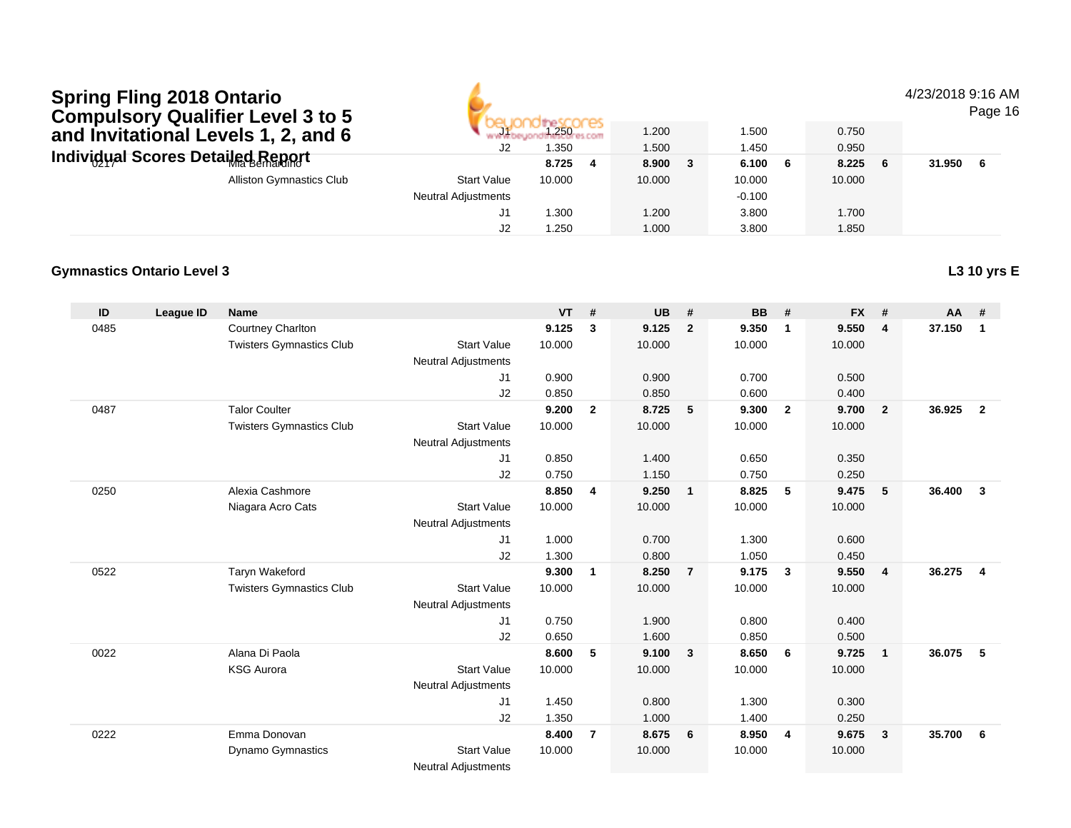#### 4/23/2018 9:16 AM

Page 16

| COMPUSOLY QUANTER LEVELS TO 3<br>and Invitational Levels 1, 2, and 6 | mark of<br>J2       | .250<br>.350 | 1.200<br>1.500 | 1.500<br>1.450 | 0.750<br>0.950 |        |     |
|----------------------------------------------------------------------|---------------------|--------------|----------------|----------------|----------------|--------|-----|
| Individual Scores Detailed Report                                    |                     | 8.725        | 8.900          | 6.100          | 8.225          | 31.950 | - 6 |
| <b>Alliston Gymnastics Club</b>                                      | <b>Start Value</b>  | 10.000       | 10.000         | 10.000         | 10.000         |        |     |
|                                                                      | Neutral Adjustments |              |                | $-0.100$       |                |        |     |
|                                                                      | J1                  | .300         | 1.200          | 3.800          | 1.700          |        |     |
|                                                                      | J2                  | .250         | 1.000          | 3.800          | 1.850          |        |     |

### **Gymnastics Ontario Level 3**

| ID   | League ID | <b>Name</b>                     |                                          | <b>VT</b> | #              | <b>UB</b> | #                       | <b>BB</b> | #                       | <b>FX</b> | #                       | <b>AA</b> | #                       |
|------|-----------|---------------------------------|------------------------------------------|-----------|----------------|-----------|-------------------------|-----------|-------------------------|-----------|-------------------------|-----------|-------------------------|
| 0485 |           | Courtney Charlton               |                                          | 9.125     | 3              | 9.125     | $\overline{2}$          | 9.350     | $\overline{1}$          | 9.550     | $\overline{4}$          | 37.150    | $\mathbf{1}$            |
|      |           | <b>Twisters Gymnastics Club</b> | <b>Start Value</b>                       | 10.000    |                | 10.000    |                         | 10.000    |                         | 10.000    |                         |           |                         |
|      |           |                                 | <b>Neutral Adjustments</b>               |           |                |           |                         |           |                         |           |                         |           |                         |
|      |           |                                 | J <sub>1</sub>                           | 0.900     |                | 0.900     |                         | 0.700     |                         | 0.500     |                         |           |                         |
|      |           |                                 | J <sub>2</sub>                           | 0.850     |                | 0.850     |                         | 0.600     |                         | 0.400     |                         |           |                         |
| 0487 |           | <b>Talor Coulter</b>            |                                          | 9.200     | $\overline{2}$ | 8.725     | 5                       | 9.300     | $\overline{2}$          | 9.700     | $\overline{2}$          | 36.925    | $\overline{2}$          |
|      |           | <b>Twisters Gymnastics Club</b> | <b>Start Value</b>                       | 10.000    |                | 10.000    |                         | 10.000    |                         | 10.000    |                         |           |                         |
|      |           |                                 | <b>Neutral Adjustments</b>               |           |                |           |                         |           |                         |           |                         |           |                         |
|      |           |                                 | J1                                       | 0.850     |                | 1.400     |                         | 0.650     |                         | 0.350     |                         |           |                         |
|      |           |                                 | J2                                       | 0.750     |                | 1.150     |                         | 0.750     |                         | 0.250     |                         |           |                         |
| 0250 |           | Alexia Cashmore                 |                                          | 8.850     | 4              | 9.250     | $\overline{1}$          | 8.825     | 5                       | 9.475     | 5                       | 36.400    | $\mathbf{3}$            |
|      |           | Niagara Acro Cats               | <b>Start Value</b>                       | 10.000    |                | 10.000    |                         | 10.000    |                         | 10.000    |                         |           |                         |
|      |           |                                 | <b>Neutral Adjustments</b>               |           |                |           |                         |           |                         |           |                         |           |                         |
|      |           |                                 | J <sub>1</sub>                           | 1.000     |                | 0.700     |                         | 1.300     |                         | 0.600     |                         |           |                         |
|      |           |                                 | J <sub>2</sub>                           | 1.300     |                | 0.800     |                         | 1.050     |                         | 0.450     |                         |           |                         |
| 0522 |           | Taryn Wakeford                  |                                          | 9.300     | 1              | 8.250     | $\overline{7}$          | 9.175     | $\overline{\mathbf{3}}$ | 9.550     | $\overline{\mathbf{4}}$ | 36.275    | $\overline{\mathbf{4}}$ |
|      |           | <b>Twisters Gymnastics Club</b> | <b>Start Value</b>                       | 10.000    |                | 10.000    |                         | 10.000    |                         | 10.000    |                         |           |                         |
|      |           |                                 | <b>Neutral Adjustments</b>               |           |                |           |                         |           |                         |           |                         |           |                         |
|      |           |                                 | J <sub>1</sub>                           | 0.750     |                | 1.900     |                         | 0.800     |                         | 0.400     |                         |           |                         |
|      |           |                                 | J <sub>2</sub>                           | 0.650     |                | 1.600     |                         | 0.850     |                         | 0.500     |                         |           |                         |
| 0022 |           | Alana Di Paola                  |                                          | 8.600     | 5              | 9.100     | $\overline{\mathbf{3}}$ | 8.650     | - 6                     | 9.725     | $\overline{1}$          | 36.075    | 5                       |
|      |           | <b>KSG Aurora</b>               | <b>Start Value</b>                       | 10.000    |                | 10.000    |                         | 10.000    |                         | 10.000    |                         |           |                         |
|      |           |                                 | <b>Neutral Adjustments</b>               |           |                |           |                         |           |                         |           |                         |           |                         |
|      |           |                                 | J <sub>1</sub>                           | 1.450     |                | 0.800     |                         | 1.300     |                         | 0.300     |                         |           |                         |
|      |           |                                 | J <sub>2</sub>                           | 1.350     |                | 1.000     |                         | 1.400     |                         | 0.250     |                         |           |                         |
| 0222 |           | Emma Donovan                    |                                          | 8.400     | $\overline{7}$ | 8.675     | 6                       | 8.950     | -4                      | 9.675     | $\mathbf{3}$            | 35.700    | 6                       |
|      |           | <b>Dynamo Gymnastics</b>        | <b>Start Value</b>                       | 10.000    |                | 10.000    |                         | 10.000    |                         | 10.000    |                         |           |                         |
|      |           |                                 | <b>Alla consult At discussions and a</b> |           |                |           |                         |           |                         |           |                         |           |                         |

Neutral Adjustments

### **L3 10 yrs E**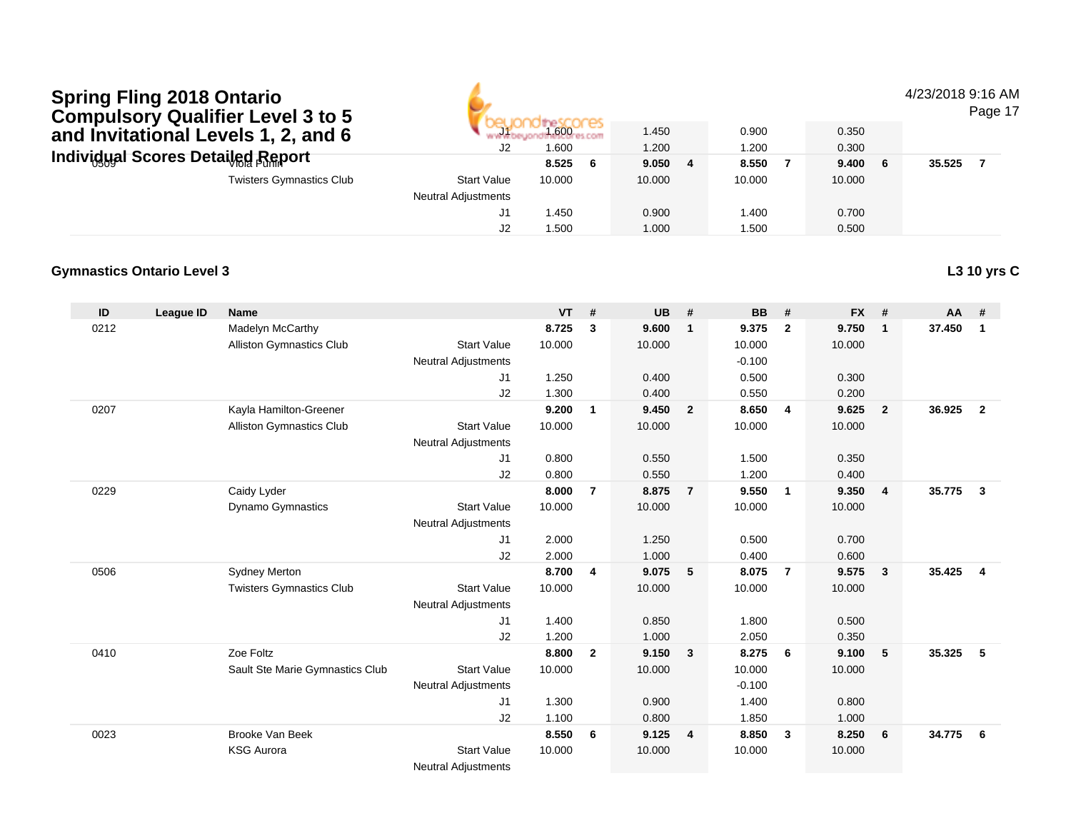#### 4/23/2018 9:16 AM

Page 17

| <b>OUTING ISOLY QUATTLET LUYUL J LU J</b><br>and Invitational Levels 1, 2, and 6 | J2                         | 1.600<br>1.600 |    | 1.450<br>1.200 | 0.900<br>1.200 | 0.350<br>0.300 |        |  |
|----------------------------------------------------------------------------------|----------------------------|----------------|----|----------------|----------------|----------------|--------|--|
| <b>Individual Scores Detailed Report</b>                                         |                            | 8.525          | -6 | 9.0504         | 8.550          | 9.400          | 35.525 |  |
| <b>Twisters Gymnastics Club</b>                                                  | <b>Start Value</b>         | 10.000         |    | 10.000         | 10.000         | 10.000         |        |  |
|                                                                                  | <b>Neutral Adjustments</b> |                |    |                |                |                |        |  |
|                                                                                  |                            | .450           |    | 0.900          | 1.400          | 0.700          |        |  |
|                                                                                  |                            | 1.500          |    | 1.000          | 1.500          | 0.500          |        |  |

#### **Gymnastics Ontario Level 3L3 10 yrs C**

| ID   | League ID | <b>Name</b>                     |                            | <b>VT</b> | #              | <b>UB</b> | #                       | <b>BB</b> | #              | <b>FX</b> | #              | AA     | #              |
|------|-----------|---------------------------------|----------------------------|-----------|----------------|-----------|-------------------------|-----------|----------------|-----------|----------------|--------|----------------|
| 0212 |           | Madelyn McCarthy                |                            | 8.725     | 3              | 9.600     | $\mathbf 1$             | 9.375     | $\overline{2}$ | 9.750     | $\mathbf{1}$   | 37.450 | $\mathbf{1}$   |
|      |           | <b>Alliston Gymnastics Club</b> | <b>Start Value</b>         | 10.000    |                | 10.000    |                         | 10.000    |                | 10.000    |                |        |                |
|      |           |                                 | <b>Neutral Adjustments</b> |           |                |           |                         | $-0.100$  |                |           |                |        |                |
|      |           |                                 | J1                         | 1.250     |                | 0.400     |                         | 0.500     |                | 0.300     |                |        |                |
|      |           |                                 | J2                         | 1.300     |                | 0.400     |                         | 0.550     |                | 0.200     |                |        |                |
| 0207 |           | Kayla Hamilton-Greener          |                            | 9.200     | $\mathbf{1}$   | 9.450     | $\overline{\mathbf{2}}$ | 8.650     | $\overline{4}$ | 9.625     | $\overline{2}$ | 36.925 | $\overline{2}$ |
|      |           | <b>Alliston Gymnastics Club</b> | <b>Start Value</b>         | 10.000    |                | 10.000    |                         | 10.000    |                | 10.000    |                |        |                |
|      |           |                                 | <b>Neutral Adjustments</b> |           |                |           |                         |           |                |           |                |        |                |
|      |           |                                 | J1                         | 0.800     |                | 0.550     |                         | 1.500     |                | 0.350     |                |        |                |
|      |           |                                 | J2                         | 0.800     |                | 0.550     |                         | 1.200     |                | 0.400     |                |        |                |
| 0229 |           | Caidy Lyder                     |                            | 8.000     | $\overline{7}$ | 8.875     | $\overline{7}$          | 9.550     | $\overline{1}$ | 9.350     | $\overline{4}$ | 35.775 | 3              |
|      |           | <b>Dynamo Gymnastics</b>        | <b>Start Value</b>         | 10.000    |                | 10.000    |                         | 10.000    |                | 10.000    |                |        |                |
|      |           |                                 | <b>Neutral Adjustments</b> |           |                |           |                         |           |                |           |                |        |                |
|      |           |                                 | J <sub>1</sub>             | 2.000     |                | 1.250     |                         | 0.500     |                | 0.700     |                |        |                |
|      |           |                                 | J2                         | 2.000     |                | 1.000     |                         | 0.400     |                | 0.600     |                |        |                |
| 0506 |           | <b>Sydney Merton</b>            |                            | 8.700     | 4              | 9.075     | 5                       | 8.075     | $\overline{7}$ | 9.575     | 3              | 35.425 | $\overline{4}$ |
|      |           | <b>Twisters Gymnastics Club</b> | <b>Start Value</b>         | 10.000    |                | 10.000    |                         | 10.000    |                | 10.000    |                |        |                |
|      |           |                                 | <b>Neutral Adjustments</b> |           |                |           |                         |           |                |           |                |        |                |
|      |           |                                 | J <sub>1</sub>             | 1.400     |                | 0.850     |                         | 1.800     |                | 0.500     |                |        |                |
|      |           |                                 | J2                         | 1.200     |                | 1.000     |                         | 2.050     |                | 0.350     |                |        |                |
| 0410 |           | Zoe Foltz                       |                            | 8.800     | $\overline{2}$ | 9.150     | $\overline{\mathbf{3}}$ | 8.275     | 6              | 9.100     | 5              | 35.325 | 5              |
|      |           | Sault Ste Marie Gymnastics Club | <b>Start Value</b>         | 10.000    |                | 10.000    |                         | 10.000    |                | 10.000    |                |        |                |
|      |           |                                 | <b>Neutral Adjustments</b> |           |                |           |                         | $-0.100$  |                |           |                |        |                |
|      |           |                                 | J <sub>1</sub>             | 1.300     |                | 0.900     |                         | 1.400     |                | 0.800     |                |        |                |
|      |           |                                 | J <sub>2</sub>             | 1.100     |                | 0.800     |                         | 1.850     |                | 1.000     |                |        |                |
| 0023 |           | <b>Brooke Van Beek</b>          |                            | 8.550     | 6              | 9.125     | $\overline{4}$          | 8.850     | $\mathbf{3}$   | 8.250     | 6              | 34.775 | 6              |
|      |           | <b>KSG Aurora</b>               | <b>Start Value</b>         | 10.000    |                | 10.000    |                         | 10.000    |                | 10.000    |                |        |                |
|      |           |                                 | <b>Neutral Adjustments</b> |           |                |           |                         |           |                |           |                |        |                |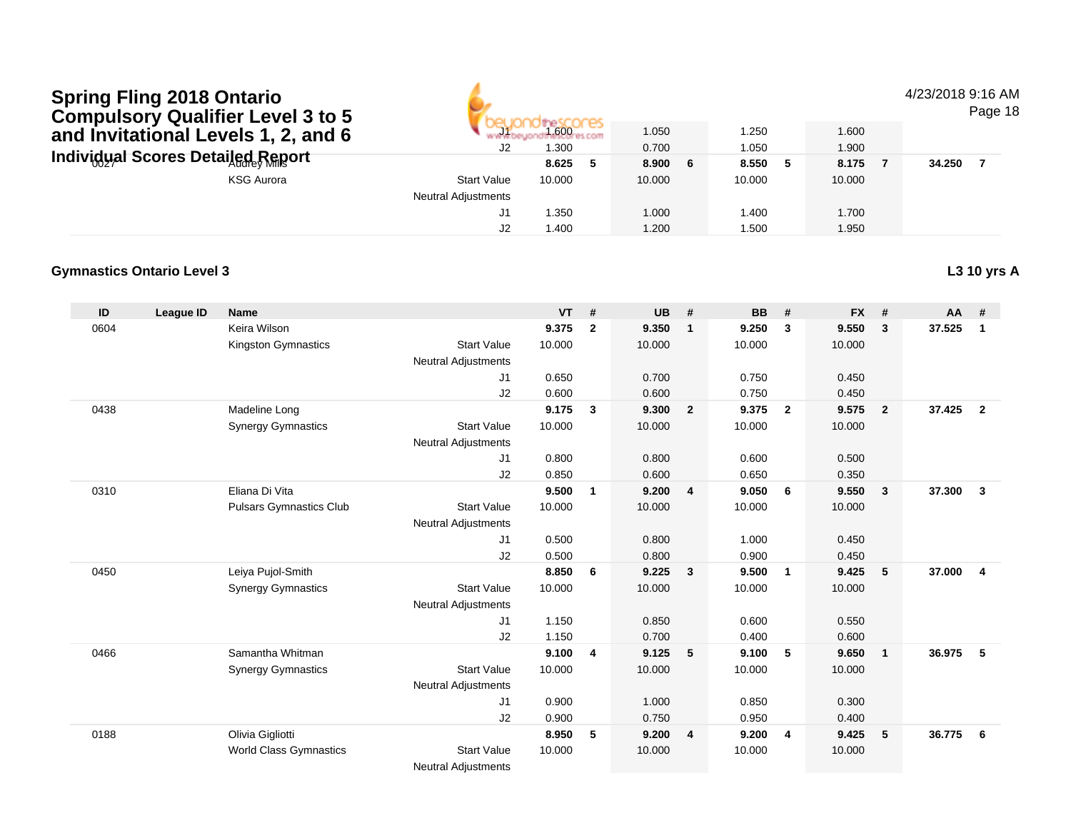#### 4/23/2018 9:16 AM

Page 18

| <b>OUTING SOLY QUALITIEL LEVEL 3 TO J</b><br>and Invitational Levels 1, 2, and 6 | <b>PILE</b><br>J2          | 1.600<br>1.300 | 1.050<br>0.700 | 1.250<br>1.050 | 1.600<br>1.900 |        |
|----------------------------------------------------------------------------------|----------------------------|----------------|----------------|----------------|----------------|--------|
| Individual Scores Detailed Report                                                |                            | 8.625          | 8.900 6        | 8.550          | 8.175          | 34.250 |
| <b>KSG Aurora</b>                                                                | <b>Start Value</b>         | 10.000         | 10.000         | 10.000         | 10.000         |        |
|                                                                                  | <b>Neutral Adjustments</b> |                |                |                |                |        |
|                                                                                  | J1                         | 1.350          | .000           | 1.400          | 1.700          |        |
|                                                                                  | J2                         | 1.400          | .200           | 1.500          | 1.950          |        |

### **Gymnastics Ontario Level 3**

| ID   | League ID | <b>Name</b>                    |                            | <b>VT</b> | #                       | <b>UB</b> | #                       | <b>BB</b> | #                       | <b>FX</b> | #              | AA     | #              |
|------|-----------|--------------------------------|----------------------------|-----------|-------------------------|-----------|-------------------------|-----------|-------------------------|-----------|----------------|--------|----------------|
| 0604 |           | Keira Wilson                   |                            | 9.375     | $\mathbf{2}$            | 9.350     | $\mathbf 1$             | 9.250     | 3                       | 9.550     | 3              | 37.525 | $\mathbf{1}$   |
|      |           | Kingston Gymnastics            | <b>Start Value</b>         | 10.000    |                         | 10.000    |                         | 10.000    |                         | 10.000    |                |        |                |
|      |           |                                | <b>Neutral Adjustments</b> |           |                         |           |                         |           |                         |           |                |        |                |
|      |           |                                | J <sub>1</sub>             | 0.650     |                         | 0.700     |                         | 0.750     |                         | 0.450     |                |        |                |
|      |           |                                | J2                         | 0.600     |                         | 0.600     |                         | 0.750     |                         | 0.450     |                |        |                |
| 0438 |           | Madeline Long                  |                            | 9.175     | $\mathbf{3}$            | 9.300     | $\overline{2}$          | 9.375     | $\overline{\mathbf{2}}$ | 9.575     | $\overline{2}$ | 37.425 | $\overline{2}$ |
|      |           | <b>Synergy Gymnastics</b>      | <b>Start Value</b>         | 10.000    |                         | 10.000    |                         | 10.000    |                         | 10.000    |                |        |                |
|      |           |                                | <b>Neutral Adjustments</b> |           |                         |           |                         |           |                         |           |                |        |                |
|      |           |                                | J <sub>1</sub>             | 0.800     |                         | 0.800     |                         | 0.600     |                         | 0.500     |                |        |                |
|      |           |                                | J2                         | 0.850     |                         | 0.600     |                         | 0.650     |                         | 0.350     |                |        |                |
| 0310 |           | Eliana Di Vita                 |                            | 9.500     | $\mathbf{1}$            | 9.200     | $\overline{4}$          | 9.050     | -6                      | 9.550     | -3             | 37.300 | $\mathbf{3}$   |
|      |           | <b>Pulsars Gymnastics Club</b> | <b>Start Value</b>         | 10.000    |                         | 10.000    |                         | 10.000    |                         | 10.000    |                |        |                |
|      |           |                                | <b>Neutral Adjustments</b> |           |                         |           |                         |           |                         |           |                |        |                |
|      |           |                                | J1                         | 0.500     |                         | 0.800     |                         | 1.000     |                         | 0.450     |                |        |                |
|      |           |                                | J2                         | 0.500     |                         | 0.800     |                         | 0.900     |                         | 0.450     |                |        |                |
| 0450 |           | Leiya Pujol-Smith              |                            | 8.850     | 6                       | 9.225     | $\overline{\mathbf{3}}$ | 9.500     | $\overline{1}$          | 9.425     | 5              | 37.000 | $\overline{4}$ |
|      |           | <b>Synergy Gymnastics</b>      | <b>Start Value</b>         | 10.000    |                         | 10.000    |                         | 10.000    |                         | 10.000    |                |        |                |
|      |           |                                | <b>Neutral Adjustments</b> |           |                         |           |                         |           |                         |           |                |        |                |
|      |           |                                | J1                         | 1.150     |                         | 0.850     |                         | 0.600     |                         | 0.550     |                |        |                |
|      |           |                                | J2                         | 1.150     |                         | 0.700     |                         | 0.400     |                         | 0.600     |                |        |                |
| 0466 |           | Samantha Whitman               |                            | 9.100     | $\overline{\mathbf{4}}$ | 9.125     | 5                       | 9.100     | - 5                     | 9.650     | $\overline{1}$ | 36.975 | 5              |
|      |           | <b>Synergy Gymnastics</b>      | <b>Start Value</b>         | 10.000    |                         | 10.000    |                         | 10.000    |                         | 10.000    |                |        |                |
|      |           |                                | <b>Neutral Adjustments</b> |           |                         |           |                         |           |                         |           |                |        |                |
|      |           |                                | J <sub>1</sub>             | 0.900     |                         | 1.000     |                         | 0.850     |                         | 0.300     |                |        |                |
|      |           |                                | J2                         | 0.900     |                         | 0.750     |                         | 0.950     |                         | 0.400     |                |        |                |
| 0188 |           | Olivia Gigliotti               |                            | 8.950     | 5                       | 9.200     | $\overline{4}$          | 9.200     | 4                       | 9.425     | 5              | 36.775 | - 6            |
|      |           | World Class Gymnastics         | <b>Start Value</b>         | 10.000    |                         | 10.000    |                         | 10.000    |                         | 10.000    |                |        |                |
|      |           |                                | Nouted Adjustes anto       |           |                         |           |                         |           |                         |           |                |        |                |

Neutral Adjustments

### **L3 10 yrs A**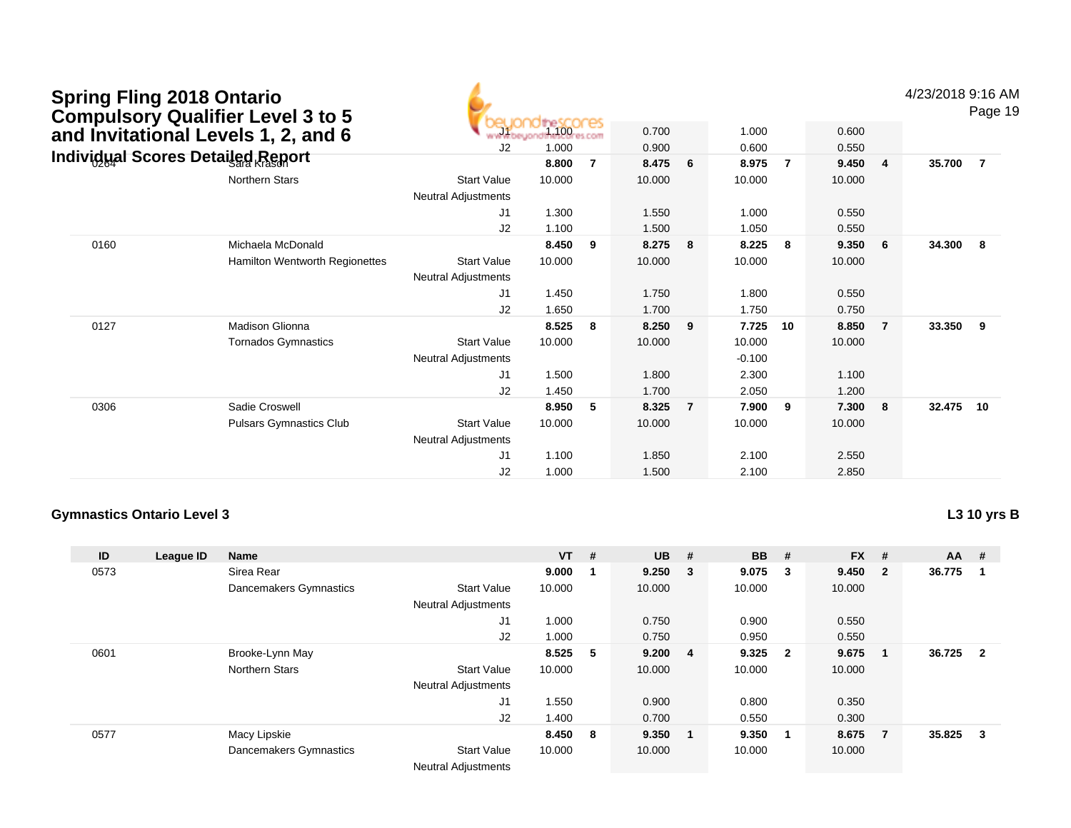| <b>Spring Fling 2018 Ontario</b>         | <b>Compulsory Qualifier Level 3 to 5</b> |                                                  |                          |                |        |                |          |    |        |                | 4/23/2018 9:16 AM | Page 19        |
|------------------------------------------|------------------------------------------|--------------------------------------------------|--------------------------|----------------|--------|----------------|----------|----|--------|----------------|-------------------|----------------|
|                                          | and Invitational Levels 1, 2, and 6      |                                                  | 1.100 <sub>res.com</sub> |                | 0.700  |                | 1.000    |    | 0.600  |                |                   |                |
| <b>Individual Scores Detailed Report</b> |                                          | J <sub>2</sub>                                   | 1.000                    |                | 0.900  |                | 0.600    |    | 0.550  |                |                   |                |
|                                          |                                          |                                                  | 8.800                    | $\overline{7}$ | 8.475  | 6              | 8.975    | -7 | 9.450  | $\overline{4}$ | 35.700            | $\overline{7}$ |
|                                          | <b>Northern Stars</b>                    | <b>Start Value</b><br><b>Neutral Adjustments</b> | 10.000                   |                | 10.000 |                | 10.000   |    | 10.000 |                |                   |                |
|                                          |                                          | J1                                               | 1.300                    |                | 1.550  |                | 1.000    |    | 0.550  |                |                   |                |
|                                          |                                          | J2                                               | 1.100                    |                | 1.500  |                | 1.050    |    | 0.550  |                |                   |                |
| 0160                                     | Michaela McDonald                        |                                                  | 8.450                    | 9              | 8.275  | 8              | 8.225    | 8  | 9.350  | 6              | 34.300            | - 8            |
|                                          | <b>Hamilton Wentworth Regionettes</b>    | <b>Start Value</b><br>Neutral Adjustments        | 10.000                   |                | 10.000 |                | 10.000   |    | 10.000 |                |                   |                |
|                                          |                                          | J1                                               | 1.450                    |                | 1.750  |                | 1.800    |    | 0.550  |                |                   |                |
|                                          |                                          | J2                                               | 1.650                    |                | 1.700  |                | 1.750    |    | 0.750  |                |                   |                |
| 0127                                     | Madison Glionna                          |                                                  | 8.525                    | 8              | 8.250  | 9              | 7.725    | 10 | 8.850  | $\overline{7}$ | 33.350            | 9              |
|                                          | <b>Tornados Gymnastics</b>               | <b>Start Value</b>                               | 10.000                   |                | 10.000 |                | 10.000   |    | 10.000 |                |                   |                |
|                                          |                                          | <b>Neutral Adjustments</b>                       |                          |                |        |                | $-0.100$ |    |        |                |                   |                |
|                                          |                                          | J1                                               | 1.500                    |                | 1.800  |                | 2.300    |    | 1.100  |                |                   |                |
|                                          |                                          | J2                                               | 1.450                    |                | 1.700  |                | 2.050    |    | 1.200  |                |                   |                |
| 0306                                     | Sadie Croswell                           |                                                  | 8.950                    | -5             | 8.325  | $\overline{7}$ | 7.900    | 9  | 7.300  | 8              | 32.475            | 10             |
|                                          | <b>Pulsars Gymnastics Club</b>           | <b>Start Value</b>                               | 10.000                   |                | 10.000 |                | 10.000   |    | 10.000 |                |                   |                |
|                                          |                                          | <b>Neutral Adjustments</b>                       |                          |                |        |                |          |    |        |                |                   |                |
|                                          |                                          | J1                                               | 1.100                    |                | 1.850  |                | 2.100    |    | 2.550  |                |                   |                |
|                                          |                                          | J <sub>2</sub>                                   | 1.000                    |                | 1.500  |                | 2.100    |    | 2.850  |                |                   |                |

**L3 10 yrs B**

| ID   | League ID | Name                   |                                       | $VT$ #  |     | <b>UB</b> | - # | <b>BB</b> | #            | <b>FX</b> | #            | $AA$ # |                         |
|------|-----------|------------------------|---------------------------------------|---------|-----|-----------|-----|-----------|--------------|-----------|--------------|--------|-------------------------|
| 0573 |           | Sirea Rear             |                                       | 9.000   |     | 9.250     | - 3 | 9.075     | -3           | 9.450     | $\mathbf{2}$ | 36.775 |                         |
|      |           | Dancemakers Gymnastics | <b>Start Value</b>                    | 10.000  |     | 10.000    |     | 10.000    |              | 10.000    |              |        |                         |
|      |           |                        | <b>Neutral Adjustments</b>            |         |     |           |     |           |              |           |              |        |                         |
|      |           |                        | J1                                    | 1.000   |     | 0.750     |     | 0.900     |              | 0.550     |              |        |                         |
|      |           |                        | J2                                    | 1.000   |     | 0.750     |     | 0.950     |              | 0.550     |              |        |                         |
| 0601 |           | Brooke-Lynn May        |                                       | 8.525   | - 5 | 9.200     | - 4 | 9.325     | $\mathbf{2}$ | 9.675     |              | 36.725 | $\overline{\mathbf{2}}$ |
|      |           | <b>Northern Stars</b>  | <b>Start Value</b>                    | 10.000  |     | 10.000    |     | 10.000    |              | 10.000    |              |        |                         |
|      |           |                        | <b>Neutral Adjustments</b>            |         |     |           |     |           |              |           |              |        |                         |
|      |           |                        | J1                                    | 1.550   |     | 0.900     |     | 0.800     |              | 0.350     |              |        |                         |
|      |           |                        | J2                                    | 1.400   |     | 0.700     |     | 0.550     |              | 0.300     |              |        |                         |
| 0577 |           | Macy Lipskie           |                                       | 8.450 8 |     | 9.350     | - 1 | 9.350     | -1           | 8.675     | 7            | 35.825 | -3                      |
|      |           | Dancemakers Gymnastics | <b>Start Value</b>                    | 10.000  |     | 10.000    |     | 10.000    |              | 10.000    |              |        |                         |
|      |           |                        | <b>Allacedorel Additional control</b> |         |     |           |     |           |              |           |              |        |                         |

Neutral Adjustments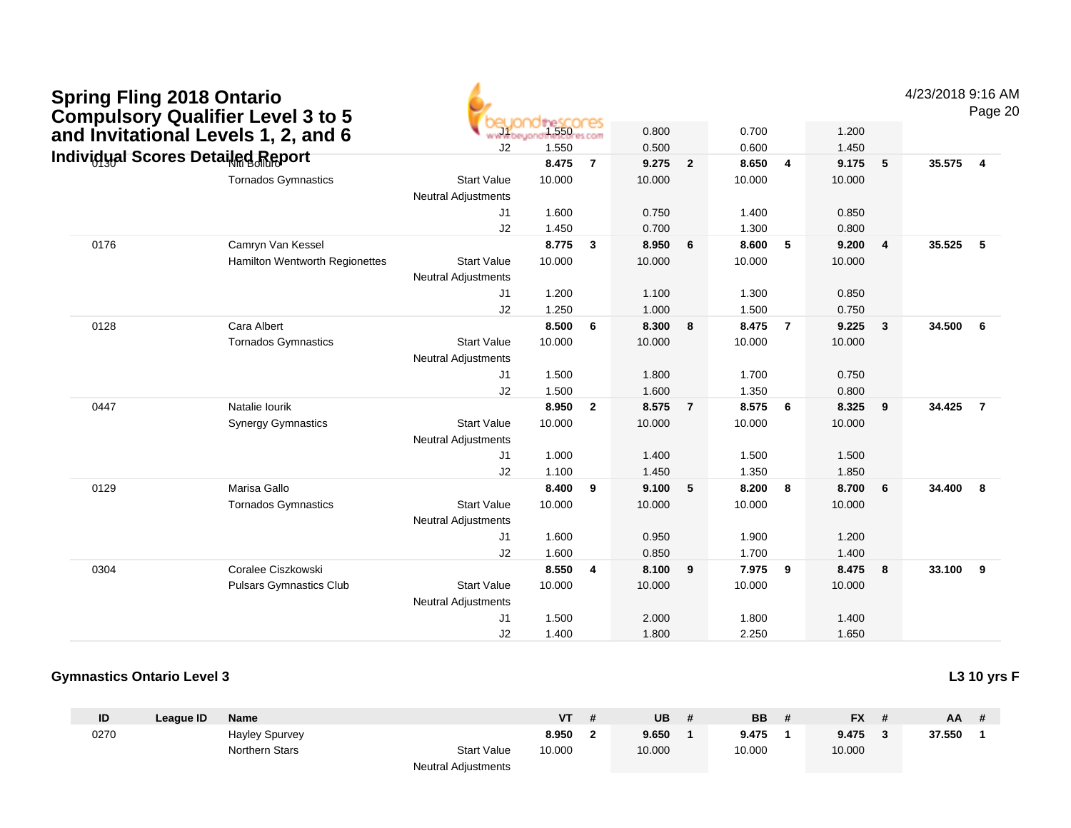| <b>Spring Fling 2018 Ontario</b>  | <b>Compulsory Qualifier Level 3 to 5</b> |                                                  |             |                |        |                |        |                         |        |                | 4/23/2018 9:16 AM | Page 20                 |
|-----------------------------------|------------------------------------------|--------------------------------------------------|-------------|----------------|--------|----------------|--------|-------------------------|--------|----------------|-------------------|-------------------------|
|                                   | and Invitational Levels 1, 2, and 6      |                                                  | 1.550 COMPS | es.com         | 0.800  |                | 0.700  |                         | 1.200  |                |                   |                         |
| Individual Scores Detailed Report |                                          | J2                                               | 1.550       |                | 0.500  |                | 0.600  |                         | 1.450  |                |                   |                         |
|                                   |                                          |                                                  | 8.475       | $\overline{7}$ | 9.275  | $\overline{2}$ | 8.650  | $\overline{4}$          | 9.175  | 5              | 35.575            | $\overline{4}$          |
|                                   | <b>Tornados Gymnastics</b>               | <b>Start Value</b><br><b>Neutral Adjustments</b> | 10.000      |                | 10.000 |                | 10.000 |                         | 10.000 |                |                   |                         |
|                                   |                                          | J1                                               | 1.600       |                | 0.750  |                | 1.400  |                         | 0.850  |                |                   |                         |
|                                   |                                          | J2                                               | 1.450       |                | 0.700  |                | 1.300  |                         | 0.800  |                |                   |                         |
| 0176                              | Camryn Van Kessel                        |                                                  | 8.775       | $\overline{3}$ | 8.950  | 6              | 8.600  | 5                       | 9.200  | $\overline{4}$ | 35.525            | 5                       |
|                                   | Hamilton Wentworth Regionettes           | <b>Start Value</b><br><b>Neutral Adjustments</b> | 10.000      |                | 10.000 |                | 10.000 |                         | 10.000 |                |                   |                         |
|                                   |                                          | J1                                               | 1.200       |                | 1.100  |                | 1.300  |                         | 0.850  |                |                   |                         |
|                                   |                                          | J2                                               | 1.250       |                | 1.000  |                | 1.500  |                         | 0.750  |                |                   |                         |
| 0128                              | Cara Albert                              |                                                  | 8.500       | 6              | 8.300  | 8              | 8.475  | $\overline{7}$          | 9.225  | $\mathbf{3}$   | 34.500            | - 6                     |
|                                   | <b>Tornados Gymnastics</b>               | <b>Start Value</b><br><b>Neutral Adjustments</b> | 10.000      |                | 10.000 |                | 10.000 |                         | 10.000 |                |                   |                         |
|                                   |                                          | J1                                               | 1.500       |                | 1.800  |                | 1.700  |                         | 0.750  |                |                   |                         |
|                                   |                                          | J2                                               | 1.500       |                | 1.600  |                | 1.350  |                         | 0.800  |                |                   |                         |
| 0447                              | Natalie lourik                           |                                                  | 8.950       | $\overline{2}$ | 8.575  | $\overline{7}$ | 8.575  | 6                       | 8.325  | 9              | 34.425            | $\overline{7}$          |
|                                   | <b>Synergy Gymnastics</b>                | <b>Start Value</b><br><b>Neutral Adjustments</b> | 10.000      |                | 10.000 |                | 10.000 |                         | 10.000 |                |                   |                         |
|                                   |                                          | J1                                               | 1.000       |                | 1.400  |                | 1.500  |                         | 1.500  |                |                   |                         |
|                                   |                                          | J2                                               | 1.100       |                | 1.450  |                | 1.350  |                         | 1.850  |                |                   |                         |
| 0129                              | Marisa Gallo                             |                                                  | 8.400       | 9              | 9.100  | 5              | 8.200  | 8                       | 8.700  | 6              | 34.400            | - 8                     |
|                                   | <b>Tornados Gymnastics</b>               | <b>Start Value</b>                               | 10.000      |                | 10.000 |                | 10.000 |                         | 10.000 |                |                   |                         |
|                                   |                                          | <b>Neutral Adjustments</b>                       |             |                |        |                |        |                         |        |                |                   |                         |
|                                   |                                          | J <sub>1</sub>                                   | 1.600       |                | 0.950  |                | 1.900  |                         | 1.200  |                |                   |                         |
|                                   |                                          | J2                                               | 1.600       |                | 0.850  |                | 1.700  |                         | 1.400  |                |                   |                         |
| 0304                              | Coralee Ciszkowski                       |                                                  | 8.550       | $\overline{4}$ | 8.100  | 9              | 7.975  | $\overline{\mathbf{9}}$ | 8.475  | 8              | 33.100            | $\overline{\mathbf{9}}$ |
|                                   | <b>Pulsars Gymnastics Club</b>           | <b>Start Value</b>                               | 10.000      |                | 10.000 |                | 10.000 |                         | 10.000 |                |                   |                         |
|                                   |                                          | <b>Neutral Adjustments</b>                       |             |                |        |                |        |                         |        |                |                   |                         |
|                                   |                                          | J <sub>1</sub>                                   | 1.500       |                | 2.000  |                | 1.800  |                         | 1.400  |                |                   |                         |
|                                   |                                          | J2                                               | 1.400       |                | 1.800  |                | 2.250  |                         | 1.650  |                |                   |                         |

| ID   | League ID | <b>Name</b>           |                            | <b>VT</b> | UB     | <b>BB</b> | <b>FX</b> | AA.    |  |
|------|-----------|-----------------------|----------------------------|-----------|--------|-----------|-----------|--------|--|
| 0270 |           | <b>Hayley Spurvey</b> |                            | 8.950     | 9.650  | 9.475     | 9.475     | 37.550 |  |
|      |           | Northern Stars        | <b>Start Value</b>         | 10.000    | 10.000 | 10.000    | 10.000    |        |  |
|      |           |                       | <b>Neutral Adjustments</b> |           |        |           |           |        |  |

**L3 10 yrs F**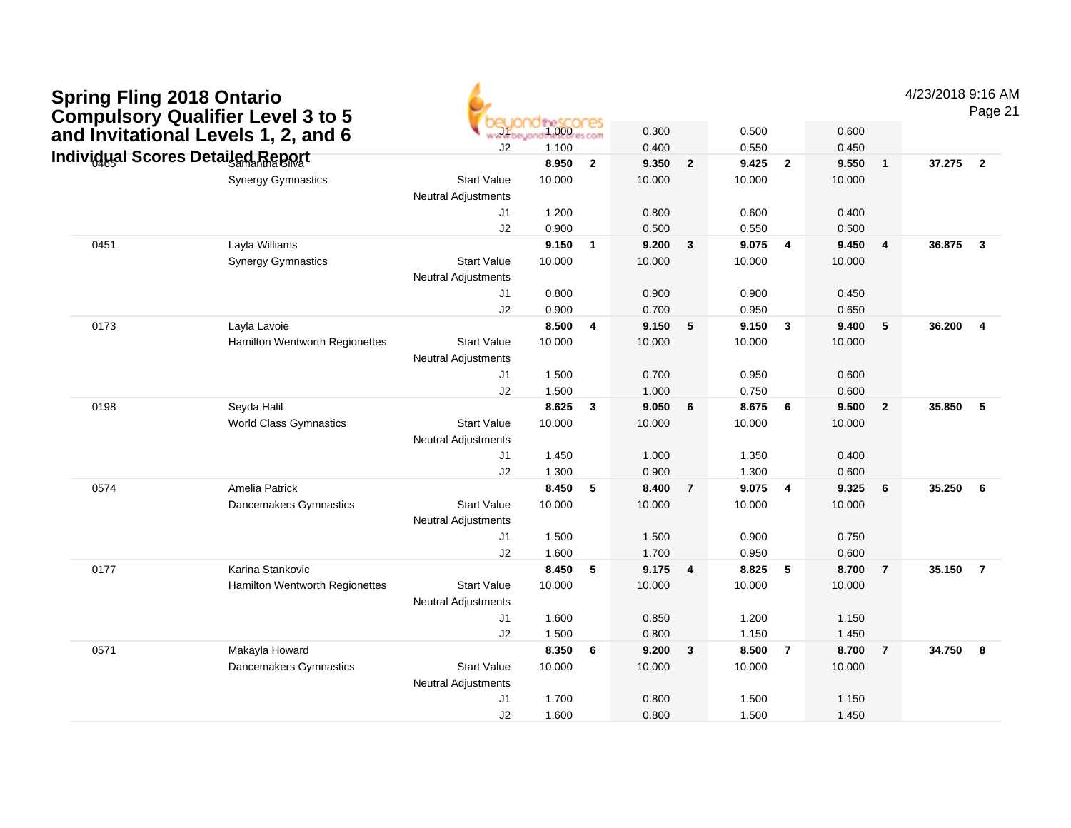| <b>Spring Fling 2018 Ontario</b>         |
|------------------------------------------|
| <b>Compulsory Qualifier Level 3 to 5</b> |
| and Invitational Levels 1, 2, and 6      |
| Individual Scores Detailed Penort        |

4/23/2018 9:16 AM

Page 21

|      | Compuisory Quanner Levers to 3           |                            |                            |              |        |                         |        |                         |        |                 |          |                         |
|------|------------------------------------------|----------------------------|----------------------------|--------------|--------|-------------------------|--------|-------------------------|--------|-----------------|----------|-------------------------|
|      | and Invitational Levels 1, 2, and 6      | www.be                     | the SCOCES<br>1.000res.com |              | 0.300  |                         | 0.500  |                         | 0.600  |                 |          |                         |
|      | <b>Individual Scores Detailed Report</b> | J2                         | 1.100                      |              | 0.400  |                         | 0.550  |                         | 0.450  |                 |          |                         |
|      |                                          |                            | 8.950                      | $\mathbf{2}$ | 9.350  | $\overline{2}$          | 9.425  | $\overline{2}$          | 9.550  | $\mathbf{1}$    | 37.275   | $\overline{\mathbf{2}}$ |
|      | <b>Synergy Gymnastics</b>                | <b>Start Value</b>         | 10.000                     |              | 10.000 |                         | 10.000 |                         | 10.000 |                 |          |                         |
|      |                                          | <b>Neutral Adjustments</b> |                            |              |        |                         |        |                         |        |                 |          |                         |
|      |                                          | J <sub>1</sub>             | 1.200                      |              | 0.800  |                         | 0.600  |                         | 0.400  |                 |          |                         |
|      |                                          | J2                         | 0.900                      |              | 0.500  |                         | 0.550  |                         | 0.500  |                 |          |                         |
| 0451 | Layla Williams                           |                            | 9.150                      | $\mathbf{1}$ | 9.200  | 3                       | 9.075  | $\overline{4}$          | 9.450  | 4               | 36.875   | $\overline{\mathbf{3}}$ |
|      | <b>Synergy Gymnastics</b>                | <b>Start Value</b>         | 10.000                     |              | 10.000 |                         | 10.000 |                         | 10.000 |                 |          |                         |
|      |                                          | <b>Neutral Adjustments</b> |                            |              |        |                         |        |                         |        |                 |          |                         |
|      |                                          | J <sub>1</sub>             | 0.800                      |              | 0.900  |                         | 0.900  |                         | 0.450  |                 |          |                         |
|      |                                          | J2                         | 0.900                      |              | 0.700  |                         | 0.950  |                         | 0.650  |                 |          |                         |
| 0173 | Layla Lavoie                             |                            | 8.500                      | 4            | 9.150  | 5                       | 9.150  | $\overline{\mathbf{3}}$ | 9.400  | 5               | 36.200   | $\overline{4}$          |
|      | Hamilton Wentworth Regionettes           | <b>Start Value</b>         | 10.000                     |              | 10.000 |                         | 10.000 |                         | 10.000 |                 |          |                         |
|      |                                          | <b>Neutral Adjustments</b> |                            |              |        |                         |        |                         |        |                 |          |                         |
|      |                                          | J1                         | 1.500                      |              | 0.700  |                         | 0.950  |                         | 0.600  |                 |          |                         |
|      |                                          | J2                         | 1.500                      |              | 1.000  |                         | 0.750  |                         | 0.600  |                 |          |                         |
| 0198 | Seyda Halil                              |                            | 8.625                      | 3            | 9.050  | 6                       | 8.675  | 6                       | 9.500  | $\overline{2}$  | 35.850   | $-5$                    |
|      | <b>World Class Gymnastics</b>            | <b>Start Value</b>         | 10.000                     |              | 10.000 |                         | 10.000 |                         | 10.000 |                 |          |                         |
|      |                                          | Neutral Adjustments        |                            |              |        |                         |        |                         |        |                 |          |                         |
|      |                                          | J <sub>1</sub>             | 1.450                      |              | 1.000  |                         | 1.350  |                         | 0.400  |                 |          |                         |
|      |                                          | J2                         | 1.300                      |              | 0.900  |                         | 1.300  |                         | 0.600  |                 |          |                         |
| 0574 | Amelia Patrick                           |                            | 8.450                      | 5            | 8.400  | $\overline{7}$          | 9.075  | $\overline{\mathbf{4}}$ | 9.325  | $6\phantom{1}6$ | 35.250   | $6\phantom{.}6$         |
|      | Dancemakers Gymnastics                   | <b>Start Value</b>         | 10.000                     |              | 10.000 |                         | 10.000 |                         | 10.000 |                 |          |                         |
|      |                                          | <b>Neutral Adjustments</b> |                            |              |        |                         |        |                         |        |                 |          |                         |
|      |                                          | J <sub>1</sub>             | 1.500                      |              | 1.500  |                         | 0.900  |                         | 0.750  |                 |          |                         |
|      |                                          | J2                         | 1.600                      |              | 1.700  |                         | 0.950  |                         | 0.600  |                 |          |                         |
| 0177 | Karina Stankovic                         |                            | 8.450                      | 5            | 9.175  | $\overline{\mathbf{4}}$ | 8.825  | $-5$                    | 8.700  | $\overline{7}$  | 35.150 7 |                         |
|      | Hamilton Wentworth Regionettes           | <b>Start Value</b>         | 10.000                     |              | 10.000 |                         | 10.000 |                         | 10.000 |                 |          |                         |
|      |                                          | <b>Neutral Adjustments</b> |                            |              |        |                         |        |                         |        |                 |          |                         |
|      |                                          | J1                         | 1.600                      |              | 0.850  |                         | 1.200  |                         | 1.150  |                 |          |                         |
|      |                                          | J2                         | 1.500                      |              | 0.800  |                         | 1.150  |                         | 1.450  |                 |          |                         |
| 0571 | Makayla Howard                           |                            | 8.350                      | 6            | 9.200  | $\mathbf{3}$            | 8.500  | $\overline{7}$          | 8.700  | $\overline{7}$  | 34.750   | $\overline{\mathbf{8}}$ |
|      | Dancemakers Gymnastics                   | <b>Start Value</b>         | 10.000                     |              | 10.000 |                         | 10.000 |                         | 10.000 |                 |          |                         |
|      |                                          | <b>Neutral Adjustments</b> |                            |              |        |                         |        |                         |        |                 |          |                         |
|      |                                          | J1                         | 1.700                      |              | 0.800  |                         | 1.500  |                         | 1.150  |                 |          |                         |
|      |                                          | J2                         | 1.600                      |              | 0.800  |                         | 1.500  |                         | 1.450  |                 |          |                         |

6,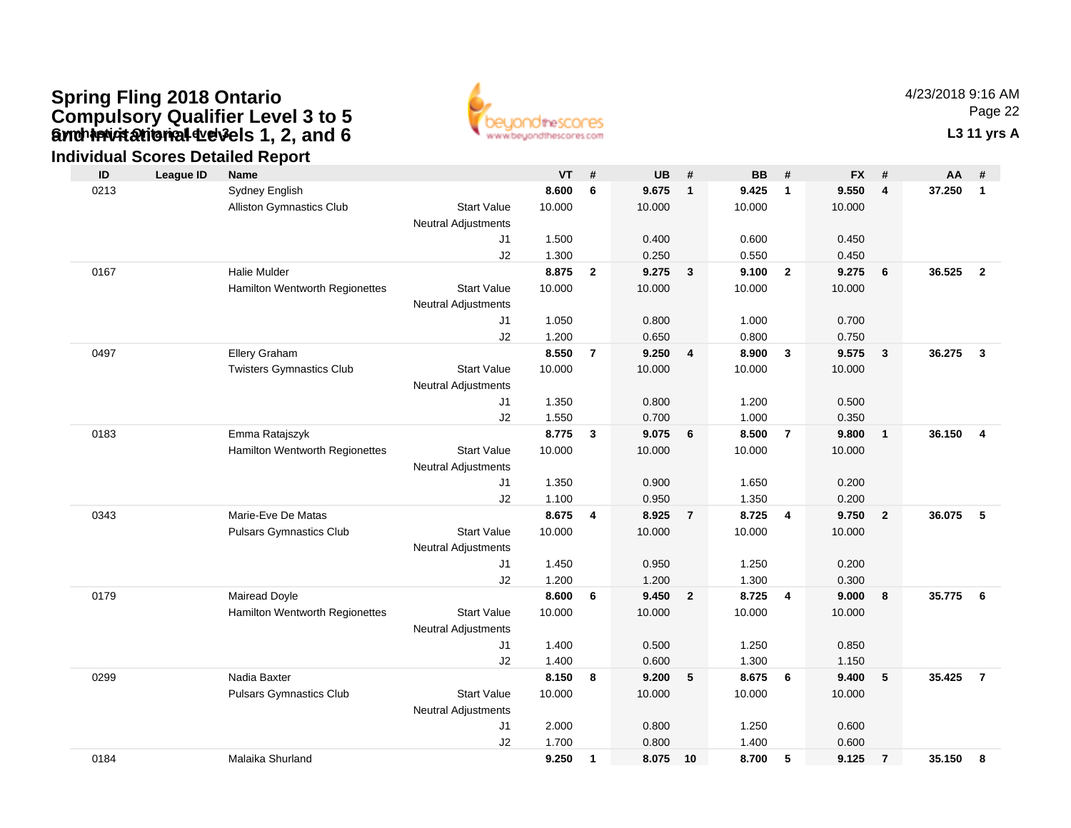### **Gynch invitational devels 1, 2, and 6** The Contact of Contact Contact Contact Contact Contact Contact Contact Contact Contact Contact Contact Contact Contact Contact Contact Contact Contact Contact Contact Contact Contact **Spring Fling 2018 Ontario Compulsory Qualifier Level 3 to 5 and Invitational Levels 1, 2, and 6**



4/23/2018 9:16 AMPage 22

### **Individual Scores Detailed Report**

| ID   | <b>League ID</b> | Name                            |                            | <b>VT</b> | #              | <b>UB</b> | #              | <b>BB</b> | #              | <b>FX</b> | #                       | AA     | #               |
|------|------------------|---------------------------------|----------------------------|-----------|----------------|-----------|----------------|-----------|----------------|-----------|-------------------------|--------|-----------------|
| 0213 |                  | Sydney English                  |                            | 8.600     | 6              | 9.675     | $\overline{1}$ | 9.425     | $\mathbf{1}$   | 9.550     | $\overline{\mathbf{4}}$ | 37.250 | $\mathbf{1}$    |
|      |                  | Alliston Gymnastics Club        | <b>Start Value</b>         | 10.000    |                | 10.000    |                | 10.000    |                | 10.000    |                         |        |                 |
|      |                  |                                 | <b>Neutral Adjustments</b> |           |                |           |                |           |                |           |                         |        |                 |
|      |                  |                                 | J1                         | 1.500     |                | 0.400     |                | 0.600     |                | 0.450     |                         |        |                 |
|      |                  |                                 | J2                         | 1.300     |                | 0.250     |                | 0.550     |                | 0.450     |                         |        |                 |
| 0167 |                  | <b>Halie Mulder</b>             |                            | 8.875     | $\overline{2}$ | 9.275     | $\mathbf{3}$   | 9.100     | $\overline{2}$ | 9.275     | 6                       | 36.525 | $\overline{2}$  |
|      |                  | Hamilton Wentworth Regionettes  | <b>Start Value</b>         | 10.000    |                | 10.000    |                | 10.000    |                | 10.000    |                         |        |                 |
|      |                  |                                 | <b>Neutral Adjustments</b> |           |                |           |                |           |                |           |                         |        |                 |
|      |                  |                                 | J1                         | 1.050     |                | 0.800     |                | 1.000     |                | 0.700     |                         |        |                 |
|      |                  |                                 | J2                         | 1.200     |                | 0.650     |                | 0.800     |                | 0.750     |                         |        |                 |
| 0497 |                  | Ellery Graham                   |                            | 8.550     | $\overline{7}$ | 9.250     | $\overline{4}$ | 8.900     | $\mathbf{3}$   | 9.575     | $\mathbf{3}$            | 36.275 | $\mathbf{3}$    |
|      |                  | <b>Twisters Gymnastics Club</b> | <b>Start Value</b>         | 10.000    |                | 10.000    |                | 10.000    |                | 10.000    |                         |        |                 |
|      |                  |                                 | <b>Neutral Adjustments</b> |           |                |           |                |           |                |           |                         |        |                 |
|      |                  |                                 | J1                         | 1.350     |                | 0.800     |                | 1.200     |                | 0.500     |                         |        |                 |
|      |                  |                                 | J2                         | 1.550     |                | 0.700     |                | 1.000     |                | 0.350     |                         |        |                 |
| 0183 |                  | Emma Ratajszyk                  |                            | 8.775     | 3              | 9.075     | 6              | 8.500     | $\overline{7}$ | 9.800     | $\overline{1}$          | 36.150 | $\overline{4}$  |
|      |                  | Hamilton Wentworth Regionettes  | <b>Start Value</b>         | 10.000    |                | 10.000    |                | 10.000    |                | 10.000    |                         |        |                 |
|      |                  |                                 | <b>Neutral Adjustments</b> |           |                |           |                |           |                |           |                         |        |                 |
|      |                  |                                 | J1                         | 1.350     |                | 0.900     |                | 1.650     |                | 0.200     |                         |        |                 |
|      |                  |                                 | J2                         | 1.100     |                | 0.950     |                | 1.350     |                | 0.200     |                         |        |                 |
| 0343 |                  | Marie-Eve De Matas              |                            | 8.675     | 4              | 8.925     | $\overline{7}$ | 8.725     | $\overline{4}$ | 9.750     | $\overline{2}$          | 36.075 | $5\phantom{.0}$ |
|      |                  | <b>Pulsars Gymnastics Club</b>  | <b>Start Value</b>         | 10.000    |                | 10.000    |                | 10.000    |                | 10.000    |                         |        |                 |
|      |                  |                                 | <b>Neutral Adjustments</b> |           |                |           |                |           |                |           |                         |        |                 |
|      |                  |                                 | J <sub>1</sub>             | 1.450     |                | 0.950     |                | 1.250     |                | 0.200     |                         |        |                 |
|      |                  |                                 | J2                         | 1.200     |                | 1.200     |                | 1.300     |                | 0.300     |                         |        |                 |
| 0179 |                  | Mairead Doyle                   |                            | 8.600     | 6              | 9.450     | $\overline{2}$ | 8.725     | $\overline{4}$ | 9.000     | 8                       | 35.775 | 6               |
|      |                  | Hamilton Wentworth Regionettes  | <b>Start Value</b>         | 10.000    |                | 10.000    |                | 10.000    |                | 10.000    |                         |        |                 |
|      |                  |                                 | <b>Neutral Adjustments</b> |           |                |           |                |           |                |           |                         |        |                 |
|      |                  |                                 | J1                         | 1.400     |                | 0.500     |                | 1.250     |                | 0.850     |                         |        |                 |
|      |                  |                                 | J2                         | 1.400     |                | 0.600     |                | 1.300     |                | 1.150     |                         |        |                 |
| 0299 |                  | Nadia Baxter                    |                            | 8.150     | 8              | 9.200     | 5              | 8.675     | 6              | 9.400     | $\sqrt{5}$              | 35.425 | $\overline{7}$  |
|      |                  | Pulsars Gymnastics Club         | <b>Start Value</b>         | 10.000    |                | 10.000    |                | 10.000    |                | 10.000    |                         |        |                 |
|      |                  |                                 | <b>Neutral Adjustments</b> |           |                |           |                |           |                |           |                         |        |                 |
|      |                  |                                 | J <sub>1</sub>             | 2.000     |                | 0.800     |                | 1.250     |                | 0.600     |                         |        |                 |
|      |                  |                                 | J2                         | 1.700     |                | 0.800     |                | 1.400     |                | 0.600     |                         |        |                 |
| 0184 |                  | Malaika Shurland                |                            | 9.250     | $\mathbf{1}$   | 8.075     | 10             | 8.700     | 5              | 9.125     | $\overline{7}$          | 35.150 | 8               |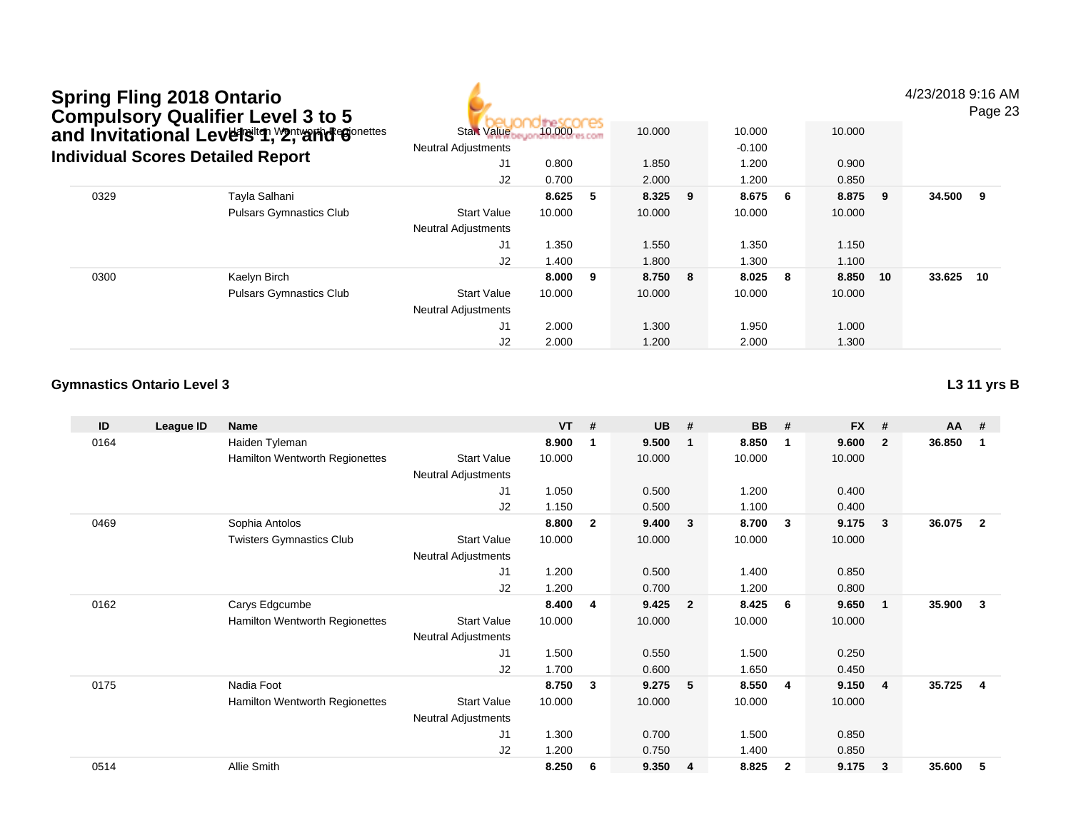| <b>Spring Fling 2018 Ontario</b>            |
|---------------------------------------------|
| <b>Compulsory Qualifier Level 3 to 5</b>    |
| and Invitational Levels to Mantram Gonettes |
| Individual Scores Detailed Renort           |

4/23/2018 9:16 AM

Page 23

|      | Compulsory Quanner Lever 3 to 3<br>and Invitational Levelঙiণ, Y2, Yant Gonettes<br><b>Individual Scores Detailed Report</b><br>Tayla Salhani<br><b>Pulsars Gymnastics Club</b><br>Kaelyn Birch<br><b>Pulsars Gymnastics Club</b> | res<br>10.000<br><b>Start Value</b><br><b>Neutral Adjustments</b> | 10.000 |     | 10.000<br>$-0.100$ |     | 10.000 |     |        |     |        |    |
|------|----------------------------------------------------------------------------------------------------------------------------------------------------------------------------------------------------------------------------------|-------------------------------------------------------------------|--------|-----|--------------------|-----|--------|-----|--------|-----|--------|----|
|      |                                                                                                                                                                                                                                  | J1                                                                | 0.800  |     | 1.850              |     | 1.200  |     | 0.900  |     |        |    |
|      |                                                                                                                                                                                                                                  | J2                                                                | 0.700  |     | 2.000              |     | 1.200  |     | 0.850  |     |        |    |
| 0329 |                                                                                                                                                                                                                                  |                                                                   | 8.625  | -5  | 8.325              | - 9 | 8.675  | - 6 | 8.875  | - 9 | 34.500 | 9  |
|      |                                                                                                                                                                                                                                  | <b>Start Value</b>                                                | 10.000 |     | 10.000             |     | 10.000 |     | 10.000 |     |        |    |
|      |                                                                                                                                                                                                                                  | <b>Neutral Adjustments</b>                                        |        |     |                    |     |        |     |        |     |        |    |
|      |                                                                                                                                                                                                                                  | J1                                                                | 1.350  |     | 1.550              |     | .350   |     | 1.150  |     |        |    |
|      |                                                                                                                                                                                                                                  | J2                                                                | 1.400  |     | 1.800              |     | 1.300  |     | 1.100  |     |        |    |
| 0300 |                                                                                                                                                                                                                                  |                                                                   | 8.000  | - 9 | 8.750              | 8   | 8.025  | - 8 | 8.850  | 10  | 33.625 | 10 |
|      |                                                                                                                                                                                                                                  | <b>Start Value</b>                                                | 10.000 |     | 10.000             |     | 10.000 |     | 10.000 |     |        |    |
|      |                                                                                                                                                                                                                                  | <b>Neutral Adjustments</b>                                        |        |     |                    |     |        |     |        |     |        |    |
|      |                                                                                                                                                                                                                                  | J1                                                                | 2.000  |     | 1.300              |     | 1.950  |     | 1.000  |     |        |    |
|      |                                                                                                                                                                                                                                  | J2                                                                | 2.000  |     | 1.200              |     | 2.000  |     | 1.300  |     |        |    |

#### **Gymnastics Ontario Level 3L3 11 yrs B**

| ID   | League ID | Name                                  |                            | <b>VT</b> | #            | <b>UB</b> | #                       | <b>BB</b> | #              | <b>FX</b> | #              | AA     | #                       |
|------|-----------|---------------------------------------|----------------------------|-----------|--------------|-----------|-------------------------|-----------|----------------|-----------|----------------|--------|-------------------------|
| 0164 |           | Haiden Tyleman                        |                            | 8.900     | $\mathbf{1}$ | 9.500     | $\mathbf{1}$            | 8.850     | $\mathbf 1$    | 9.600     | $\overline{2}$ | 36.850 | -1                      |
|      |           | Hamilton Wentworth Regionettes        | <b>Start Value</b>         | 10.000    |              | 10.000    |                         | 10.000    |                | 10.000    |                |        |                         |
|      |           |                                       | <b>Neutral Adjustments</b> |           |              |           |                         |           |                |           |                |        |                         |
|      |           |                                       | J <sub>1</sub>             | 1.050     |              | 0.500     |                         | 1.200     |                | 0.400     |                |        |                         |
|      |           |                                       | J2                         | 1.150     |              | 0.500     |                         | 1.100     |                | 0.400     |                |        |                         |
| 0469 |           | Sophia Antolos                        |                            | 8.800     | $\mathbf{2}$ | 9.400     | $\mathbf{3}$            | 8.700     | $\mathbf{3}$   | 9.175     | 3              | 36.075 | $\overline{2}$          |
|      |           | <b>Twisters Gymnastics Club</b>       | <b>Start Value</b>         | 10.000    |              | 10.000    |                         | 10.000    |                | 10.000    |                |        |                         |
|      |           |                                       | <b>Neutral Adjustments</b> |           |              |           |                         |           |                |           |                |        |                         |
|      |           |                                       | J1                         | 1.200     |              | 0.500     |                         | 1.400     |                | 0.850     |                |        |                         |
|      |           |                                       | J2                         | 1.200     |              | 0.700     |                         | 1.200     |                | 0.800     |                |        |                         |
| 0162 |           | Carys Edgcumbe                        |                            | 8.400     | 4            | 9.425     | $\overline{\mathbf{2}}$ | 8.425     | - 6            | 9.650     | -1             | 35.900 | 3                       |
|      |           | Hamilton Wentworth Regionettes        | <b>Start Value</b>         | 10.000    |              | 10.000    |                         | 10.000    |                | 10.000    |                |        |                         |
|      |           |                                       | <b>Neutral Adjustments</b> |           |              |           |                         |           |                |           |                |        |                         |
|      |           |                                       | J1                         | 1.500     |              | 0.550     |                         | 1.500     |                | 0.250     |                |        |                         |
|      |           |                                       | J2                         | 1.700     |              | 0.600     |                         | 1.650     |                | 0.450     |                |        |                         |
| 0175 |           | Nadia Foot                            |                            | 8.750     | 3            | 9.275     | 5                       | 8.550     | $\overline{4}$ | 9.150     | $\overline{4}$ | 35.725 | $\overline{\mathbf{4}}$ |
|      |           | <b>Hamilton Wentworth Regionettes</b> | <b>Start Value</b>         | 10.000    |              | 10.000    |                         | 10.000    |                | 10.000    |                |        |                         |
|      |           |                                       | <b>Neutral Adjustments</b> |           |              |           |                         |           |                |           |                |        |                         |
|      |           |                                       | J1                         | 1.300     |              | 0.700     |                         | 1.500     |                | 0.850     |                |        |                         |
|      |           |                                       | J2                         | 1.200     |              | 0.750     |                         | 1.400     |                | 0.850     |                |        |                         |
| 0514 |           | Allie Smith                           |                            | 8.250     | 6            | 9.350     | 4                       | 8.825     | $\overline{2}$ | 9.175     | 3              | 35.600 | 5                       |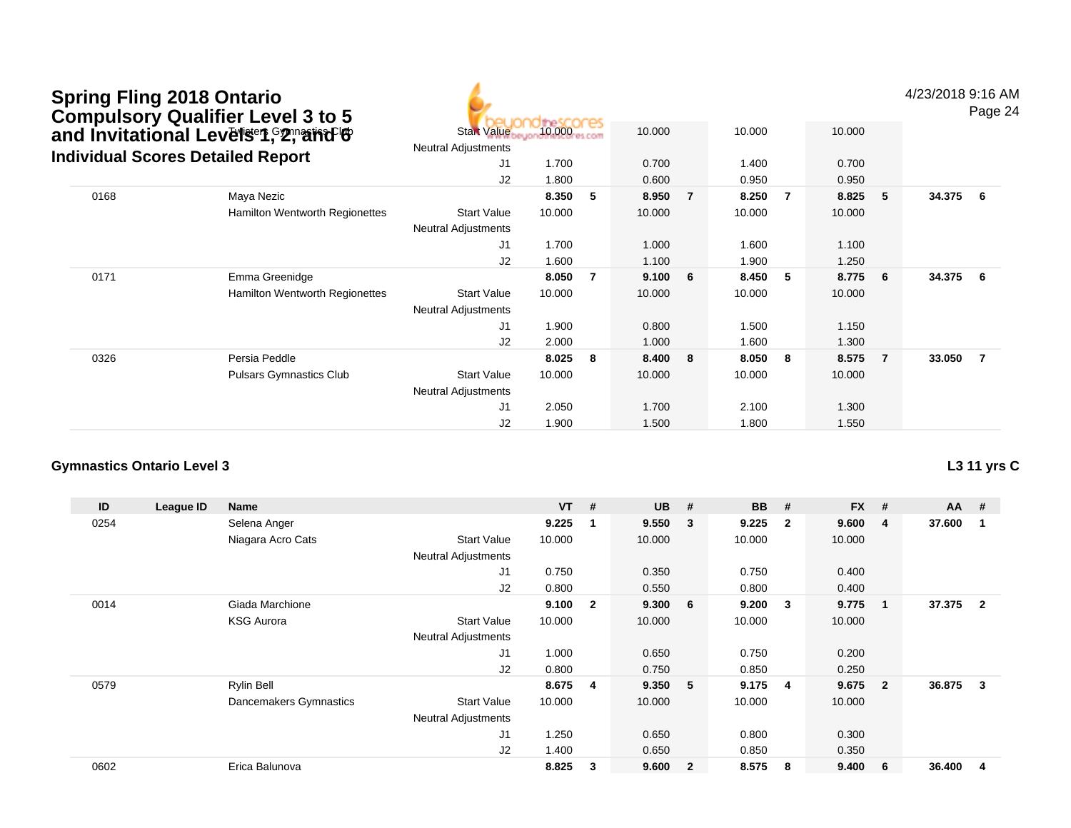|      | <b>Spring Fling 2018 Ontario</b><br><b>Compulsory Qualifier Level 3 to 5</b><br>and Invitational Levelser, 2, and Invitational<br><b>Individual Scores Detailed Report</b> | <b>Start Value</b><br><b>Neutral Adjustments</b><br>J1 | 10.000<br>1.700 |    | 10.000<br>0.700 |                | 10.000<br>1.400 |     | 10.000<br>0.700 |                | 4/23/2018 9:16 AM | Page 24 |
|------|----------------------------------------------------------------------------------------------------------------------------------------------------------------------------|--------------------------------------------------------|-----------------|----|-----------------|----------------|-----------------|-----|-----------------|----------------|-------------------|---------|
|      |                                                                                                                                                                            | J2                                                     | 1.800           |    | 0.600           |                | 0.950           |     | 0.950           |                |                   |         |
| 0168 | Maya Nezic                                                                                                                                                                 |                                                        | 8.350           | 5  | 8.950           | $\overline{7}$ | 8.250           | -7  | 8.825           | 5              | 34.375            | - 6     |
|      | <b>Hamilton Wentworth Regionettes</b>                                                                                                                                      | <b>Start Value</b><br><b>Neutral Adjustments</b>       | 10.000          |    | 10.000          |                | 10.000          |     | 10.000          |                |                   |         |
|      |                                                                                                                                                                            | J1                                                     | 1.700           |    | 1.000           |                | 1.600           |     | 1.100           |                |                   |         |
|      |                                                                                                                                                                            | J2                                                     | 1.600           |    | 1.100           |                | 1.900           |     | 1.250           |                |                   |         |
| 0171 | Emma Greenidge                                                                                                                                                             |                                                        | 8.050           | -7 | 9.100           | 6              | 8.450           | - 5 | 8.775           | 6              | 34.375            | 6       |
|      | <b>Hamilton Wentworth Regionettes</b>                                                                                                                                      | Start Value<br><b>Neutral Adjustments</b>              | 10.000          |    | 10.000          |                | 10.000          |     | 10.000          |                |                   |         |
|      |                                                                                                                                                                            | J1                                                     | 1.900           |    | 0.800           |                | 1.500           |     | 1.150           |                |                   |         |
|      |                                                                                                                                                                            | J2                                                     | 2.000           |    | 1.000           |                | 1.600           |     | 1.300           |                |                   |         |
| 0326 | Persia Peddle                                                                                                                                                              |                                                        | 8.025           | -8 | 8.400           | 8              | 8.050           | -8  | 8.575           | $\overline{7}$ | 33.050            | - 7     |
|      | <b>Pulsars Gymnastics Club</b>                                                                                                                                             | <b>Start Value</b><br>Neutral Adjustments              | 10.000          |    | 10.000          |                | 10.000          |     | 10.000          |                |                   |         |
|      |                                                                                                                                                                            | J1                                                     | 2.050           |    | 1.700           |                | 2.100           |     | 1.300           |                |                   |         |
|      |                                                                                                                                                                            | J2                                                     | 1.900           |    | 1.500           |                | 1.800           |     | 1.550           |                |                   |         |

| ID   | League ID | <b>Name</b>            |                            | <b>VT</b> | #                       | <b>UB</b> | #                       | <b>BB</b> | #              | <b>FX</b> | #              | $AA$ # |                |
|------|-----------|------------------------|----------------------------|-----------|-------------------------|-----------|-------------------------|-----------|----------------|-----------|----------------|--------|----------------|
| 0254 |           | Selena Anger           |                            | 9.225     | -1                      | 9.550     | $\overline{\mathbf{3}}$ | 9.225     | $\overline{2}$ | 9.600     | 4              | 37.600 |                |
|      |           | Niagara Acro Cats      | <b>Start Value</b>         | 10.000    |                         | 10.000    |                         | 10.000    |                | 10.000    |                |        |                |
|      |           |                        | <b>Neutral Adjustments</b> |           |                         |           |                         |           |                |           |                |        |                |
|      |           |                        | J <sub>1</sub>             | 0.750     |                         | 0.350     |                         | 0.750     |                | 0.400     |                |        |                |
|      |           |                        | J <sub>2</sub>             | 0.800     |                         | 0.550     |                         | 0.800     |                | 0.400     |                |        |                |
| 0014 |           | Giada Marchione        |                            | 9.100     | $\overline{\mathbf{2}}$ | 9.300     | - 6                     | 9.200     | 3              | 9.775     |                | 37.375 | $\overline{2}$ |
|      |           | <b>KSG Aurora</b>      | <b>Start Value</b>         | 10.000    |                         | 10.000    |                         | 10.000    |                | 10.000    |                |        |                |
|      |           |                        | <b>Neutral Adjustments</b> |           |                         |           |                         |           |                |           |                |        |                |
|      |           |                        | J <sub>1</sub>             | 1.000     |                         | 0.650     |                         | 0.750     |                | 0.200     |                |        |                |
|      |           |                        | J <sub>2</sub>             | 0.800     |                         | 0.750     |                         | 0.850     |                | 0.250     |                |        |                |
| 0579 |           | <b>Rylin Bell</b>      |                            | 8.675     | -4                      | 9.350     | - 5                     | 9.175     | -4             | 9.675     | $\overline{2}$ | 36.875 | 3              |
|      |           | Dancemakers Gymnastics | <b>Start Value</b>         | 10.000    |                         | 10.000    |                         | 10.000    |                | 10.000    |                |        |                |
|      |           |                        | <b>Neutral Adjustments</b> |           |                         |           |                         |           |                |           |                |        |                |
|      |           |                        | J1                         | 1.250     |                         | 0.650     |                         | 0.800     |                | 0.300     |                |        |                |
|      |           |                        | J <sub>2</sub>             | 1.400     |                         | 0.650     |                         | 0.850     |                | 0.350     |                |        |                |
| 0602 |           | Erica Balunova         |                            | 8.825     | 3                       | 9.600     | $\overline{2}$          | 8.575     | 8              | 9.400     | 6              | 36.400 | 4              |

**L3 11 yrs C**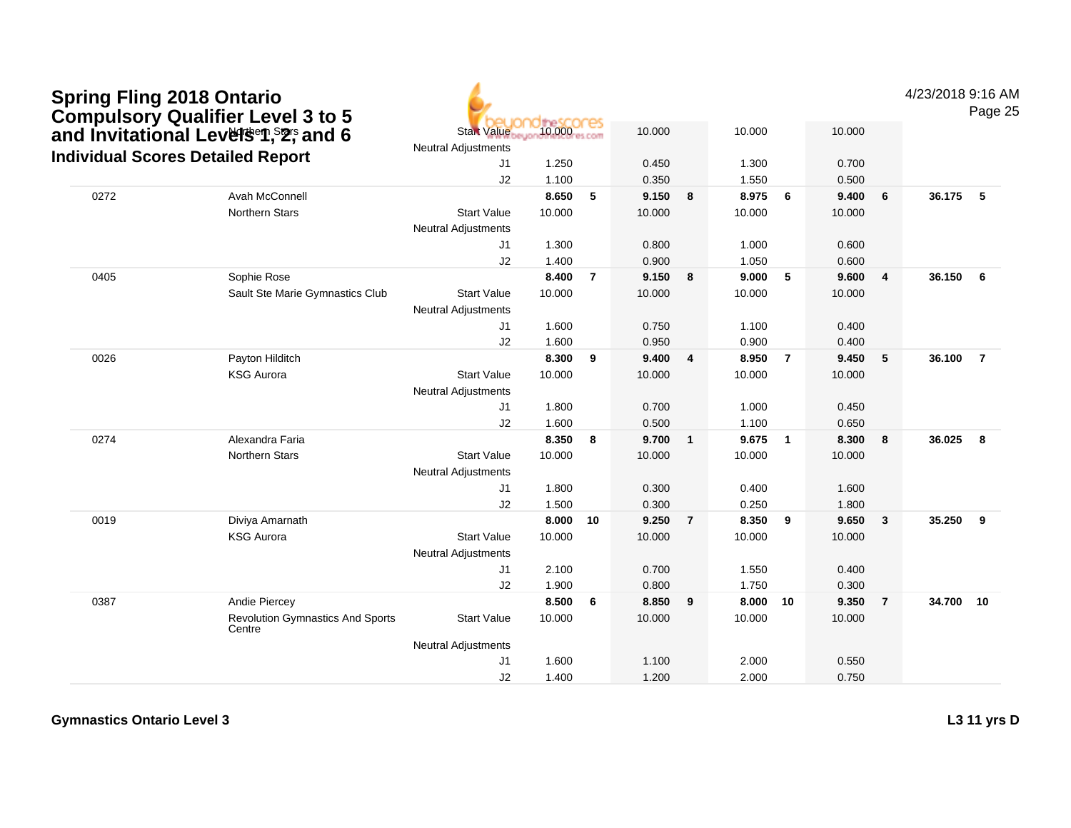| <b>Spring Fling 2018 Ontario</b><br><b>Compulsory Qualifier Level 3 to 5</b> |                                                   |                                                  |            |                         |        |                |        |                |        |                | 4/23/2018 9:16 AM | Page 25        |
|------------------------------------------------------------------------------|---------------------------------------------------|--------------------------------------------------|------------|-------------------------|--------|----------------|--------|----------------|--------|----------------|-------------------|----------------|
| and Invitational Levelsen, S2; and 6                                         |                                                   | <b>Start Value</b><br><b>Neutral Adjustments</b> | 10.000 com |                         | 10.000 |                | 10.000 |                | 10.000 |                |                   |                |
| <b>Individual Scores Detailed Report</b>                                     |                                                   | J1                                               | 1.250      |                         | 0.450  |                | 1.300  |                | 0.700  |                |                   |                |
|                                                                              |                                                   | J <sub>2</sub>                                   | 1.100      |                         | 0.350  |                | 1.550  |                | 0.500  |                |                   |                |
| 0272                                                                         | Avah McConnell                                    |                                                  | 8.650      | 5                       | 9.150  | 8              | 8.975  | 6              | 9.400  | 6              | 36.175            | 5              |
|                                                                              | <b>Northern Stars</b>                             | <b>Start Value</b>                               | 10.000     |                         | 10.000 |                | 10.000 |                | 10.000 |                |                   |                |
|                                                                              |                                                   | <b>Neutral Adjustments</b>                       |            |                         |        |                |        |                |        |                |                   |                |
|                                                                              |                                                   | J1                                               | 1.300      |                         | 0.800  |                | 1.000  |                | 0.600  |                |                   |                |
|                                                                              |                                                   | J2                                               | 1.400      |                         | 0.900  |                | 1.050  |                | 0.600  |                |                   |                |
| 0405                                                                         | Sophie Rose                                       |                                                  | 8.400      | $\overline{7}$          | 9.150  | 8              | 9.000  | 5              | 9.600  | 4              | 36.150            | 6              |
|                                                                              | Sault Ste Marie Gymnastics Club                   | <b>Start Value</b>                               | 10.000     |                         | 10.000 |                | 10.000 |                | 10.000 |                |                   |                |
|                                                                              |                                                   | <b>Neutral Adjustments</b>                       |            |                         |        |                |        |                |        |                |                   |                |
|                                                                              |                                                   | J1                                               | 1.600      |                         | 0.750  |                | 1.100  |                | 0.400  |                |                   |                |
|                                                                              |                                                   | J2                                               | 1.600      |                         | 0.950  |                | 0.900  |                | 0.400  |                |                   |                |
| 0026                                                                         | Payton Hilditch                                   |                                                  | 8.300      | $\overline{9}$          | 9.400  | $\overline{4}$ | 8.950  | $\overline{7}$ | 9.450  | 5              | 36.100            | $\overline{7}$ |
|                                                                              | <b>KSG Aurora</b>                                 | <b>Start Value</b>                               | 10.000     |                         | 10.000 |                | 10.000 |                | 10.000 |                |                   |                |
|                                                                              |                                                   | <b>Neutral Adjustments</b>                       |            |                         |        |                |        |                |        |                |                   |                |
|                                                                              |                                                   | J1                                               | 1.800      |                         | 0.700  |                | 1.000  |                | 0.450  |                |                   |                |
|                                                                              |                                                   | J2                                               | 1.600      |                         | 0.500  |                | 1.100  |                | 0.650  |                |                   |                |
| 0274                                                                         | Alexandra Faria                                   |                                                  | 8.350      | $\overline{\mathbf{8}}$ | 9.700  | $\mathbf{1}$   | 9.675  | $\overline{1}$ | 8.300  | 8              | 36.025            | 8              |
|                                                                              | <b>Northern Stars</b>                             | <b>Start Value</b>                               | 10.000     |                         | 10.000 |                | 10.000 |                | 10.000 |                |                   |                |
|                                                                              |                                                   | <b>Neutral Adjustments</b>                       |            |                         |        |                |        |                |        |                |                   |                |
|                                                                              |                                                   | J1                                               | 1.800      |                         | 0.300  |                | 0.400  |                | 1.600  |                |                   |                |
|                                                                              |                                                   | J2                                               | 1.500      |                         | 0.300  |                | 0.250  |                | 1.800  |                |                   |                |
| 0019                                                                         | Diviya Amarnath                                   |                                                  | 8.000      | 10                      | 9.250  | $\overline{7}$ | 8.350  | 9              | 9.650  | 3              | 35.250            | 9              |
|                                                                              | <b>KSG Aurora</b>                                 | <b>Start Value</b>                               | 10.000     |                         | 10.000 |                | 10.000 |                | 10.000 |                |                   |                |
|                                                                              |                                                   | <b>Neutral Adjustments</b>                       |            |                         |        |                |        |                |        |                |                   |                |
|                                                                              |                                                   | J1                                               | 2.100      |                         | 0.700  |                | 1.550  |                | 0.400  |                |                   |                |
|                                                                              |                                                   | J2                                               | 1.900      |                         | 0.800  |                | 1.750  |                | 0.300  |                |                   |                |
| 0387                                                                         | Andie Piercey                                     |                                                  | 8.500      | 6                       | 8.850  | 9              | 8.000  | 10             | 9.350  | $\overline{7}$ | 34.700 10         |                |
|                                                                              | <b>Revolution Gymnastics And Sports</b><br>Centre | <b>Start Value</b>                               | 10.000     |                         | 10.000 |                | 10.000 |                | 10.000 |                |                   |                |
|                                                                              |                                                   | <b>Neutral Adjustments</b>                       |            |                         |        |                |        |                |        |                |                   |                |
|                                                                              |                                                   | J <sub>1</sub>                                   | 1.600      |                         | 1.100  |                | 2.000  |                | 0.550  |                |                   |                |
|                                                                              |                                                   | J2                                               | 1.400      |                         | 1.200  |                | 2.000  |                | 0.750  |                |                   |                |

**L3 11 yrs D**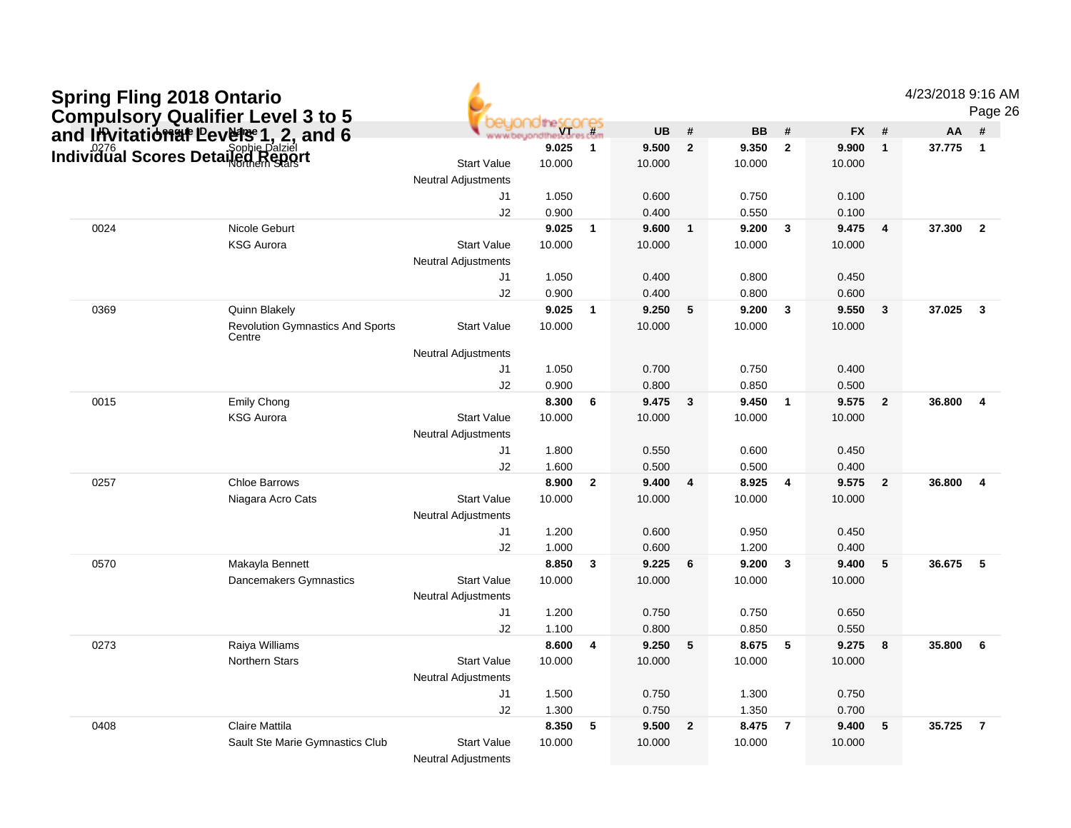| <b>Spring Fling 2018 Ontario</b> |                                                                                                                          |                                                  |                 |                         |           |                |           |                         |           |                         | 4/23/2018 9:16 AM | Page 26                 |
|----------------------------------|--------------------------------------------------------------------------------------------------------------------------|--------------------------------------------------|-----------------|-------------------------|-----------|----------------|-----------|-------------------------|-----------|-------------------------|-------------------|-------------------------|
|                                  | <b>Compulsory Qualifier Level 3 to 5<br/>and Invitation at Pevelse 1, 2, and 6<br/>Individual Scores Detailed Repart</b> |                                                  | <b>YT</b>       | cores                   | <b>UB</b> | #              | <b>BB</b> | #                       | <b>FX</b> | #                       | AA                | #                       |
|                                  |                                                                                                                          |                                                  | 9.025           | $\overline{1}$          | 9.500     | $\mathbf{2}$   | 9.350     | $\overline{\mathbf{2}}$ | 9.900     | $\mathbf{1}$            | 37.775            | $\overline{\mathbf{1}}$ |
|                                  |                                                                                                                          | <b>Start Value</b>                               | 10.000          |                         | 10.000    |                | 10.000    |                         | 10.000    |                         |                   |                         |
|                                  |                                                                                                                          | <b>Neutral Adjustments</b>                       |                 |                         |           |                |           |                         |           |                         |                   |                         |
|                                  |                                                                                                                          | J1                                               | 1.050           |                         | 0.600     |                | 0.750     |                         | 0.100     |                         |                   |                         |
|                                  |                                                                                                                          | J2                                               | 0.900           |                         | 0.400     |                | 0.550     |                         | 0.100     |                         |                   |                         |
| 0024                             | Nicole Geburt                                                                                                            |                                                  | 9.025           | $\overline{1}$          | 9.600     | $\mathbf{1}$   | 9.200     | $\overline{\mathbf{3}}$ | 9.475     | $\overline{\mathbf{4}}$ | 37.300            | $\overline{2}$          |
|                                  | <b>KSG Aurora</b>                                                                                                        | <b>Start Value</b>                               | 10.000          |                         | 10.000    |                | 10.000    |                         | 10.000    |                         |                   |                         |
|                                  |                                                                                                                          | <b>Neutral Adjustments</b>                       |                 |                         |           |                |           |                         |           |                         |                   |                         |
|                                  |                                                                                                                          | J1                                               | 1.050           |                         | 0.400     |                | 0.800     |                         | 0.450     |                         |                   |                         |
|                                  |                                                                                                                          | J2                                               | 0.900           |                         | 0.400     |                | 0.800     |                         | 0.600     |                         |                   |                         |
| 0369                             | Quinn Blakely                                                                                                            |                                                  | 9.025           | $\overline{\mathbf{1}}$ | 9.250     | 5              | 9.200     | $\mathbf{3}$            | 9.550     | 3                       | 37.025            | $\overline{\mathbf{3}}$ |
|                                  | <b>Revolution Gymnastics And Sports</b><br>Centre                                                                        | <b>Start Value</b>                               | 10.000          |                         | 10.000    |                | 10.000    |                         | 10.000    |                         |                   |                         |
|                                  |                                                                                                                          | <b>Neutral Adjustments</b>                       |                 |                         |           |                |           |                         |           |                         |                   |                         |
|                                  |                                                                                                                          | J1                                               | 1.050           |                         | 0.700     |                | 0.750     |                         | 0.400     |                         |                   |                         |
|                                  |                                                                                                                          | J2                                               | 0.900           |                         | 0.800     |                | 0.850     |                         | 0.500     |                         |                   |                         |
| 0015                             | Emily Chong                                                                                                              |                                                  | 8.300           | 6                       | 9.475     | $\mathbf{3}$   | 9.450     | $\overline{1}$          | 9.575     | $\overline{2}$          | 36.800            | $\overline{4}$          |
|                                  | <b>KSG Aurora</b>                                                                                                        | <b>Start Value</b>                               | 10.000          |                         | 10.000    |                | 10.000    |                         | 10.000    |                         |                   |                         |
|                                  |                                                                                                                          | Neutral Adjustments                              |                 |                         |           |                |           |                         |           |                         |                   |                         |
|                                  |                                                                                                                          | J1                                               | 1.800           |                         | 0.550     |                | 0.600     |                         | 0.450     |                         |                   |                         |
|                                  |                                                                                                                          | J2                                               | 1.600           |                         | 0.500     |                | 0.500     |                         | 0.400     |                         |                   |                         |
| 0257                             | <b>Chloe Barrows</b>                                                                                                     |                                                  | 8.900           | $\overline{2}$          | 9.400     | $\overline{4}$ | 8.925     | $\overline{4}$          | 9.575     | $\overline{2}$          | 36,800            | $\overline{4}$          |
|                                  | Niagara Acro Cats                                                                                                        | <b>Start Value</b>                               | 10.000          |                         | 10.000    |                | 10.000    |                         | 10.000    |                         |                   |                         |
|                                  |                                                                                                                          | <b>Neutral Adjustments</b>                       |                 |                         |           |                |           |                         |           |                         |                   |                         |
|                                  |                                                                                                                          | J1                                               | 1.200           |                         | 0.600     |                | 0.950     |                         | 0.450     |                         |                   |                         |
|                                  |                                                                                                                          | J2                                               | 1.000           |                         | 0.600     |                | 1.200     |                         | 0.400     |                         |                   |                         |
| 0570                             | Makayla Bennett                                                                                                          | <b>Start Value</b>                               | 8.850<br>10.000 | $\overline{\mathbf{3}}$ | 9.225     | 6              | 9.200     | $\overline{\mathbf{3}}$ | 9.400     | 5                       | 36.675            | 5                       |
|                                  | Dancemakers Gymnastics                                                                                                   | <b>Neutral Adjustments</b>                       |                 |                         | 10.000    |                | 10.000    |                         | 10.000    |                         |                   |                         |
|                                  |                                                                                                                          | J1                                               | 1.200           |                         | 0.750     |                | 0.750     |                         | 0.650     |                         |                   |                         |
|                                  |                                                                                                                          | J2                                               | 1.100           |                         | 0.800     |                | 0.850     |                         | 0.550     |                         |                   |                         |
| 0273                             | Raiya Williams                                                                                                           |                                                  | 8.600           | 4                       | 9.250     | 5              | 8.675     | 5                       | 9.275     | 8                       | 35.800            | 6                       |
|                                  | <b>Northern Stars</b>                                                                                                    | <b>Start Value</b>                               | 10.000          |                         | 10.000    |                | 10.000    |                         | 10.000    |                         |                   |                         |
|                                  |                                                                                                                          | <b>Neutral Adjustments</b>                       |                 |                         |           |                |           |                         |           |                         |                   |                         |
|                                  |                                                                                                                          | J1                                               | 1.500           |                         | 0.750     |                | 1.300     |                         | 0.750     |                         |                   |                         |
|                                  |                                                                                                                          | J2                                               | 1.300           |                         | 0.750     |                | 1.350     |                         | 0.700     |                         |                   |                         |
| 0408                             | <b>Claire Mattila</b>                                                                                                    |                                                  | 8.350           | 5                       | 9.500     | $\overline{2}$ | 8.475     | $\overline{7}$          | 9.400     | ${\bf 5}$               | 35.725            | $\overline{7}$          |
|                                  | Sault Ste Marie Gymnastics Club                                                                                          | <b>Start Value</b><br><b>Neutral Adjustments</b> | 10.000          |                         | 10.000    |                | 10.000    |                         | 10.000    |                         |                   |                         |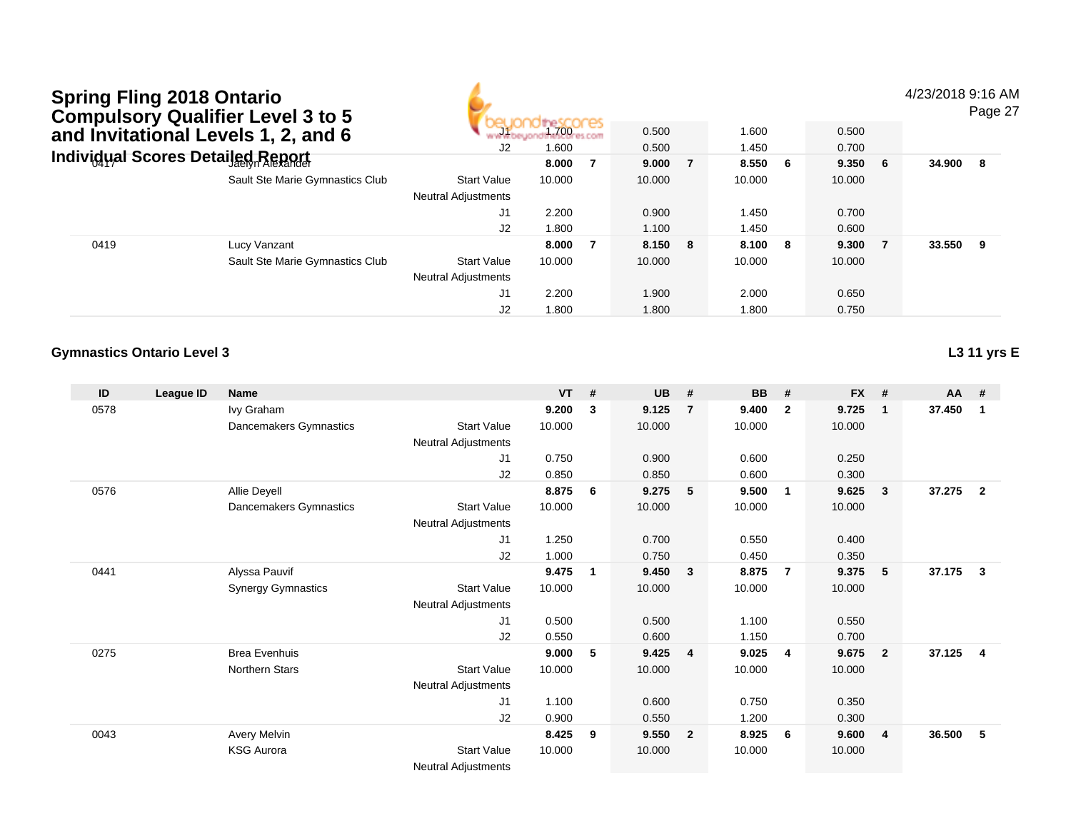4/23/2018 9:16 AM

Page 27

|      | and Invitational Levels 1, 2, and 6 | J1                         | 1.700  | 0.500   | 1.600  |     | 0.500  |    |          |  |
|------|-------------------------------------|----------------------------|--------|---------|--------|-----|--------|----|----------|--|
|      |                                     | J2                         | 1.600  | 0.500   | 1.450  |     | 0.700  |    |          |  |
|      | Individual Scores Detailed Report   |                            | 8.000  | 9.000   | 8.550  | - 6 | 9.350  | -6 | 34.900 8 |  |
|      | Sault Ste Marie Gymnastics Club     | <b>Start Value</b>         | 10.000 | 10.000  | 10.000 |     | 10.000 |    |          |  |
|      |                                     | <b>Neutral Adjustments</b> |        |         |        |     |        |    |          |  |
|      |                                     | J1                         | 2.200  | 0.900   | 1.450  |     | 0.700  |    |          |  |
|      |                                     | J2                         | 1.800  | 1.100   | 1.450  |     | 0.600  |    |          |  |
| 0419 | Lucy Vanzant                        |                            | 8.000  | 8.150 8 | 8.100  | - 8 | 9.300  |    | 33.550 9 |  |
|      | Sault Ste Marie Gymnastics Club     | <b>Start Value</b>         | 10.000 | 10.000  | 10.000 |     | 10.000 |    |          |  |
|      |                                     | <b>Neutral Adjustments</b> |        |         |        |     |        |    |          |  |
|      |                                     | J1                         | 2.200  | 1.900   | 2.000  |     | 0.650  |    |          |  |
|      |                                     | J2                         | 1.800  | 1.800   | 1.800  |     | 0.750  |    |          |  |

#### **Gymnastics Ontario Level 3**

**L3 11 yrs E**

| ID   | League ID | Name                      |                            | <b>VT</b> | #              | <b>UB</b> | #                       | <b>BB</b> | #              | <b>FX</b> | #              | AA #   |                         |
|------|-----------|---------------------------|----------------------------|-----------|----------------|-----------|-------------------------|-----------|----------------|-----------|----------------|--------|-------------------------|
| 0578 |           | Ivy Graham                |                            | 9.200     | 3              | 9.125     | $\overline{7}$          | 9.400     | $\mathbf{2}$   | 9.725     | $\mathbf 1$    | 37.450 | $\mathbf 1$             |
|      |           | Dancemakers Gymnastics    | Start Value                | 10.000    |                | 10.000    |                         | 10.000    |                | 10.000    |                |        |                         |
|      |           |                           | <b>Neutral Adjustments</b> |           |                |           |                         |           |                |           |                |        |                         |
|      |           |                           | J1                         | 0.750     |                | 0.900     |                         | 0.600     |                | 0.250     |                |        |                         |
|      |           |                           | J <sub>2</sub>             | 0.850     |                | 0.850     |                         | 0.600     |                | 0.300     |                |        |                         |
| 0576 |           | Allie Deyell              |                            | 8.875     | 6              | 9.275     | 5                       | 9.500     | $\mathbf 1$    | 9.625     | 3              | 37.275 | $\overline{2}$          |
|      |           | Dancemakers Gymnastics    | Start Value                | 10.000    |                | 10.000    |                         | 10.000    |                | 10.000    |                |        |                         |
|      |           |                           | Neutral Adjustments        |           |                |           |                         |           |                |           |                |        |                         |
|      |           |                           | J1                         | 1.250     |                | 0.700     |                         | 0.550     |                | 0.400     |                |        |                         |
|      |           |                           | J2                         | 1.000     |                | 0.750     |                         | 0.450     |                | 0.350     |                |        |                         |
| 0441 |           | Alyssa Pauvif             |                            | 9.475     | $\overline{1}$ | 9.450     | $\overline{\mathbf{3}}$ | 8.875     | $\overline{7}$ | 9.375     | 5              | 37.175 | $\mathbf{3}$            |
|      |           | <b>Synergy Gymnastics</b> | <b>Start Value</b>         | 10.000    |                | 10.000    |                         | 10.000    |                | 10.000    |                |        |                         |
|      |           |                           | <b>Neutral Adjustments</b> |           |                |           |                         |           |                |           |                |        |                         |
|      |           |                           | J1                         | 0.500     |                | 0.500     |                         | 1.100     |                | 0.550     |                |        |                         |
|      |           |                           | J <sub>2</sub>             | 0.550     |                | 0.600     |                         | 1.150     |                | 0.700     |                |        |                         |
| 0275 |           | <b>Brea Evenhuis</b>      |                            | 9.000     | 5              | 9.425     | $\overline{4}$          | 9.025     | 4              | 9.675     | $\overline{2}$ | 37.125 | $\overline{\mathbf{4}}$ |
|      |           | <b>Northern Stars</b>     | <b>Start Value</b>         | 10.000    |                | 10.000    |                         | 10.000    |                | 10.000    |                |        |                         |
|      |           |                           | <b>Neutral Adjustments</b> |           |                |           |                         |           |                |           |                |        |                         |
|      |           |                           | J1                         | 1.100     |                | 0.600     |                         | 0.750     |                | 0.350     |                |        |                         |
|      |           |                           | J <sub>2</sub>             | 0.900     |                | 0.550     |                         | 1.200     |                | 0.300     |                |        |                         |
| 0043 |           | Avery Melvin              |                            | 8.425     | 9              | 9.550     | $\overline{\mathbf{2}}$ | 8.925     | 6              | 9.600     | 4              | 36.500 | 5                       |
|      |           | <b>KSG Aurora</b>         | <b>Start Value</b>         | 10.000    |                | 10.000    |                         | 10.000    |                | 10.000    |                |        |                         |
|      |           |                           | <b>Neutral Adjustments</b> |           |                |           |                         |           |                |           |                |        |                         |